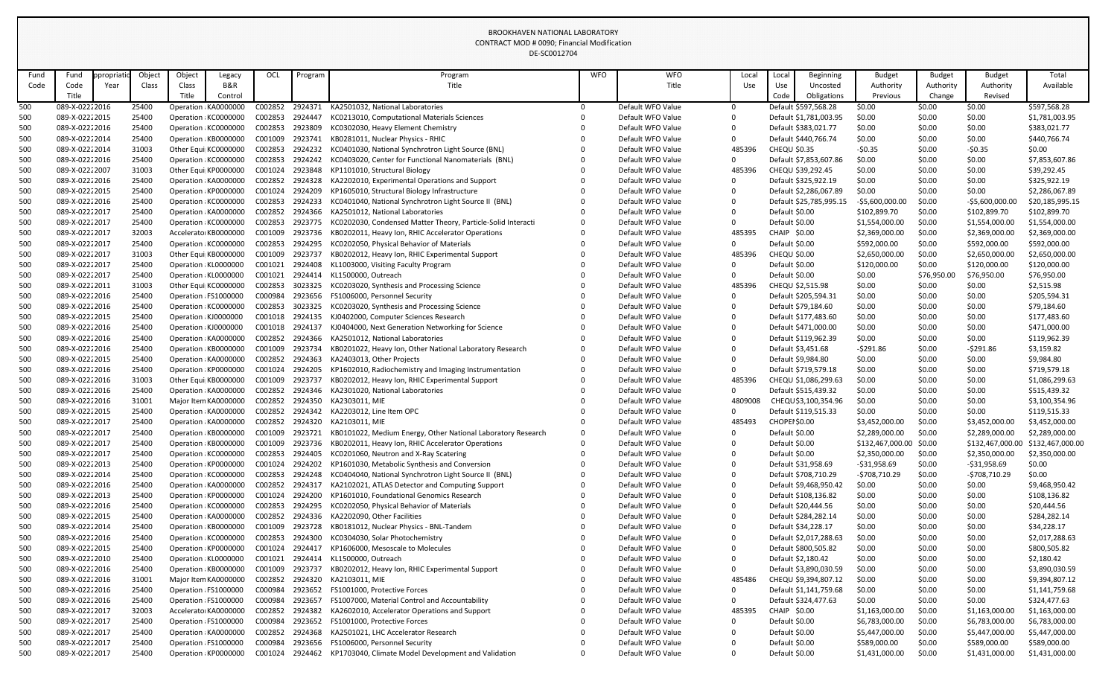| Object<br><b>WFO</b><br><b>WFO</b><br>Object<br>OCL<br>Beginning<br><b>Budget</b><br><b>Budget</b><br>Total<br>propriati<br>Program<br>Program<br><b>Budget</b><br>Fund<br>Legacy<br>Local<br>Loca<br>Fund<br>B&R<br>Title<br>Title<br>Use<br>Authority<br>Authority<br>Code<br>Class<br>Class<br>Authority<br>Available<br>Code<br>Year<br>Use<br>Uncosted<br>Title<br>Revised<br>Title<br>Code<br>Control<br>Obligations<br>Previous<br>Change<br>\$597,568.28<br>089-X-02222016<br>C002852<br>2924371<br>KA2501032. National Laboratories<br>Default WFO Value<br>\$0.00<br>25400<br>Operation KA0000000<br>Default \$597,568.28<br>\$0.00<br>\$0.00<br>0<br>\$0.00<br>25400<br>\$0.00<br>\$0.00<br>500<br>089-X-02222015<br>C002853<br>2924447<br>KC0213010, Computational Materials Sciences<br>Default WFO Value<br>Default \$1,781,003.95<br>\$1,781,003.95<br>Operation KC0000000<br>\$0.00<br>089-X-02222016<br>\$0.00<br>500<br>25400<br>Operation KC0000000<br>C002853<br>2923809<br>KC0302030, Heavy Element Chemistry<br>Default WFO Value<br>Default \$383,021.77<br>\$0.00<br>\$383,021.77<br>500<br>089-X-02222014<br>25400<br>\$0.00<br>\$0.00<br>\$0.00<br>Operation KB0000000<br>C001009<br>2923741<br>KB0281011, Nuclear Physics - RHIC<br>Default WFO Value<br>Default \$440,766.74<br>\$440,766.74<br>0<br>\$0.00<br>500<br>089-X-02222014<br>31003<br>C002853<br>2924232<br>KC0401030, National Synchrotron Light Source (BNL)<br>485396<br>$-50.35$<br>$-50.35$<br>\$0.00<br>Other Equi KC0000000<br>Default WFO Value<br><b>CHEQU \$0.35</b><br>KC0403020, Center for Functional Nanomaterials (BNL)<br>Default \$7,853,607.86<br>500<br>089-X-02222016<br>25400<br>Operation KC0000000<br>C002853<br>2924242<br>Default WFO Value<br>\$0.00<br>\$0.00<br>\$7,853,607.86<br>0<br>\$0.00<br>31003<br>485396<br>\$0.00<br>\$0.00<br>500<br>089-X-02222007<br>Other Equi KP0000000<br>C001024<br>KP1101010, Structural Biology<br>Default WFO Value<br>CHEQU \$39,292.45<br>\$0.00<br>\$39,292.45<br>2923848<br>\$0.00<br>500<br>25400<br>\$0.00<br>\$0.00<br>089-X-02222016<br>C002852<br>2924328<br>KA2202010, Experimental Operations and Support<br>Default WFO Value<br>Default \$325,922.19<br>\$325,922.19<br>Operation KA0000000<br>0<br>C001024<br>\$0.00<br>500<br>089-X-02222015<br>25400<br>Operation KP0000000<br>2924209<br>KP1605010, Structural Biology Infrastructure<br>Default WFO Value<br>Default \$2,286,067.89<br>\$0.00<br>\$0.00<br>\$2,286,067.89<br>0<br>\$0.00<br>500<br>089-X-02222016<br>25400<br>Operation KC0000000<br>C002853<br>2924233<br>KC0401040, National Synchrotron Light Source II (BNL)<br>Default WFO Value<br>-\$5,600,000.00<br>\$20,185,995.15<br>Default \$25,785,995.15<br>$-55,600,000.00$<br>500<br>25400<br>\$0.00<br>089-X-02222017<br>C002852<br>2924366<br>KA2501012, National Laboratories<br>Default WFO Value<br>Default \$0.00<br>\$102,899.70<br>\$102,899.70<br>\$102,899.70<br>Operation KA0000000<br>0<br>\$0.00<br>500<br>089-X-02222017<br>25400<br>Operation KC0000000<br>C002853<br>KC0202030, Condensed Matter Theory, Particle-Solid Interacti<br>Default WFO Value<br>Default \$0.00<br>\$1,554,000.00<br>\$1,554,000.00<br>\$1,554,000.00<br>2923775<br>$\Omega$<br>500<br>32003<br>\$0.00<br>089-X-02222017<br>Accelerato KB0000000<br>C001009<br>2923736<br>485395<br>CHAIP \$0.00<br>\$2,369,000.00<br>\$2,369,000.00<br>\$2,369,000.00<br>KB0202011, Heavy Ion, RHIC Accelerator Operations<br>Default WFO Value<br>\$0.00<br>500<br>089-X-02222017<br>25400<br>C002853<br>2924295<br>KC0202050, Physical Behavior of Materials<br>Default WFO Value<br>Default \$0.00<br>\$592,000.00<br>\$592,000.00<br>\$592,000.00<br>Operation KC0000000<br>0<br>\$0.00<br>500<br>089-X-02222017<br>31003<br>C001009<br>KB0202012, Heavy Ion, RHIC Experimental Support<br>Default WFO Value<br>485396<br><b>CHEQU \$0.00</b><br>\$2,650,000.00<br>\$2,650,000.00<br>\$2,650,000.00<br>Other Equi KB0000000<br>2923737<br>\$0.00<br>500<br>089-X-02222017<br>25400<br>C001021<br>2924408<br>KL1003000, Visiting Faculty Program<br>Default \$0.00<br>\$120,000.00<br>\$120,000.00<br>Operation KL0000000<br>Default WFO Value<br>\$120,000.00<br>0<br>Default \$0.00<br>500<br>089-X-02222017<br>25400<br>Operation: KL0000000<br>C001021<br>2924414<br>KL1500000, Outreach<br>Default WFO Value<br>$\Omega$<br>\$0.00<br>\$76,950.00<br>\$76,950.00<br>\$76,950.00<br>500<br>089-X-02222011<br>31003<br>C002853<br>3023325<br>Default WFO Value<br>485396<br>CHEQU \$2,515.98<br>\$0.00<br>\$0.00<br>\$0.00<br>\$2,515.98<br>Other Equi KC0000000<br>KC0203020, Synthesis and Processing Science<br>\$0.00<br>500<br>089-X-02222016<br>25400<br>C000984<br>Default WFO Value<br>\$0.00<br>\$0.00<br>\$205,594.31<br>Operation FS1000000<br>2923656<br>FS1006000, Personnel Security<br>Default \$205,594.31<br>0<br>089-X-02222016<br>C002853<br>\$0.00<br>500<br>25400<br>Operation KC0000000<br>3023325<br>KC0203020, Synthesis and Processing Science<br>Default WFO Value<br>Default \$79,184.60<br>\$0.00<br>\$0.00<br>\$79,184.60<br>500<br>\$0.00<br>\$0.00<br>089-X-02222015<br>25400<br>Operation : KJ0000000<br>C001018<br>KJ0402000, Computer Sciences Research<br>Default WFO Value<br>Default \$177,483.60<br>\$0.00<br>\$177,483.60<br>2924135<br>\$0.00<br>500<br>089-X-02222016<br>25400<br>C001018<br>2924137<br>Default WFO Value<br>\$0.00<br>\$0.00<br>\$471,000.00<br>Operation KJ0000000<br>KJ0404000, Next Generation Networking for Science<br>0<br>Default \$471,000.00<br>089-X-02222016<br>25400<br>C002852<br>KA2501012, National Laboratories<br>Default WFO Value<br>Default \$119,962.39<br>\$0.00<br>\$119,962.39<br>500<br>Operation KA0000000<br>2924366<br>\$0.00<br>\$0.00<br>\$0.00<br>500<br>089-X-02222016<br>25400<br>C001009<br>Default \$3,451.68<br>$-5291.86$<br>\$3,159.82<br>Operation KB0000000<br>2923734<br>KB0201022, Heavy Ion, Other National Laboratory Research<br>Default WFO Value<br>$-5291.86$<br>\$0.00<br>089-X-02222015<br>25400<br>C002852<br>\$0.00<br>500<br>KA2403013, Other Projects<br>Default WFO Value<br>Default \$9,984.80<br>\$0.00<br>\$9,984.80<br>Operation KA0000000<br>2924363<br>089-X-02222016<br>25400<br>KP1602010, Radiochemistry and Imaging Instrumentation<br>Default WFO Value<br>\$0.00<br>\$0.00<br>\$719,579.18<br>500<br>Operation KP0000000<br>C001024<br>2924205<br>$\Omega$<br>Default \$719,579.18<br>\$0.00<br>\$0.00<br>500<br>089-X-02222016<br>31003<br>C001009<br>2923737<br>485396<br>\$0.00<br>Other Equi KB0000000<br>KB0202012, Heavy Ion, RHIC Experimental Support<br>Default WFO Value<br>CHEQU \$1,086,299.63<br>\$0.00<br>\$1,086,299.63<br>500<br>089-X-02222016<br>25400<br>Operation KA0000000<br>C002852<br>2924346<br>KA2301020, National Laboratories<br>Default WFO Value<br>Default \$515,439.32<br>\$0.00<br>\$0.00<br>\$0.00<br>\$515,439.32<br>500<br>089-X-02222016<br>31001<br>Major Item KA0000000<br>C002852<br>2924350<br>KA2303011, MIE<br>Default WFO Value<br>4809008<br>\$0.00<br>\$0.00<br>CHEQU \$3,100,354.96<br>\$0.00<br>\$3,100,354.96<br>25400<br>C002852 2924342<br>\$0.00<br>\$0.00<br>500<br>089-X-02222015<br>Operation KA0000000<br>KA2203012, Line Item OPC<br>Default WFO Value<br>Default \$119,515.33<br>\$0.00<br>\$119,515.33<br>0<br>089-X-02222017<br>C002852 2924320<br>Default WFO Value<br>485493<br>CHOPEI \$0.00<br>\$3,452,000.00<br>\$0.00<br>500<br>25400<br>Operation KA0000000<br>KA2103011, MIE<br>\$3,452,000.00<br>\$3,452,000.00<br>089-X-02222017<br>KB0101022, Medium Energy, Other National Laboratory Research<br>Default \$0.00<br>\$0.00<br>500<br>25400<br>Operation KB0000000<br>C001009<br>2923721<br>Default WFO Value<br>\$2,289,000.00<br>\$2,289,000.00<br>\$2,289,000.00<br>0<br>500<br>089-X-02222017<br>25400<br>C001009<br>2923736<br>KB0202011, Heavy Ion, RHIC Accelerator Operations<br>Default WFO Value<br>Default \$0.00<br>\$132,467,000.00 \$0.00<br>\$132,467,000.00<br>Operation KB0000000<br>\$132,467,000.00<br>0<br>C002853<br>500<br>089-X-02222017<br>25400<br>Operation KC0000000<br>2924405<br>KC0201060, Neutron and X-Ray Scatering<br>Default WFO Value<br>Default \$0.00<br>\$2,350,000.00<br>\$2,350,000.00<br>\$0.00<br>\$2,350,000.00<br>C001024<br>KP1601030, Metabolic Synthesis and Conversion<br>$-531,958.69$<br>\$0.00<br>\$0.00<br>500<br>089-X-02222013<br>25400<br>Operation KP0000000<br>2924202<br>Default WFO Value<br>Default \$31,958.69<br>$-531,958.69$<br>\$0.00<br>500<br>089-X-02222014<br>25400<br>C002853<br>2924248<br>KC0404040, National Synchrotron Light Source II (BNL)<br>Default WFO Value<br>$-5708,710.29$<br>\$0.00<br>$-5708,710.29$<br>Operation KC0000000<br>Default \$708,710.29<br>0<br>C002852<br>089-X-02222016<br>25400<br>Operation KA0000000<br>2924317<br>KA2102021, ATLAS Detector and Computing Support<br>Default WFO Value<br>\$0.00<br>500<br>0<br>Default \$9,468,950.42<br>\$0.00<br>\$0.00<br>\$9,468,950.42<br>500<br>25400<br>C001024<br>2924200<br>\$0.00<br>\$0.00<br>089-X-02222013<br>Operation KP0000000<br>KP1601010, Foundational Genomics Research<br>Default WFO Value<br>Default \$108,136.82<br>\$0.00<br>\$108,136.82<br>\$0.00<br>089-X-02222016<br>25400<br>C002853<br>2924295<br>KC0202050, Physical Behavior of Materials<br>Default WFO Value<br>\$0.00<br>500<br>Operation KC0000000<br>Default \$20,444.56<br>\$0.00<br>\$20,444.56<br>0<br>500<br>089-X-02222015<br>25400<br>C002852<br>2924336<br>KA2202090, Other Facilities<br>Default WFO Value<br>\$0.00<br>\$0.00<br>\$0.00<br>Operation KA0000000<br>0<br>Default \$284,282.14<br>\$284,282.14<br>\$0.00<br>500<br>25400<br>C001009<br>2923728<br>\$0.00<br>\$34,228.17<br>089-X-02222014<br>Operation KB0000000<br>KB0181012, Nuclear Physics - BNL-Tandem<br>Default WFO Value<br>Default \$34,228.17<br>\$0.00<br>089-X-02222016<br>25400<br>C002853<br>2924300<br>Default WFO Value<br>\$0.00<br>500<br>Operation KC0000000<br>KC0304030, Solar Photochemistry<br>0<br>Default \$2,017,288.63<br>\$0.00<br>\$0.00<br>\$2,017,288.63<br>500<br>089-X-02222015<br>25400<br>C001024<br>2924417<br>KP1606000, Mesoscale to Molecules<br>Default WFO Value<br>\$0.00<br>\$0.00<br>\$800,505.82<br>Operation KP0000000<br>0<br>Default \$800,505.82<br>\$0.00<br>C001021<br>\$0.00<br>\$0.00<br>\$0.00<br>500<br>089-X-02222010<br>25400<br>Operation KL0000000<br>2924414<br>KL1500000, Outreach<br>Default WFO Value<br>Default \$2,180.42<br>\$2,180.42<br>0<br>500<br>089-X-02222016<br>25400<br>C001009<br>2923737<br>KB0202012, Heavy Ion, RHIC Experimental Support<br>Default WFO Value<br>$\Omega$<br>Default \$3,890,030.59<br>\$0.00<br>\$0.00<br>\$3,890,030.59<br>Operation KB0000000<br>\$0.00<br>C002852<br>485486<br>\$0.00<br>500<br>089-X-02222016<br>31001<br>2924320<br>KA2103011, MIE<br>Default WFO Value<br>\$0.00<br>\$0.00<br>\$9,394,807.12<br>Major Item KA0000000<br>CHEQU \$9,394,807.12<br>\$0.00<br>500<br>089-X-02222016<br>25400<br>C000984<br>2923652<br>FS1001000, Protective Forces<br>Default WFO Value<br>\$0.00<br>Operation FS1000000<br>Default \$1,141,759.68<br>\$0.00<br>\$1,141,759.68<br>0<br>2923657<br>089-X-02222016<br>C000984<br>FS1007000, Material Control and Accountability<br>Default WFO Value<br>Default \$324,477.63<br>\$0.00<br>\$324,477.63<br>500<br>25400<br>Operation FS1000000<br>0<br>\$0.00<br>\$0.00<br>\$0.00<br>500<br>089-X-02222017<br>32003<br>C002852<br>2924382<br>485395<br>CHAIP \$0.00<br>\$1,163,000.00<br>Accelerato KA0000000<br>KA2602010, Accelerator Operations and Support<br>Default WFO Value<br>\$1,163,000.00<br>\$1,163,000.00<br>25400<br>\$0.00<br>500<br>089-X-02222017<br>C000984<br>2923652<br>FS1001000, Protective Forces<br>Default WFO Value<br>Default \$0.00<br>\$6,783,000.00<br>\$6,783,000.00<br>Operation FS1000000<br>\$6,783,000.00<br>0<br>500<br>089-X-02222017<br>25400<br>C002852<br>2924368<br>KA2501021, LHC Accelerator Research<br>Default WFO Value<br>Default \$0.00<br>\$5,447,000.00<br>\$0.00<br>Operation KA0000000<br>\$5,447,000.00<br>\$5,447,000.00<br>500<br>C000984<br>2923656<br>FS1006000, Personnel Security<br>Default \$0.00<br>\$589,000.00<br>\$0.00<br>089-X-02222017<br>25400<br>Operation FS1000000<br>Default WFO Value<br>\$589,000.00<br>\$589,000.00<br>089-X-02222017<br>25400<br>KP1703040, Climate Model Development and Validation<br>Default WFO Value<br>Default \$0.00<br>\$1,431,000.00<br>\$0.00<br>500<br>Operation: KP0000000<br>C001024<br>2924462<br>\$1,431,000.00<br>\$1,431,000.00<br>0 |     |  |  |  | UL-JUUUIZ7U4 |  |  |  |  |  |
|---------------------------------------------------------------------------------------------------------------------------------------------------------------------------------------------------------------------------------------------------------------------------------------------------------------------------------------------------------------------------------------------------------------------------------------------------------------------------------------------------------------------------------------------------------------------------------------------------------------------------------------------------------------------------------------------------------------------------------------------------------------------------------------------------------------------------------------------------------------------------------------------------------------------------------------------------------------------------------------------------------------------------------------------------------------------------------------------------------------------------------------------------------------------------------------------------------------------------------------------------------------------------------------------------------------------------------------------------------------------------------------------------------------------------------------------------------------------------------------------------------------------------------------------------------------------------------------------------------------------------------------------------------------------------------------------------------------------------------------------------------------------------------------------------------------------------------------------------------------------------------------------------------------------------------------------------------------------------------------------------------------------------------------------------------------------------------------------------------------------------------------------------------------------------------------------------------------------------------------------------------------------------------------------------------------------------------------------------------------------------------------------------------------------------------------------------------------------------------------------------------------------------------------------------------------------------------------------------------------------------------------------------------------------------------------------------------------------------------------------------------------------------------------------------------------------------------------------------------------------------------------------------------------------------------------------------------------------------------------------------------------------------------------------------------------------------------------------------------------------------------------------------------------------------------------------------------------------------------------------------------------------------------------------------------------------------------------------------------------------------------------------------------------------------------------------------------------------------------------------------------------------------------------------------------------------------------------------------------------------------------------------------------------------------------------------------------------------------------------------------------------------------------------------------------------------------------------------------------------------------------------------------------------------------------------------------------------------------------------------------------------------------------------------------------------------------------------------------------------------------------------------------------------------------------------------------------------------------------------------------------------------------------------------------------------------------------------------------------------------------------------------------------------------------------------------------------------------------------------------------------------------------------------------------------------------------------------------------------------------------------------------------------------------------------------------------------------------------------------------------------------------------------------------------------------------------------------------------------------------------------------------------------------------------------------------------------------------------------------------------------------------------------------------------------------------------------------------------------------------------------------------------------------------------------------------------------------------------------------------------------------------------------------------------------------------------------------------------------------------------------------------------------------------------------------------------------------------------------------------------------------------------------------------------------------------------------------------------------------------------------------------------------------------------------------------------------------------------------------------------------------------------------------------------------------------------------------------------------------------------------------------------------------------------------------------------------------------------------------------------------------------------------------------------------------------------------------------------------------------------------------------------------------------------------------------------------------------------------------------------------------------------------------------------------------------------------------------------------------------------------------------------------------------------------------------------------------------------------------------------------------------------------------------------------------------------------------------------------------------------------------------------------------------------------------------------------------------------------------------------------------------------------------------------------------------------------------------------------------------------------------------------------------------------------------------------------------------------------------------------------------------------------------------------------------------------------------------------------------------------------------------------------------------------------------------------------------------------------------------------------------------------------------------------------------------------------------------------------------------------------------------------------------------------------------------------------------------------------------------------------------------------------------------------------------------------------------------------------------------------------------------------------------------------------------------------------------------------------------------------------------------------------------------------------------------------------------------------------------------------------------------------------------------------------------------------------------------------------------------------------------------------------------------------------------------------------------------------------------------------------------------------------------------------------------------------------------------------------------------------------------------------------------------------------------------------------------------------------------------------------------------------------------------------------------------------------------------------------------------------------------------------------------------------------------------------------------------------------------------------------------------------------------------------------------------------------------------------------------------------------------------------------------------------------------------------------------------------------------------------------------------------------------------------------------------------------------------------------------------------------------------------------------------------------------------------------------------------------------------------------------------------------------------------------------------------------------------------------------------------------------------------------------------------------------------------------------------------------------------------------------------------------------------------------------------------------------------------------------------------------------------------------------------------------------------------------------------------------------------------------------------------------------------------------------------------------------------------------------------------------------------------------------------------------------------------------------------------------------------------------------------------------------------------------------------------------------------------------------------------------------------------------------------------------------------------------------------------------------------------------------------------------------------------------------------------------------------------------------------------------------------------------------------------------------------------------------------------------------------------------------------------------------------------------------------------------------------------------------------------------------------------------------------------------------------------------------------------------------------------------------------------------------------------------------------------------------------------------------------------------------------------------------------------------------------------------------------------------------------------------------------------------------------------------------------------------------------------------------------------------------------------------------------------------------------------------------------------------------------------------------------------------------------------------------------------------------------------------------------------------------------------------------------------------------------------------------------------------------------------------------------------------------------------------------------------------------------------------------------------------------------------------------------------------------------------------------------------------------------------------------------------------------------------------------------------------------------------------------------------------------------------------------------------------------------------------------------------------------------------------------------------------------------------------------------------------------------------------------------------------------------------------------------------------------------------------------------------------------------------------------------------------------------------------------------------------------------------------------------------------------------------------------------------------------------------------------------------------------------------------------------------------------------------------------------------------------------------------------------------------------------------------------------------------------------------------------------------------------------------------------------------------------------------------------|-----|--|--|--|--------------|--|--|--|--|--|
|                                                                                                                                                                                                                                                                                                                                                                                                                                                                                                                                                                                                                                                                                                                                                                                                                                                                                                                                                                                                                                                                                                                                                                                                                                                                                                                                                                                                                                                                                                                                                                                                                                                                                                                                                                                                                                                                                                                                                                                                                                                                                                                                                                                                                                                                                                                                                                                                                                                                                                                                                                                                                                                                                                                                                                                                                                                                                                                                                                                                                                                                                                                                                                                                                                                                                                                                                                                                                                                                                                                                                                                                                                                                                                                                                                                                                                                                                                                                                                                                                                                                                                                                                                                                                                                                                                                                                                                                                                                                                                                                                                                                                                                                                                                                                                                                                                                                                                                                                                                                                                                                                                                                                                                                                                                                                                                                                                                                                                                                                                                                                                                                                                                                                                                                                                                                                                                                                                                                                                                                                                                                                                                                                                                                                                                                                                                                                                                                                                                                                                                                                                                                                                                                                                                                                                                                                                                                                                                                                                                                                                                                                                                                                                                                                                                                                                                                                                                                                                                                                                                                                                                                                                                                                                                                                                                                                                                                                                                                                                                                                                                                                                                                                                                                                                                                                                                                                                                                                                                                                                                                                                                                                                                                                                                                                                                                                                                                                                                                                                                                                                                                                                                                                                                                                                                                                                                                                                                                                                                                                                                                                                                                                                                                                                                                                                                                                                                                                                                                                                                                                                                                                                                                                                                                                                                                                                                                                                                                                                                                                                                                                                                                                                                                                                                                                                                                                                                                                                                                                                                                                                                                                                                                                                                                                                                                                                                                                                                                                                                                                                                                                                                                                                                                                                                                                                                                                                                                                                                                                                                                                                                                                                                                                                                                                                                                                                                                                                                                                                                                                                                                                                                                                                                                                       |     |  |  |  |              |  |  |  |  |  |
|                                                                                                                                                                                                                                                                                                                                                                                                                                                                                                                                                                                                                                                                                                                                                                                                                                                                                                                                                                                                                                                                                                                                                                                                                                                                                                                                                                                                                                                                                                                                                                                                                                                                                                                                                                                                                                                                                                                                                                                                                                                                                                                                                                                                                                                                                                                                                                                                                                                                                                                                                                                                                                                                                                                                                                                                                                                                                                                                                                                                                                                                                                                                                                                                                                                                                                                                                                                                                                                                                                                                                                                                                                                                                                                                                                                                                                                                                                                                                                                                                                                                                                                                                                                                                                                                                                                                                                                                                                                                                                                                                                                                                                                                                                                                                                                                                                                                                                                                                                                                                                                                                                                                                                                                                                                                                                                                                                                                                                                                                                                                                                                                                                                                                                                                                                                                                                                                                                                                                                                                                                                                                                                                                                                                                                                                                                                                                                                                                                                                                                                                                                                                                                                                                                                                                                                                                                                                                                                                                                                                                                                                                                                                                                                                                                                                                                                                                                                                                                                                                                                                                                                                                                                                                                                                                                                                                                                                                                                                                                                                                                                                                                                                                                                                                                                                                                                                                                                                                                                                                                                                                                                                                                                                                                                                                                                                                                                                                                                                                                                                                                                                                                                                                                                                                                                                                                                                                                                                                                                                                                                                                                                                                                                                                                                                                                                                                                                                                                                                                                                                                                                                                                                                                                                                                                                                                                                                                                                                                                                                                                                                                                                                                                                                                                                                                                                                                                                                                                                                                                                                                                                                                                                                                                                                                                                                                                                                                                                                                                                                                                                                                                                                                                                                                                                                                                                                                                                                                                                                                                                                                                                                                                                                                                                                                                                                                                                                                                                                                                                                                                                                                                                                                                                                                       |     |  |  |  |              |  |  |  |  |  |
|                                                                                                                                                                                                                                                                                                                                                                                                                                                                                                                                                                                                                                                                                                                                                                                                                                                                                                                                                                                                                                                                                                                                                                                                                                                                                                                                                                                                                                                                                                                                                                                                                                                                                                                                                                                                                                                                                                                                                                                                                                                                                                                                                                                                                                                                                                                                                                                                                                                                                                                                                                                                                                                                                                                                                                                                                                                                                                                                                                                                                                                                                                                                                                                                                                                                                                                                                                                                                                                                                                                                                                                                                                                                                                                                                                                                                                                                                                                                                                                                                                                                                                                                                                                                                                                                                                                                                                                                                                                                                                                                                                                                                                                                                                                                                                                                                                                                                                                                                                                                                                                                                                                                                                                                                                                                                                                                                                                                                                                                                                                                                                                                                                                                                                                                                                                                                                                                                                                                                                                                                                                                                                                                                                                                                                                                                                                                                                                                                                                                                                                                                                                                                                                                                                                                                                                                                                                                                                                                                                                                                                                                                                                                                                                                                                                                                                                                                                                                                                                                                                                                                                                                                                                                                                                                                                                                                                                                                                                                                                                                                                                                                                                                                                                                                                                                                                                                                                                                                                                                                                                                                                                                                                                                                                                                                                                                                                                                                                                                                                                                                                                                                                                                                                                                                                                                                                                                                                                                                                                                                                                                                                                                                                                                                                                                                                                                                                                                                                                                                                                                                                                                                                                                                                                                                                                                                                                                                                                                                                                                                                                                                                                                                                                                                                                                                                                                                                                                                                                                                                                                                                                                                                                                                                                                                                                                                                                                                                                                                                                                                                                                                                                                                                                                                                                                                                                                                                                                                                                                                                                                                                                                                                                                                                                                                                                                                                                                                                                                                                                                                                                                                                                                                                                                                       |     |  |  |  |              |  |  |  |  |  |
|                                                                                                                                                                                                                                                                                                                                                                                                                                                                                                                                                                                                                                                                                                                                                                                                                                                                                                                                                                                                                                                                                                                                                                                                                                                                                                                                                                                                                                                                                                                                                                                                                                                                                                                                                                                                                                                                                                                                                                                                                                                                                                                                                                                                                                                                                                                                                                                                                                                                                                                                                                                                                                                                                                                                                                                                                                                                                                                                                                                                                                                                                                                                                                                                                                                                                                                                                                                                                                                                                                                                                                                                                                                                                                                                                                                                                                                                                                                                                                                                                                                                                                                                                                                                                                                                                                                                                                                                                                                                                                                                                                                                                                                                                                                                                                                                                                                                                                                                                                                                                                                                                                                                                                                                                                                                                                                                                                                                                                                                                                                                                                                                                                                                                                                                                                                                                                                                                                                                                                                                                                                                                                                                                                                                                                                                                                                                                                                                                                                                                                                                                                                                                                                                                                                                                                                                                                                                                                                                                                                                                                                                                                                                                                                                                                                                                                                                                                                                                                                                                                                                                                                                                                                                                                                                                                                                                                                                                                                                                                                                                                                                                                                                                                                                                                                                                                                                                                                                                                                                                                                                                                                                                                                                                                                                                                                                                                                                                                                                                                                                                                                                                                                                                                                                                                                                                                                                                                                                                                                                                                                                                                                                                                                                                                                                                                                                                                                                                                                                                                                                                                                                                                                                                                                                                                                                                                                                                                                                                                                                                                                                                                                                                                                                                                                                                                                                                                                                                                                                                                                                                                                                                                                                                                                                                                                                                                                                                                                                                                                                                                                                                                                                                                                                                                                                                                                                                                                                                                                                                                                                                                                                                                                                                                                                                                                                                                                                                                                                                                                                                                                                                                                                                                                                                       | 500 |  |  |  |              |  |  |  |  |  |
|                                                                                                                                                                                                                                                                                                                                                                                                                                                                                                                                                                                                                                                                                                                                                                                                                                                                                                                                                                                                                                                                                                                                                                                                                                                                                                                                                                                                                                                                                                                                                                                                                                                                                                                                                                                                                                                                                                                                                                                                                                                                                                                                                                                                                                                                                                                                                                                                                                                                                                                                                                                                                                                                                                                                                                                                                                                                                                                                                                                                                                                                                                                                                                                                                                                                                                                                                                                                                                                                                                                                                                                                                                                                                                                                                                                                                                                                                                                                                                                                                                                                                                                                                                                                                                                                                                                                                                                                                                                                                                                                                                                                                                                                                                                                                                                                                                                                                                                                                                                                                                                                                                                                                                                                                                                                                                                                                                                                                                                                                                                                                                                                                                                                                                                                                                                                                                                                                                                                                                                                                                                                                                                                                                                                                                                                                                                                                                                                                                                                                                                                                                                                                                                                                                                                                                                                                                                                                                                                                                                                                                                                                                                                                                                                                                                                                                                                                                                                                                                                                                                                                                                                                                                                                                                                                                                                                                                                                                                                                                                                                                                                                                                                                                                                                                                                                                                                                                                                                                                                                                                                                                                                                                                                                                                                                                                                                                                                                                                                                                                                                                                                                                                                                                                                                                                                                                                                                                                                                                                                                                                                                                                                                                                                                                                                                                                                                                                                                                                                                                                                                                                                                                                                                                                                                                                                                                                                                                                                                                                                                                                                                                                                                                                                                                                                                                                                                                                                                                                                                                                                                                                                                                                                                                                                                                                                                                                                                                                                                                                                                                                                                                                                                                                                                                                                                                                                                                                                                                                                                                                                                                                                                                                                                                                                                                                                                                                                                                                                                                                                                                                                                                                                                                                                                       |     |  |  |  |              |  |  |  |  |  |
|                                                                                                                                                                                                                                                                                                                                                                                                                                                                                                                                                                                                                                                                                                                                                                                                                                                                                                                                                                                                                                                                                                                                                                                                                                                                                                                                                                                                                                                                                                                                                                                                                                                                                                                                                                                                                                                                                                                                                                                                                                                                                                                                                                                                                                                                                                                                                                                                                                                                                                                                                                                                                                                                                                                                                                                                                                                                                                                                                                                                                                                                                                                                                                                                                                                                                                                                                                                                                                                                                                                                                                                                                                                                                                                                                                                                                                                                                                                                                                                                                                                                                                                                                                                                                                                                                                                                                                                                                                                                                                                                                                                                                                                                                                                                                                                                                                                                                                                                                                                                                                                                                                                                                                                                                                                                                                                                                                                                                                                                                                                                                                                                                                                                                                                                                                                                                                                                                                                                                                                                                                                                                                                                                                                                                                                                                                                                                                                                                                                                                                                                                                                                                                                                                                                                                                                                                                                                                                                                                                                                                                                                                                                                                                                                                                                                                                                                                                                                                                                                                                                                                                                                                                                                                                                                                                                                                                                                                                                                                                                                                                                                                                                                                                                                                                                                                                                                                                                                                                                                                                                                                                                                                                                                                                                                                                                                                                                                                                                                                                                                                                                                                                                                                                                                                                                                                                                                                                                                                                                                                                                                                                                                                                                                                                                                                                                                                                                                                                                                                                                                                                                                                                                                                                                                                                                                                                                                                                                                                                                                                                                                                                                                                                                                                                                                                                                                                                                                                                                                                                                                                                                                                                                                                                                                                                                                                                                                                                                                                                                                                                                                                                                                                                                                                                                                                                                                                                                                                                                                                                                                                                                                                                                                                                                                                                                                                                                                                                                                                                                                                                                                                                                                                                                                                       |     |  |  |  |              |  |  |  |  |  |
|                                                                                                                                                                                                                                                                                                                                                                                                                                                                                                                                                                                                                                                                                                                                                                                                                                                                                                                                                                                                                                                                                                                                                                                                                                                                                                                                                                                                                                                                                                                                                                                                                                                                                                                                                                                                                                                                                                                                                                                                                                                                                                                                                                                                                                                                                                                                                                                                                                                                                                                                                                                                                                                                                                                                                                                                                                                                                                                                                                                                                                                                                                                                                                                                                                                                                                                                                                                                                                                                                                                                                                                                                                                                                                                                                                                                                                                                                                                                                                                                                                                                                                                                                                                                                                                                                                                                                                                                                                                                                                                                                                                                                                                                                                                                                                                                                                                                                                                                                                                                                                                                                                                                                                                                                                                                                                                                                                                                                                                                                                                                                                                                                                                                                                                                                                                                                                                                                                                                                                                                                                                                                                                                                                                                                                                                                                                                                                                                                                                                                                                                                                                                                                                                                                                                                                                                                                                                                                                                                                                                                                                                                                                                                                                                                                                                                                                                                                                                                                                                                                                                                                                                                                                                                                                                                                                                                                                                                                                                                                                                                                                                                                                                                                                                                                                                                                                                                                                                                                                                                                                                                                                                                                                                                                                                                                                                                                                                                                                                                                                                                                                                                                                                                                                                                                                                                                                                                                                                                                                                                                                                                                                                                                                                                                                                                                                                                                                                                                                                                                                                                                                                                                                                                                                                                                                                                                                                                                                                                                                                                                                                                                                                                                                                                                                                                                                                                                                                                                                                                                                                                                                                                                                                                                                                                                                                                                                                                                                                                                                                                                                                                                                                                                                                                                                                                                                                                                                                                                                                                                                                                                                                                                                                                                                                                                                                                                                                                                                                                                                                                                                                                                                                                                                                                       |     |  |  |  |              |  |  |  |  |  |
|                                                                                                                                                                                                                                                                                                                                                                                                                                                                                                                                                                                                                                                                                                                                                                                                                                                                                                                                                                                                                                                                                                                                                                                                                                                                                                                                                                                                                                                                                                                                                                                                                                                                                                                                                                                                                                                                                                                                                                                                                                                                                                                                                                                                                                                                                                                                                                                                                                                                                                                                                                                                                                                                                                                                                                                                                                                                                                                                                                                                                                                                                                                                                                                                                                                                                                                                                                                                                                                                                                                                                                                                                                                                                                                                                                                                                                                                                                                                                                                                                                                                                                                                                                                                                                                                                                                                                                                                                                                                                                                                                                                                                                                                                                                                                                                                                                                                                                                                                                                                                                                                                                                                                                                                                                                                                                                                                                                                                                                                                                                                                                                                                                                                                                                                                                                                                                                                                                                                                                                                                                                                                                                                                                                                                                                                                                                                                                                                                                                                                                                                                                                                                                                                                                                                                                                                                                                                                                                                                                                                                                                                                                                                                                                                                                                                                                                                                                                                                                                                                                                                                                                                                                                                                                                                                                                                                                                                                                                                                                                                                                                                                                                                                                                                                                                                                                                                                                                                                                                                                                                                                                                                                                                                                                                                                                                                                                                                                                                                                                                                                                                                                                                                                                                                                                                                                                                                                                                                                                                                                                                                                                                                                                                                                                                                                                                                                                                                                                                                                                                                                                                                                                                                                                                                                                                                                                                                                                                                                                                                                                                                                                                                                                                                                                                                                                                                                                                                                                                                                                                                                                                                                                                                                                                                                                                                                                                                                                                                                                                                                                                                                                                                                                                                                                                                                                                                                                                                                                                                                                                                                                                                                                                                                                                                                                                                                                                                                                                                                                                                                                                                                                                                                                                                                       |     |  |  |  |              |  |  |  |  |  |
|                                                                                                                                                                                                                                                                                                                                                                                                                                                                                                                                                                                                                                                                                                                                                                                                                                                                                                                                                                                                                                                                                                                                                                                                                                                                                                                                                                                                                                                                                                                                                                                                                                                                                                                                                                                                                                                                                                                                                                                                                                                                                                                                                                                                                                                                                                                                                                                                                                                                                                                                                                                                                                                                                                                                                                                                                                                                                                                                                                                                                                                                                                                                                                                                                                                                                                                                                                                                                                                                                                                                                                                                                                                                                                                                                                                                                                                                                                                                                                                                                                                                                                                                                                                                                                                                                                                                                                                                                                                                                                                                                                                                                                                                                                                                                                                                                                                                                                                                                                                                                                                                                                                                                                                                                                                                                                                                                                                                                                                                                                                                                                                                                                                                                                                                                                                                                                                                                                                                                                                                                                                                                                                                                                                                                                                                                                                                                                                                                                                                                                                                                                                                                                                                                                                                                                                                                                                                                                                                                                                                                                                                                                                                                                                                                                                                                                                                                                                                                                                                                                                                                                                                                                                                                                                                                                                                                                                                                                                                                                                                                                                                                                                                                                                                                                                                                                                                                                                                                                                                                                                                                                                                                                                                                                                                                                                                                                                                                                                                                                                                                                                                                                                                                                                                                                                                                                                                                                                                                                                                                                                                                                                                                                                                                                                                                                                                                                                                                                                                                                                                                                                                                                                                                                                                                                                                                                                                                                                                                                                                                                                                                                                                                                                                                                                                                                                                                                                                                                                                                                                                                                                                                                                                                                                                                                                                                                                                                                                                                                                                                                                                                                                                                                                                                                                                                                                                                                                                                                                                                                                                                                                                                                                                                                                                                                                                                                                                                                                                                                                                                                                                                                                                                                                                                       |     |  |  |  |              |  |  |  |  |  |
|                                                                                                                                                                                                                                                                                                                                                                                                                                                                                                                                                                                                                                                                                                                                                                                                                                                                                                                                                                                                                                                                                                                                                                                                                                                                                                                                                                                                                                                                                                                                                                                                                                                                                                                                                                                                                                                                                                                                                                                                                                                                                                                                                                                                                                                                                                                                                                                                                                                                                                                                                                                                                                                                                                                                                                                                                                                                                                                                                                                                                                                                                                                                                                                                                                                                                                                                                                                                                                                                                                                                                                                                                                                                                                                                                                                                                                                                                                                                                                                                                                                                                                                                                                                                                                                                                                                                                                                                                                                                                                                                                                                                                                                                                                                                                                                                                                                                                                                                                                                                                                                                                                                                                                                                                                                                                                                                                                                                                                                                                                                                                                                                                                                                                                                                                                                                                                                                                                                                                                                                                                                                                                                                                                                                                                                                                                                                                                                                                                                                                                                                                                                                                                                                                                                                                                                                                                                                                                                                                                                                                                                                                                                                                                                                                                                                                                                                                                                                                                                                                                                                                                                                                                                                                                                                                                                                                                                                                                                                                                                                                                                                                                                                                                                                                                                                                                                                                                                                                                                                                                                                                                                                                                                                                                                                                                                                                                                                                                                                                                                                                                                                                                                                                                                                                                                                                                                                                                                                                                                                                                                                                                                                                                                                                                                                                                                                                                                                                                                                                                                                                                                                                                                                                                                                                                                                                                                                                                                                                                                                                                                                                                                                                                                                                                                                                                                                                                                                                                                                                                                                                                                                                                                                                                                                                                                                                                                                                                                                                                                                                                                                                                                                                                                                                                                                                                                                                                                                                                                                                                                                                                                                                                                                                                                                                                                                                                                                                                                                                                                                                                                                                                                                                                                                                       |     |  |  |  |              |  |  |  |  |  |
|                                                                                                                                                                                                                                                                                                                                                                                                                                                                                                                                                                                                                                                                                                                                                                                                                                                                                                                                                                                                                                                                                                                                                                                                                                                                                                                                                                                                                                                                                                                                                                                                                                                                                                                                                                                                                                                                                                                                                                                                                                                                                                                                                                                                                                                                                                                                                                                                                                                                                                                                                                                                                                                                                                                                                                                                                                                                                                                                                                                                                                                                                                                                                                                                                                                                                                                                                                                                                                                                                                                                                                                                                                                                                                                                                                                                                                                                                                                                                                                                                                                                                                                                                                                                                                                                                                                                                                                                                                                                                                                                                                                                                                                                                                                                                                                                                                                                                                                                                                                                                                                                                                                                                                                                                                                                                                                                                                                                                                                                                                                                                                                                                                                                                                                                                                                                                                                                                                                                                                                                                                                                                                                                                                                                                                                                                                                                                                                                                                                                                                                                                                                                                                                                                                                                                                                                                                                                                                                                                                                                                                                                                                                                                                                                                                                                                                                                                                                                                                                                                                                                                                                                                                                                                                                                                                                                                                                                                                                                                                                                                                                                                                                                                                                                                                                                                                                                                                                                                                                                                                                                                                                                                                                                                                                                                                                                                                                                                                                                                                                                                                                                                                                                                                                                                                                                                                                                                                                                                                                                                                                                                                                                                                                                                                                                                                                                                                                                                                                                                                                                                                                                                                                                                                                                                                                                                                                                                                                                                                                                                                                                                                                                                                                                                                                                                                                                                                                                                                                                                                                                                                                                                                                                                                                                                                                                                                                                                                                                                                                                                                                                                                                                                                                                                                                                                                                                                                                                                                                                                                                                                                                                                                                                                                                                                                                                                                                                                                                                                                                                                                                                                                                                                                                                                       |     |  |  |  |              |  |  |  |  |  |
|                                                                                                                                                                                                                                                                                                                                                                                                                                                                                                                                                                                                                                                                                                                                                                                                                                                                                                                                                                                                                                                                                                                                                                                                                                                                                                                                                                                                                                                                                                                                                                                                                                                                                                                                                                                                                                                                                                                                                                                                                                                                                                                                                                                                                                                                                                                                                                                                                                                                                                                                                                                                                                                                                                                                                                                                                                                                                                                                                                                                                                                                                                                                                                                                                                                                                                                                                                                                                                                                                                                                                                                                                                                                                                                                                                                                                                                                                                                                                                                                                                                                                                                                                                                                                                                                                                                                                                                                                                                                                                                                                                                                                                                                                                                                                                                                                                                                                                                                                                                                                                                                                                                                                                                                                                                                                                                                                                                                                                                                                                                                                                                                                                                                                                                                                                                                                                                                                                                                                                                                                                                                                                                                                                                                                                                                                                                                                                                                                                                                                                                                                                                                                                                                                                                                                                                                                                                                                                                                                                                                                                                                                                                                                                                                                                                                                                                                                                                                                                                                                                                                                                                                                                                                                                                                                                                                                                                                                                                                                                                                                                                                                                                                                                                                                                                                                                                                                                                                                                                                                                                                                                                                                                                                                                                                                                                                                                                                                                                                                                                                                                                                                                                                                                                                                                                                                                                                                                                                                                                                                                                                                                                                                                                                                                                                                                                                                                                                                                                                                                                                                                                                                                                                                                                                                                                                                                                                                                                                                                                                                                                                                                                                                                                                                                                                                                                                                                                                                                                                                                                                                                                                                                                                                                                                                                                                                                                                                                                                                                                                                                                                                                                                                                                                                                                                                                                                                                                                                                                                                                                                                                                                                                                                                                                                                                                                                                                                                                                                                                                                                                                                                                                                                                                                                       |     |  |  |  |              |  |  |  |  |  |
|                                                                                                                                                                                                                                                                                                                                                                                                                                                                                                                                                                                                                                                                                                                                                                                                                                                                                                                                                                                                                                                                                                                                                                                                                                                                                                                                                                                                                                                                                                                                                                                                                                                                                                                                                                                                                                                                                                                                                                                                                                                                                                                                                                                                                                                                                                                                                                                                                                                                                                                                                                                                                                                                                                                                                                                                                                                                                                                                                                                                                                                                                                                                                                                                                                                                                                                                                                                                                                                                                                                                                                                                                                                                                                                                                                                                                                                                                                                                                                                                                                                                                                                                                                                                                                                                                                                                                                                                                                                                                                                                                                                                                                                                                                                                                                                                                                                                                                                                                                                                                                                                                                                                                                                                                                                                                                                                                                                                                                                                                                                                                                                                                                                                                                                                                                                                                                                                                                                                                                                                                                                                                                                                                                                                                                                                                                                                                                                                                                                                                                                                                                                                                                                                                                                                                                                                                                                                                                                                                                                                                                                                                                                                                                                                                                                                                                                                                                                                                                                                                                                                                                                                                                                                                                                                                                                                                                                                                                                                                                                                                                                                                                                                                                                                                                                                                                                                                                                                                                                                                                                                                                                                                                                                                                                                                                                                                                                                                                                                                                                                                                                                                                                                                                                                                                                                                                                                                                                                                                                                                                                                                                                                                                                                                                                                                                                                                                                                                                                                                                                                                                                                                                                                                                                                                                                                                                                                                                                                                                                                                                                                                                                                                                                                                                                                                                                                                                                                                                                                                                                                                                                                                                                                                                                                                                                                                                                                                                                                                                                                                                                                                                                                                                                                                                                                                                                                                                                                                                                                                                                                                                                                                                                                                                                                                                                                                                                                                                                                                                                                                                                                                                                                                                                                                       |     |  |  |  |              |  |  |  |  |  |
|                                                                                                                                                                                                                                                                                                                                                                                                                                                                                                                                                                                                                                                                                                                                                                                                                                                                                                                                                                                                                                                                                                                                                                                                                                                                                                                                                                                                                                                                                                                                                                                                                                                                                                                                                                                                                                                                                                                                                                                                                                                                                                                                                                                                                                                                                                                                                                                                                                                                                                                                                                                                                                                                                                                                                                                                                                                                                                                                                                                                                                                                                                                                                                                                                                                                                                                                                                                                                                                                                                                                                                                                                                                                                                                                                                                                                                                                                                                                                                                                                                                                                                                                                                                                                                                                                                                                                                                                                                                                                                                                                                                                                                                                                                                                                                                                                                                                                                                                                                                                                                                                                                                                                                                                                                                                                                                                                                                                                                                                                                                                                                                                                                                                                                                                                                                                                                                                                                                                                                                                                                                                                                                                                                                                                                                                                                                                                                                                                                                                                                                                                                                                                                                                                                                                                                                                                                                                                                                                                                                                                                                                                                                                                                                                                                                                                                                                                                                                                                                                                                                                                                                                                                                                                                                                                                                                                                                                                                                                                                                                                                                                                                                                                                                                                                                                                                                                                                                                                                                                                                                                                                                                                                                                                                                                                                                                                                                                                                                                                                                                                                                                                                                                                                                                                                                                                                                                                                                                                                                                                                                                                                                                                                                                                                                                                                                                                                                                                                                                                                                                                                                                                                                                                                                                                                                                                                                                                                                                                                                                                                                                                                                                                                                                                                                                                                                                                                                                                                                                                                                                                                                                                                                                                                                                                                                                                                                                                                                                                                                                                                                                                                                                                                                                                                                                                                                                                                                                                                                                                                                                                                                                                                                                                                                                                                                                                                                                                                                                                                                                                                                                                                                                                                                                                       |     |  |  |  |              |  |  |  |  |  |
|                                                                                                                                                                                                                                                                                                                                                                                                                                                                                                                                                                                                                                                                                                                                                                                                                                                                                                                                                                                                                                                                                                                                                                                                                                                                                                                                                                                                                                                                                                                                                                                                                                                                                                                                                                                                                                                                                                                                                                                                                                                                                                                                                                                                                                                                                                                                                                                                                                                                                                                                                                                                                                                                                                                                                                                                                                                                                                                                                                                                                                                                                                                                                                                                                                                                                                                                                                                                                                                                                                                                                                                                                                                                                                                                                                                                                                                                                                                                                                                                                                                                                                                                                                                                                                                                                                                                                                                                                                                                                                                                                                                                                                                                                                                                                                                                                                                                                                                                                                                                                                                                                                                                                                                                                                                                                                                                                                                                                                                                                                                                                                                                                                                                                                                                                                                                                                                                                                                                                                                                                                                                                                                                                                                                                                                                                                                                                                                                                                                                                                                                                                                                                                                                                                                                                                                                                                                                                                                                                                                                                                                                                                                                                                                                                                                                                                                                                                                                                                                                                                                                                                                                                                                                                                                                                                                                                                                                                                                                                                                                                                                                                                                                                                                                                                                                                                                                                                                                                                                                                                                                                                                                                                                                                                                                                                                                                                                                                                                                                                                                                                                                                                                                                                                                                                                                                                                                                                                                                                                                                                                                                                                                                                                                                                                                                                                                                                                                                                                                                                                                                                                                                                                                                                                                                                                                                                                                                                                                                                                                                                                                                                                                                                                                                                                                                                                                                                                                                                                                                                                                                                                                                                                                                                                                                                                                                                                                                                                                                                                                                                                                                                                                                                                                                                                                                                                                                                                                                                                                                                                                                                                                                                                                                                                                                                                                                                                                                                                                                                                                                                                                                                                                                                                                                       |     |  |  |  |              |  |  |  |  |  |
|                                                                                                                                                                                                                                                                                                                                                                                                                                                                                                                                                                                                                                                                                                                                                                                                                                                                                                                                                                                                                                                                                                                                                                                                                                                                                                                                                                                                                                                                                                                                                                                                                                                                                                                                                                                                                                                                                                                                                                                                                                                                                                                                                                                                                                                                                                                                                                                                                                                                                                                                                                                                                                                                                                                                                                                                                                                                                                                                                                                                                                                                                                                                                                                                                                                                                                                                                                                                                                                                                                                                                                                                                                                                                                                                                                                                                                                                                                                                                                                                                                                                                                                                                                                                                                                                                                                                                                                                                                                                                                                                                                                                                                                                                                                                                                                                                                                                                                                                                                                                                                                                                                                                                                                                                                                                                                                                                                                                                                                                                                                                                                                                                                                                                                                                                                                                                                                                                                                                                                                                                                                                                                                                                                                                                                                                                                                                                                                                                                                                                                                                                                                                                                                                                                                                                                                                                                                                                                                                                                                                                                                                                                                                                                                                                                                                                                                                                                                                                                                                                                                                                                                                                                                                                                                                                                                                                                                                                                                                                                                                                                                                                                                                                                                                                                                                                                                                                                                                                                                                                                                                                                                                                                                                                                                                                                                                                                                                                                                                                                                                                                                                                                                                                                                                                                                                                                                                                                                                                                                                                                                                                                                                                                                                                                                                                                                                                                                                                                                                                                                                                                                                                                                                                                                                                                                                                                                                                                                                                                                                                                                                                                                                                                                                                                                                                                                                                                                                                                                                                                                                                                                                                                                                                                                                                                                                                                                                                                                                                                                                                                                                                                                                                                                                                                                                                                                                                                                                                                                                                                                                                                                                                                                                                                                                                                                                                                                                                                                                                                                                                                                                                                                                                                                                                       |     |  |  |  |              |  |  |  |  |  |
|                                                                                                                                                                                                                                                                                                                                                                                                                                                                                                                                                                                                                                                                                                                                                                                                                                                                                                                                                                                                                                                                                                                                                                                                                                                                                                                                                                                                                                                                                                                                                                                                                                                                                                                                                                                                                                                                                                                                                                                                                                                                                                                                                                                                                                                                                                                                                                                                                                                                                                                                                                                                                                                                                                                                                                                                                                                                                                                                                                                                                                                                                                                                                                                                                                                                                                                                                                                                                                                                                                                                                                                                                                                                                                                                                                                                                                                                                                                                                                                                                                                                                                                                                                                                                                                                                                                                                                                                                                                                                                                                                                                                                                                                                                                                                                                                                                                                                                                                                                                                                                                                                                                                                                                                                                                                                                                                                                                                                                                                                                                                                                                                                                                                                                                                                                                                                                                                                                                                                                                                                                                                                                                                                                                                                                                                                                                                                                                                                                                                                                                                                                                                                                                                                                                                                                                                                                                                                                                                                                                                                                                                                                                                                                                                                                                                                                                                                                                                                                                                                                                                                                                                                                                                                                                                                                                                                                                                                                                                                                                                                                                                                                                                                                                                                                                                                                                                                                                                                                                                                                                                                                                                                                                                                                                                                                                                                                                                                                                                                                                                                                                                                                                                                                                                                                                                                                                                                                                                                                                                                                                                                                                                                                                                                                                                                                                                                                                                                                                                                                                                                                                                                                                                                                                                                                                                                                                                                                                                                                                                                                                                                                                                                                                                                                                                                                                                                                                                                                                                                                                                                                                                                                                                                                                                                                                                                                                                                                                                                                                                                                                                                                                                                                                                                                                                                                                                                                                                                                                                                                                                                                                                                                                                                                                                                                                                                                                                                                                                                                                                                                                                                                                                                                                                                       |     |  |  |  |              |  |  |  |  |  |
|                                                                                                                                                                                                                                                                                                                                                                                                                                                                                                                                                                                                                                                                                                                                                                                                                                                                                                                                                                                                                                                                                                                                                                                                                                                                                                                                                                                                                                                                                                                                                                                                                                                                                                                                                                                                                                                                                                                                                                                                                                                                                                                                                                                                                                                                                                                                                                                                                                                                                                                                                                                                                                                                                                                                                                                                                                                                                                                                                                                                                                                                                                                                                                                                                                                                                                                                                                                                                                                                                                                                                                                                                                                                                                                                                                                                                                                                                                                                                                                                                                                                                                                                                                                                                                                                                                                                                                                                                                                                                                                                                                                                                                                                                                                                                                                                                                                                                                                                                                                                                                                                                                                                                                                                                                                                                                                                                                                                                                                                                                                                                                                                                                                                                                                                                                                                                                                                                                                                                                                                                                                                                                                                                                                                                                                                                                                                                                                                                                                                                                                                                                                                                                                                                                                                                                                                                                                                                                                                                                                                                                                                                                                                                                                                                                                                                                                                                                                                                                                                                                                                                                                                                                                                                                                                                                                                                                                                                                                                                                                                                                                                                                                                                                                                                                                                                                                                                                                                                                                                                                                                                                                                                                                                                                                                                                                                                                                                                                                                                                                                                                                                                                                                                                                                                                                                                                                                                                                                                                                                                                                                                                                                                                                                                                                                                                                                                                                                                                                                                                                                                                                                                                                                                                                                                                                                                                                                                                                                                                                                                                                                                                                                                                                                                                                                                                                                                                                                                                                                                                                                                                                                                                                                                                                                                                                                                                                                                                                                                                                                                                                                                                                                                                                                                                                                                                                                                                                                                                                                                                                                                                                                                                                                                                                                                                                                                                                                                                                                                                                                                                                                                                                                                                                                                       |     |  |  |  |              |  |  |  |  |  |
|                                                                                                                                                                                                                                                                                                                                                                                                                                                                                                                                                                                                                                                                                                                                                                                                                                                                                                                                                                                                                                                                                                                                                                                                                                                                                                                                                                                                                                                                                                                                                                                                                                                                                                                                                                                                                                                                                                                                                                                                                                                                                                                                                                                                                                                                                                                                                                                                                                                                                                                                                                                                                                                                                                                                                                                                                                                                                                                                                                                                                                                                                                                                                                                                                                                                                                                                                                                                                                                                                                                                                                                                                                                                                                                                                                                                                                                                                                                                                                                                                                                                                                                                                                                                                                                                                                                                                                                                                                                                                                                                                                                                                                                                                                                                                                                                                                                                                                                                                                                                                                                                                                                                                                                                                                                                                                                                                                                                                                                                                                                                                                                                                                                                                                                                                                                                                                                                                                                                                                                                                                                                                                                                                                                                                                                                                                                                                                                                                                                                                                                                                                                                                                                                                                                                                                                                                                                                                                                                                                                                                                                                                                                                                                                                                                                                                                                                                                                                                                                                                                                                                                                                                                                                                                                                                                                                                                                                                                                                                                                                                                                                                                                                                                                                                                                                                                                                                                                                                                                                                                                                                                                                                                                                                                                                                                                                                                                                                                                                                                                                                                                                                                                                                                                                                                                                                                                                                                                                                                                                                                                                                                                                                                                                                                                                                                                                                                                                                                                                                                                                                                                                                                                                                                                                                                                                                                                                                                                                                                                                                                                                                                                                                                                                                                                                                                                                                                                                                                                                                                                                                                                                                                                                                                                                                                                                                                                                                                                                                                                                                                                                                                                                                                                                                                                                                                                                                                                                                                                                                                                                                                                                                                                                                                                                                                                                                                                                                                                                                                                                                                                                                                                                                                                                                       |     |  |  |  |              |  |  |  |  |  |
|                                                                                                                                                                                                                                                                                                                                                                                                                                                                                                                                                                                                                                                                                                                                                                                                                                                                                                                                                                                                                                                                                                                                                                                                                                                                                                                                                                                                                                                                                                                                                                                                                                                                                                                                                                                                                                                                                                                                                                                                                                                                                                                                                                                                                                                                                                                                                                                                                                                                                                                                                                                                                                                                                                                                                                                                                                                                                                                                                                                                                                                                                                                                                                                                                                                                                                                                                                                                                                                                                                                                                                                                                                                                                                                                                                                                                                                                                                                                                                                                                                                                                                                                                                                                                                                                                                                                                                                                                                                                                                                                                                                                                                                                                                                                                                                                                                                                                                                                                                                                                                                                                                                                                                                                                                                                                                                                                                                                                                                                                                                                                                                                                                                                                                                                                                                                                                                                                                                                                                                                                                                                                                                                                                                                                                                                                                                                                                                                                                                                                                                                                                                                                                                                                                                                                                                                                                                                                                                                                                                                                                                                                                                                                                                                                                                                                                                                                                                                                                                                                                                                                                                                                                                                                                                                                                                                                                                                                                                                                                                                                                                                                                                                                                                                                                                                                                                                                                                                                                                                                                                                                                                                                                                                                                                                                                                                                                                                                                                                                                                                                                                                                                                                                                                                                                                                                                                                                                                                                                                                                                                                                                                                                                                                                                                                                                                                                                                                                                                                                                                                                                                                                                                                                                                                                                                                                                                                                                                                                                                                                                                                                                                                                                                                                                                                                                                                                                                                                                                                                                                                                                                                                                                                                                                                                                                                                                                                                                                                                                                                                                                                                                                                                                                                                                                                                                                                                                                                                                                                                                                                                                                                                                                                                                                                                                                                                                                                                                                                                                                                                                                                                                                                                                                                                       |     |  |  |  |              |  |  |  |  |  |
|                                                                                                                                                                                                                                                                                                                                                                                                                                                                                                                                                                                                                                                                                                                                                                                                                                                                                                                                                                                                                                                                                                                                                                                                                                                                                                                                                                                                                                                                                                                                                                                                                                                                                                                                                                                                                                                                                                                                                                                                                                                                                                                                                                                                                                                                                                                                                                                                                                                                                                                                                                                                                                                                                                                                                                                                                                                                                                                                                                                                                                                                                                                                                                                                                                                                                                                                                                                                                                                                                                                                                                                                                                                                                                                                                                                                                                                                                                                                                                                                                                                                                                                                                                                                                                                                                                                                                                                                                                                                                                                                                                                                                                                                                                                                                                                                                                                                                                                                                                                                                                                                                                                                                                                                                                                                                                                                                                                                                                                                                                                                                                                                                                                                                                                                                                                                                                                                                                                                                                                                                                                                                                                                                                                                                                                                                                                                                                                                                                                                                                                                                                                                                                                                                                                                                                                                                                                                                                                                                                                                                                                                                                                                                                                                                                                                                                                                                                                                                                                                                                                                                                                                                                                                                                                                                                                                                                                                                                                                                                                                                                                                                                                                                                                                                                                                                                                                                                                                                                                                                                                                                                                                                                                                                                                                                                                                                                                                                                                                                                                                                                                                                                                                                                                                                                                                                                                                                                                                                                                                                                                                                                                                                                                                                                                                                                                                                                                                                                                                                                                                                                                                                                                                                                                                                                                                                                                                                                                                                                                                                                                                                                                                                                                                                                                                                                                                                                                                                                                                                                                                                                                                                                                                                                                                                                                                                                                                                                                                                                                                                                                                                                                                                                                                                                                                                                                                                                                                                                                                                                                                                                                                                                                                                                                                                                                                                                                                                                                                                                                                                                                                                                                                                                                                                       |     |  |  |  |              |  |  |  |  |  |
|                                                                                                                                                                                                                                                                                                                                                                                                                                                                                                                                                                                                                                                                                                                                                                                                                                                                                                                                                                                                                                                                                                                                                                                                                                                                                                                                                                                                                                                                                                                                                                                                                                                                                                                                                                                                                                                                                                                                                                                                                                                                                                                                                                                                                                                                                                                                                                                                                                                                                                                                                                                                                                                                                                                                                                                                                                                                                                                                                                                                                                                                                                                                                                                                                                                                                                                                                                                                                                                                                                                                                                                                                                                                                                                                                                                                                                                                                                                                                                                                                                                                                                                                                                                                                                                                                                                                                                                                                                                                                                                                                                                                                                                                                                                                                                                                                                                                                                                                                                                                                                                                                                                                                                                                                                                                                                                                                                                                                                                                                                                                                                                                                                                                                                                                                                                                                                                                                                                                                                                                                                                                                                                                                                                                                                                                                                                                                                                                                                                                                                                                                                                                                                                                                                                                                                                                                                                                                                                                                                                                                                                                                                                                                                                                                                                                                                                                                                                                                                                                                                                                                                                                                                                                                                                                                                                                                                                                                                                                                                                                                                                                                                                                                                                                                                                                                                                                                                                                                                                                                                                                                                                                                                                                                                                                                                                                                                                                                                                                                                                                                                                                                                                                                                                                                                                                                                                                                                                                                                                                                                                                                                                                                                                                                                                                                                                                                                                                                                                                                                                                                                                                                                                                                                                                                                                                                                                                                                                                                                                                                                                                                                                                                                                                                                                                                                                                                                                                                                                                                                                                                                                                                                                                                                                                                                                                                                                                                                                                                                                                                                                                                                                                                                                                                                                                                                                                                                                                                                                                                                                                                                                                                                                                                                                                                                                                                                                                                                                                                                                                                                                                                                                                                                                                                       |     |  |  |  |              |  |  |  |  |  |
|                                                                                                                                                                                                                                                                                                                                                                                                                                                                                                                                                                                                                                                                                                                                                                                                                                                                                                                                                                                                                                                                                                                                                                                                                                                                                                                                                                                                                                                                                                                                                                                                                                                                                                                                                                                                                                                                                                                                                                                                                                                                                                                                                                                                                                                                                                                                                                                                                                                                                                                                                                                                                                                                                                                                                                                                                                                                                                                                                                                                                                                                                                                                                                                                                                                                                                                                                                                                                                                                                                                                                                                                                                                                                                                                                                                                                                                                                                                                                                                                                                                                                                                                                                                                                                                                                                                                                                                                                                                                                                                                                                                                                                                                                                                                                                                                                                                                                                                                                                                                                                                                                                                                                                                                                                                                                                                                                                                                                                                                                                                                                                                                                                                                                                                                                                                                                                                                                                                                                                                                                                                                                                                                                                                                                                                                                                                                                                                                                                                                                                                                                                                                                                                                                                                                                                                                                                                                                                                                                                                                                                                                                                                                                                                                                                                                                                                                                                                                                                                                                                                                                                                                                                                                                                                                                                                                                                                                                                                                                                                                                                                                                                                                                                                                                                                                                                                                                                                                                                                                                                                                                                                                                                                                                                                                                                                                                                                                                                                                                                                                                                                                                                                                                                                                                                                                                                                                                                                                                                                                                                                                                                                                                                                                                                                                                                                                                                                                                                                                                                                                                                                                                                                                                                                                                                                                                                                                                                                                                                                                                                                                                                                                                                                                                                                                                                                                                                                                                                                                                                                                                                                                                                                                                                                                                                                                                                                                                                                                                                                                                                                                                                                                                                                                                                                                                                                                                                                                                                                                                                                                                                                                                                                                                                                                                                                                                                                                                                                                                                                                                                                                                                                                                                                                                       |     |  |  |  |              |  |  |  |  |  |
|                                                                                                                                                                                                                                                                                                                                                                                                                                                                                                                                                                                                                                                                                                                                                                                                                                                                                                                                                                                                                                                                                                                                                                                                                                                                                                                                                                                                                                                                                                                                                                                                                                                                                                                                                                                                                                                                                                                                                                                                                                                                                                                                                                                                                                                                                                                                                                                                                                                                                                                                                                                                                                                                                                                                                                                                                                                                                                                                                                                                                                                                                                                                                                                                                                                                                                                                                                                                                                                                                                                                                                                                                                                                                                                                                                                                                                                                                                                                                                                                                                                                                                                                                                                                                                                                                                                                                                                                                                                                                                                                                                                                                                                                                                                                                                                                                                                                                                                                                                                                                                                                                                                                                                                                                                                                                                                                                                                                                                                                                                                                                                                                                                                                                                                                                                                                                                                                                                                                                                                                                                                                                                                                                                                                                                                                                                                                                                                                                                                                                                                                                                                                                                                                                                                                                                                                                                                                                                                                                                                                                                                                                                                                                                                                                                                                                                                                                                                                                                                                                                                                                                                                                                                                                                                                                                                                                                                                                                                                                                                                                                                                                                                                                                                                                                                                                                                                                                                                                                                                                                                                                                                                                                                                                                                                                                                                                                                                                                                                                                                                                                                                                                                                                                                                                                                                                                                                                                                                                                                                                                                                                                                                                                                                                                                                                                                                                                                                                                                                                                                                                                                                                                                                                                                                                                                                                                                                                                                                                                                                                                                                                                                                                                                                                                                                                                                                                                                                                                                                                                                                                                                                                                                                                                                                                                                                                                                                                                                                                                                                                                                                                                                                                                                                                                                                                                                                                                                                                                                                                                                                                                                                                                                                                                                                                                                                                                                                                                                                                                                                                                                                                                                                                                                                                       |     |  |  |  |              |  |  |  |  |  |
|                                                                                                                                                                                                                                                                                                                                                                                                                                                                                                                                                                                                                                                                                                                                                                                                                                                                                                                                                                                                                                                                                                                                                                                                                                                                                                                                                                                                                                                                                                                                                                                                                                                                                                                                                                                                                                                                                                                                                                                                                                                                                                                                                                                                                                                                                                                                                                                                                                                                                                                                                                                                                                                                                                                                                                                                                                                                                                                                                                                                                                                                                                                                                                                                                                                                                                                                                                                                                                                                                                                                                                                                                                                                                                                                                                                                                                                                                                                                                                                                                                                                                                                                                                                                                                                                                                                                                                                                                                                                                                                                                                                                                                                                                                                                                                                                                                                                                                                                                                                                                                                                                                                                                                                                                                                                                                                                                                                                                                                                                                                                                                                                                                                                                                                                                                                                                                                                                                                                                                                                                                                                                                                                                                                                                                                                                                                                                                                                                                                                                                                                                                                                                                                                                                                                                                                                                                                                                                                                                                                                                                                                                                                                                                                                                                                                                                                                                                                                                                                                                                                                                                                                                                                                                                                                                                                                                                                                                                                                                                                                                                                                                                                                                                                                                                                                                                                                                                                                                                                                                                                                                                                                                                                                                                                                                                                                                                                                                                                                                                                                                                                                                                                                                                                                                                                                                                                                                                                                                                                                                                                                                                                                                                                                                                                                                                                                                                                                                                                                                                                                                                                                                                                                                                                                                                                                                                                                                                                                                                                                                                                                                                                                                                                                                                                                                                                                                                                                                                                                                                                                                                                                                                                                                                                                                                                                                                                                                                                                                                                                                                                                                                                                                                                                                                                                                                                                                                                                                                                                                                                                                                                                                                                                                                                                                                                                                                                                                                                                                                                                                                                                                                                                                                                                                       |     |  |  |  |              |  |  |  |  |  |
|                                                                                                                                                                                                                                                                                                                                                                                                                                                                                                                                                                                                                                                                                                                                                                                                                                                                                                                                                                                                                                                                                                                                                                                                                                                                                                                                                                                                                                                                                                                                                                                                                                                                                                                                                                                                                                                                                                                                                                                                                                                                                                                                                                                                                                                                                                                                                                                                                                                                                                                                                                                                                                                                                                                                                                                                                                                                                                                                                                                                                                                                                                                                                                                                                                                                                                                                                                                                                                                                                                                                                                                                                                                                                                                                                                                                                                                                                                                                                                                                                                                                                                                                                                                                                                                                                                                                                                                                                                                                                                                                                                                                                                                                                                                                                                                                                                                                                                                                                                                                                                                                                                                                                                                                                                                                                                                                                                                                                                                                                                                                                                                                                                                                                                                                                                                                                                                                                                                                                                                                                                                                                                                                                                                                                                                                                                                                                                                                                                                                                                                                                                                                                                                                                                                                                                                                                                                                                                                                                                                                                                                                                                                                                                                                                                                                                                                                                                                                                                                                                                                                                                                                                                                                                                                                                                                                                                                                                                                                                                                                                                                                                                                                                                                                                                                                                                                                                                                                                                                                                                                                                                                                                                                                                                                                                                                                                                                                                                                                                                                                                                                                                                                                                                                                                                                                                                                                                                                                                                                                                                                                                                                                                                                                                                                                                                                                                                                                                                                                                                                                                                                                                                                                                                                                                                                                                                                                                                                                                                                                                                                                                                                                                                                                                                                                                                                                                                                                                                                                                                                                                                                                                                                                                                                                                                                                                                                                                                                                                                                                                                                                                                                                                                                                                                                                                                                                                                                                                                                                                                                                                                                                                                                                                                                                                                                                                                                                                                                                                                                                                                                                                                                                                                                                                       |     |  |  |  |              |  |  |  |  |  |
|                                                                                                                                                                                                                                                                                                                                                                                                                                                                                                                                                                                                                                                                                                                                                                                                                                                                                                                                                                                                                                                                                                                                                                                                                                                                                                                                                                                                                                                                                                                                                                                                                                                                                                                                                                                                                                                                                                                                                                                                                                                                                                                                                                                                                                                                                                                                                                                                                                                                                                                                                                                                                                                                                                                                                                                                                                                                                                                                                                                                                                                                                                                                                                                                                                                                                                                                                                                                                                                                                                                                                                                                                                                                                                                                                                                                                                                                                                                                                                                                                                                                                                                                                                                                                                                                                                                                                                                                                                                                                                                                                                                                                                                                                                                                                                                                                                                                                                                                                                                                                                                                                                                                                                                                                                                                                                                                                                                                                                                                                                                                                                                                                                                                                                                                                                                                                                                                                                                                                                                                                                                                                                                                                                                                                                                                                                                                                                                                                                                                                                                                                                                                                                                                                                                                                                                                                                                                                                                                                                                                                                                                                                                                                                                                                                                                                                                                                                                                                                                                                                                                                                                                                                                                                                                                                                                                                                                                                                                                                                                                                                                                                                                                                                                                                                                                                                                                                                                                                                                                                                                                                                                                                                                                                                                                                                                                                                                                                                                                                                                                                                                                                                                                                                                                                                                                                                                                                                                                                                                                                                                                                                                                                                                                                                                                                                                                                                                                                                                                                                                                                                                                                                                                                                                                                                                                                                                                                                                                                                                                                                                                                                                                                                                                                                                                                                                                                                                                                                                                                                                                                                                                                                                                                                                                                                                                                                                                                                                                                                                                                                                                                                                                                                                                                                                                                                                                                                                                                                                                                                                                                                                                                                                                                                                                                                                                                                                                                                                                                                                                                                                                                                                                                                                                                       |     |  |  |  |              |  |  |  |  |  |
|                                                                                                                                                                                                                                                                                                                                                                                                                                                                                                                                                                                                                                                                                                                                                                                                                                                                                                                                                                                                                                                                                                                                                                                                                                                                                                                                                                                                                                                                                                                                                                                                                                                                                                                                                                                                                                                                                                                                                                                                                                                                                                                                                                                                                                                                                                                                                                                                                                                                                                                                                                                                                                                                                                                                                                                                                                                                                                                                                                                                                                                                                                                                                                                                                                                                                                                                                                                                                                                                                                                                                                                                                                                                                                                                                                                                                                                                                                                                                                                                                                                                                                                                                                                                                                                                                                                                                                                                                                                                                                                                                                                                                                                                                                                                                                                                                                                                                                                                                                                                                                                                                                                                                                                                                                                                                                                                                                                                                                                                                                                                                                                                                                                                                                                                                                                                                                                                                                                                                                                                                                                                                                                                                                                                                                                                                                                                                                                                                                                                                                                                                                                                                                                                                                                                                                                                                                                                                                                                                                                                                                                                                                                                                                                                                                                                                                                                                                                                                                                                                                                                                                                                                                                                                                                                                                                                                                                                                                                                                                                                                                                                                                                                                                                                                                                                                                                                                                                                                                                                                                                                                                                                                                                                                                                                                                                                                                                                                                                                                                                                                                                                                                                                                                                                                                                                                                                                                                                                                                                                                                                                                                                                                                                                                                                                                                                                                                                                                                                                                                                                                                                                                                                                                                                                                                                                                                                                                                                                                                                                                                                                                                                                                                                                                                                                                                                                                                                                                                                                                                                                                                                                                                                                                                                                                                                                                                                                                                                                                                                                                                                                                                                                                                                                                                                                                                                                                                                                                                                                                                                                                                                                                                                                                                                                                                                                                                                                                                                                                                                                                                                                                                                                                                                                                       |     |  |  |  |              |  |  |  |  |  |
|                                                                                                                                                                                                                                                                                                                                                                                                                                                                                                                                                                                                                                                                                                                                                                                                                                                                                                                                                                                                                                                                                                                                                                                                                                                                                                                                                                                                                                                                                                                                                                                                                                                                                                                                                                                                                                                                                                                                                                                                                                                                                                                                                                                                                                                                                                                                                                                                                                                                                                                                                                                                                                                                                                                                                                                                                                                                                                                                                                                                                                                                                                                                                                                                                                                                                                                                                                                                                                                                                                                                                                                                                                                                                                                                                                                                                                                                                                                                                                                                                                                                                                                                                                                                                                                                                                                                                                                                                                                                                                                                                                                                                                                                                                                                                                                                                                                                                                                                                                                                                                                                                                                                                                                                                                                                                                                                                                                                                                                                                                                                                                                                                                                                                                                                                                                                                                                                                                                                                                                                                                                                                                                                                                                                                                                                                                                                                                                                                                                                                                                                                                                                                                                                                                                                                                                                                                                                                                                                                                                                                                                                                                                                                                                                                                                                                                                                                                                                                                                                                                                                                                                                                                                                                                                                                                                                                                                                                                                                                                                                                                                                                                                                                                                                                                                                                                                                                                                                                                                                                                                                                                                                                                                                                                                                                                                                                                                                                                                                                                                                                                                                                                                                                                                                                                                                                                                                                                                                                                                                                                                                                                                                                                                                                                                                                                                                                                                                                                                                                                                                                                                                                                                                                                                                                                                                                                                                                                                                                                                                                                                                                                                                                                                                                                                                                                                                                                                                                                                                                                                                                                                                                                                                                                                                                                                                                                                                                                                                                                                                                                                                                                                                                                                                                                                                                                                                                                                                                                                                                                                                                                                                                                                                                                                                                                                                                                                                                                                                                                                                                                                                                                                                                                                                                       |     |  |  |  |              |  |  |  |  |  |
|                                                                                                                                                                                                                                                                                                                                                                                                                                                                                                                                                                                                                                                                                                                                                                                                                                                                                                                                                                                                                                                                                                                                                                                                                                                                                                                                                                                                                                                                                                                                                                                                                                                                                                                                                                                                                                                                                                                                                                                                                                                                                                                                                                                                                                                                                                                                                                                                                                                                                                                                                                                                                                                                                                                                                                                                                                                                                                                                                                                                                                                                                                                                                                                                                                                                                                                                                                                                                                                                                                                                                                                                                                                                                                                                                                                                                                                                                                                                                                                                                                                                                                                                                                                                                                                                                                                                                                                                                                                                                                                                                                                                                                                                                                                                                                                                                                                                                                                                                                                                                                                                                                                                                                                                                                                                                                                                                                                                                                                                                                                                                                                                                                                                                                                                                                                                                                                                                                                                                                                                                                                                                                                                                                                                                                                                                                                                                                                                                                                                                                                                                                                                                                                                                                                                                                                                                                                                                                                                                                                                                                                                                                                                                                                                                                                                                                                                                                                                                                                                                                                                                                                                                                                                                                                                                                                                                                                                                                                                                                                                                                                                                                                                                                                                                                                                                                                                                                                                                                                                                                                                                                                                                                                                                                                                                                                                                                                                                                                                                                                                                                                                                                                                                                                                                                                                                                                                                                                                                                                                                                                                                                                                                                                                                                                                                                                                                                                                                                                                                                                                                                                                                                                                                                                                                                                                                                                                                                                                                                                                                                                                                                                                                                                                                                                                                                                                                                                                                                                                                                                                                                                                                                                                                                                                                                                                                                                                                                                                                                                                                                                                                                                                                                                                                                                                                                                                                                                                                                                                                                                                                                                                                                                                                                                                                                                                                                                                                                                                                                                                                                                                                                                                                                                                                       |     |  |  |  |              |  |  |  |  |  |
|                                                                                                                                                                                                                                                                                                                                                                                                                                                                                                                                                                                                                                                                                                                                                                                                                                                                                                                                                                                                                                                                                                                                                                                                                                                                                                                                                                                                                                                                                                                                                                                                                                                                                                                                                                                                                                                                                                                                                                                                                                                                                                                                                                                                                                                                                                                                                                                                                                                                                                                                                                                                                                                                                                                                                                                                                                                                                                                                                                                                                                                                                                                                                                                                                                                                                                                                                                                                                                                                                                                                                                                                                                                                                                                                                                                                                                                                                                                                                                                                                                                                                                                                                                                                                                                                                                                                                                                                                                                                                                                                                                                                                                                                                                                                                                                                                                                                                                                                                                                                                                                                                                                                                                                                                                                                                                                                                                                                                                                                                                                                                                                                                                                                                                                                                                                                                                                                                                                                                                                                                                                                                                                                                                                                                                                                                                                                                                                                                                                                                                                                                                                                                                                                                                                                                                                                                                                                                                                                                                                                                                                                                                                                                                                                                                                                                                                                                                                                                                                                                                                                                                                                                                                                                                                                                                                                                                                                                                                                                                                                                                                                                                                                                                                                                                                                                                                                                                                                                                                                                                                                                                                                                                                                                                                                                                                                                                                                                                                                                                                                                                                                                                                                                                                                                                                                                                                                                                                                                                                                                                                                                                                                                                                                                                                                                                                                                                                                                                                                                                                                                                                                                                                                                                                                                                                                                                                                                                                                                                                                                                                                                                                                                                                                                                                                                                                                                                                                                                                                                                                                                                                                                                                                                                                                                                                                                                                                                                                                                                                                                                                                                                                                                                                                                                                                                                                                                                                                                                                                                                                                                                                                                                                                                                                                                                                                                                                                                                                                                                                                                                                                                                                                                                                                                       |     |  |  |  |              |  |  |  |  |  |
|                                                                                                                                                                                                                                                                                                                                                                                                                                                                                                                                                                                                                                                                                                                                                                                                                                                                                                                                                                                                                                                                                                                                                                                                                                                                                                                                                                                                                                                                                                                                                                                                                                                                                                                                                                                                                                                                                                                                                                                                                                                                                                                                                                                                                                                                                                                                                                                                                                                                                                                                                                                                                                                                                                                                                                                                                                                                                                                                                                                                                                                                                                                                                                                                                                                                                                                                                                                                                                                                                                                                                                                                                                                                                                                                                                                                                                                                                                                                                                                                                                                                                                                                                                                                                                                                                                                                                                                                                                                                                                                                                                                                                                                                                                                                                                                                                                                                                                                                                                                                                                                                                                                                                                                                                                                                                                                                                                                                                                                                                                                                                                                                                                                                                                                                                                                                                                                                                                                                                                                                                                                                                                                                                                                                                                                                                                                                                                                                                                                                                                                                                                                                                                                                                                                                                                                                                                                                                                                                                                                                                                                                                                                                                                                                                                                                                                                                                                                                                                                                                                                                                                                                                                                                                                                                                                                                                                                                                                                                                                                                                                                                                                                                                                                                                                                                                                                                                                                                                                                                                                                                                                                                                                                                                                                                                                                                                                                                                                                                                                                                                                                                                                                                                                                                                                                                                                                                                                                                                                                                                                                                                                                                                                                                                                                                                                                                                                                                                                                                                                                                                                                                                                                                                                                                                                                                                                                                                                                                                                                                                                                                                                                                                                                                                                                                                                                                                                                                                                                                                                                                                                                                                                                                                                                                                                                                                                                                                                                                                                                                                                                                                                                                                                                                                                                                                                                                                                                                                                                                                                                                                                                                                                                                                                                                                                                                                                                                                                                                                                                                                                                                                                                                                                                                                       |     |  |  |  |              |  |  |  |  |  |
|                                                                                                                                                                                                                                                                                                                                                                                                                                                                                                                                                                                                                                                                                                                                                                                                                                                                                                                                                                                                                                                                                                                                                                                                                                                                                                                                                                                                                                                                                                                                                                                                                                                                                                                                                                                                                                                                                                                                                                                                                                                                                                                                                                                                                                                                                                                                                                                                                                                                                                                                                                                                                                                                                                                                                                                                                                                                                                                                                                                                                                                                                                                                                                                                                                                                                                                                                                                                                                                                                                                                                                                                                                                                                                                                                                                                                                                                                                                                                                                                                                                                                                                                                                                                                                                                                                                                                                                                                                                                                                                                                                                                                                                                                                                                                                                                                                                                                                                                                                                                                                                                                                                                                                                                                                                                                                                                                                                                                                                                                                                                                                                                                                                                                                                                                                                                                                                                                                                                                                                                                                                                                                                                                                                                                                                                                                                                                                                                                                                                                                                                                                                                                                                                                                                                                                                                                                                                                                                                                                                                                                                                                                                                                                                                                                                                                                                                                                                                                                                                                                                                                                                                                                                                                                                                                                                                                                                                                                                                                                                                                                                                                                                                                                                                                                                                                                                                                                                                                                                                                                                                                                                                                                                                                                                                                                                                                                                                                                                                                                                                                                                                                                                                                                                                                                                                                                                                                                                                                                                                                                                                                                                                                                                                                                                                                                                                                                                                                                                                                                                                                                                                                                                                                                                                                                                                                                                                                                                                                                                                                                                                                                                                                                                                                                                                                                                                                                                                                                                                                                                                                                                                                                                                                                                                                                                                                                                                                                                                                                                                                                                                                                                                                                                                                                                                                                                                                                                                                                                                                                                                                                                                                                                                                                                                                                                                                                                                                                                                                                                                                                                                                                                                                                                                                       |     |  |  |  |              |  |  |  |  |  |
|                                                                                                                                                                                                                                                                                                                                                                                                                                                                                                                                                                                                                                                                                                                                                                                                                                                                                                                                                                                                                                                                                                                                                                                                                                                                                                                                                                                                                                                                                                                                                                                                                                                                                                                                                                                                                                                                                                                                                                                                                                                                                                                                                                                                                                                                                                                                                                                                                                                                                                                                                                                                                                                                                                                                                                                                                                                                                                                                                                                                                                                                                                                                                                                                                                                                                                                                                                                                                                                                                                                                                                                                                                                                                                                                                                                                                                                                                                                                                                                                                                                                                                                                                                                                                                                                                                                                                                                                                                                                                                                                                                                                                                                                                                                                                                                                                                                                                                                                                                                                                                                                                                                                                                                                                                                                                                                                                                                                                                                                                                                                                                                                                                                                                                                                                                                                                                                                                                                                                                                                                                                                                                                                                                                                                                                                                                                                                                                                                                                                                                                                                                                                                                                                                                                                                                                                                                                                                                                                                                                                                                                                                                                                                                                                                                                                                                                                                                                                                                                                                                                                                                                                                                                                                                                                                                                                                                                                                                                                                                                                                                                                                                                                                                                                                                                                                                                                                                                                                                                                                                                                                                                                                                                                                                                                                                                                                                                                                                                                                                                                                                                                                                                                                                                                                                                                                                                                                                                                                                                                                                                                                                                                                                                                                                                                                                                                                                                                                                                                                                                                                                                                                                                                                                                                                                                                                                                                                                                                                                                                                                                                                                                                                                                                                                                                                                                                                                                                                                                                                                                                                                                                                                                                                                                                                                                                                                                                                                                                                                                                                                                                                                                                                                                                                                                                                                                                                                                                                                                                                                                                                                                                                                                                                                                                                                                                                                                                                                                                                                                                                                                                                                                                                                                                                       |     |  |  |  |              |  |  |  |  |  |
|                                                                                                                                                                                                                                                                                                                                                                                                                                                                                                                                                                                                                                                                                                                                                                                                                                                                                                                                                                                                                                                                                                                                                                                                                                                                                                                                                                                                                                                                                                                                                                                                                                                                                                                                                                                                                                                                                                                                                                                                                                                                                                                                                                                                                                                                                                                                                                                                                                                                                                                                                                                                                                                                                                                                                                                                                                                                                                                                                                                                                                                                                                                                                                                                                                                                                                                                                                                                                                                                                                                                                                                                                                                                                                                                                                                                                                                                                                                                                                                                                                                                                                                                                                                                                                                                                                                                                                                                                                                                                                                                                                                                                                                                                                                                                                                                                                                                                                                                                                                                                                                                                                                                                                                                                                                                                                                                                                                                                                                                                                                                                                                                                                                                                                                                                                                                                                                                                                                                                                                                                                                                                                                                                                                                                                                                                                                                                                                                                                                                                                                                                                                                                                                                                                                                                                                                                                                                                                                                                                                                                                                                                                                                                                                                                                                                                                                                                                                                                                                                                                                                                                                                                                                                                                                                                                                                                                                                                                                                                                                                                                                                                                                                                                                                                                                                                                                                                                                                                                                                                                                                                                                                                                                                                                                                                                                                                                                                                                                                                                                                                                                                                                                                                                                                                                                                                                                                                                                                                                                                                                                                                                                                                                                                                                                                                                                                                                                                                                                                                                                                                                                                                                                                                                                                                                                                                                                                                                                                                                                                                                                                                                                                                                                                                                                                                                                                                                                                                                                                                                                                                                                                                                                                                                                                                                                                                                                                                                                                                                                                                                                                                                                                                                                                                                                                                                                                                                                                                                                                                                                                                                                                                                                                                                                                                                                                                                                                                                                                                                                                                                                                                                                                                                                                                       |     |  |  |  |              |  |  |  |  |  |
|                                                                                                                                                                                                                                                                                                                                                                                                                                                                                                                                                                                                                                                                                                                                                                                                                                                                                                                                                                                                                                                                                                                                                                                                                                                                                                                                                                                                                                                                                                                                                                                                                                                                                                                                                                                                                                                                                                                                                                                                                                                                                                                                                                                                                                                                                                                                                                                                                                                                                                                                                                                                                                                                                                                                                                                                                                                                                                                                                                                                                                                                                                                                                                                                                                                                                                                                                                                                                                                                                                                                                                                                                                                                                                                                                                                                                                                                                                                                                                                                                                                                                                                                                                                                                                                                                                                                                                                                                                                                                                                                                                                                                                                                                                                                                                                                                                                                                                                                                                                                                                                                                                                                                                                                                                                                                                                                                                                                                                                                                                                                                                                                                                                                                                                                                                                                                                                                                                                                                                                                                                                                                                                                                                                                                                                                                                                                                                                                                                                                                                                                                                                                                                                                                                                                                                                                                                                                                                                                                                                                                                                                                                                                                                                                                                                                                                                                                                                                                                                                                                                                                                                                                                                                                                                                                                                                                                                                                                                                                                                                                                                                                                                                                                                                                                                                                                                                                                                                                                                                                                                                                                                                                                                                                                                                                                                                                                                                                                                                                                                                                                                                                                                                                                                                                                                                                                                                                                                                                                                                                                                                                                                                                                                                                                                                                                                                                                                                                                                                                                                                                                                                                                                                                                                                                                                                                                                                                                                                                                                                                                                                                                                                                                                                                                                                                                                                                                                                                                                                                                                                                                                                                                                                                                                                                                                                                                                                                                                                                                                                                                                                                                                                                                                                                                                                                                                                                                                                                                                                                                                                                                                                                                                                                                                                                                                                                                                                                                                                                                                                                                                                                                                                                                                                                       |     |  |  |  |              |  |  |  |  |  |
|                                                                                                                                                                                                                                                                                                                                                                                                                                                                                                                                                                                                                                                                                                                                                                                                                                                                                                                                                                                                                                                                                                                                                                                                                                                                                                                                                                                                                                                                                                                                                                                                                                                                                                                                                                                                                                                                                                                                                                                                                                                                                                                                                                                                                                                                                                                                                                                                                                                                                                                                                                                                                                                                                                                                                                                                                                                                                                                                                                                                                                                                                                                                                                                                                                                                                                                                                                                                                                                                                                                                                                                                                                                                                                                                                                                                                                                                                                                                                                                                                                                                                                                                                                                                                                                                                                                                                                                                                                                                                                                                                                                                                                                                                                                                                                                                                                                                                                                                                                                                                                                                                                                                                                                                                                                                                                                                                                                                                                                                                                                                                                                                                                                                                                                                                                                                                                                                                                                                                                                                                                                                                                                                                                                                                                                                                                                                                                                                                                                                                                                                                                                                                                                                                                                                                                                                                                                                                                                                                                                                                                                                                                                                                                                                                                                                                                                                                                                                                                                                                                                                                                                                                                                                                                                                                                                                                                                                                                                                                                                                                                                                                                                                                                                                                                                                                                                                                                                                                                                                                                                                                                                                                                                                                                                                                                                                                                                                                                                                                                                                                                                                                                                                                                                                                                                                                                                                                                                                                                                                                                                                                                                                                                                                                                                                                                                                                                                                                                                                                                                                                                                                                                                                                                                                                                                                                                                                                                                                                                                                                                                                                                                                                                                                                                                                                                                                                                                                                                                                                                                                                                                                                                                                                                                                                                                                                                                                                                                                                                                                                                                                                                                                                                                                                                                                                                                                                                                                                                                                                                                                                                                                                                                                                                                                                                                                                                                                                                                                                                                                                                                                                                                                                                                                                       |     |  |  |  |              |  |  |  |  |  |
|                                                                                                                                                                                                                                                                                                                                                                                                                                                                                                                                                                                                                                                                                                                                                                                                                                                                                                                                                                                                                                                                                                                                                                                                                                                                                                                                                                                                                                                                                                                                                                                                                                                                                                                                                                                                                                                                                                                                                                                                                                                                                                                                                                                                                                                                                                                                                                                                                                                                                                                                                                                                                                                                                                                                                                                                                                                                                                                                                                                                                                                                                                                                                                                                                                                                                                                                                                                                                                                                                                                                                                                                                                                                                                                                                                                                                                                                                                                                                                                                                                                                                                                                                                                                                                                                                                                                                                                                                                                                                                                                                                                                                                                                                                                                                                                                                                                                                                                                                                                                                                                                                                                                                                                                                                                                                                                                                                                                                                                                                                                                                                                                                                                                                                                                                                                                                                                                                                                                                                                                                                                                                                                                                                                                                                                                                                                                                                                                                                                                                                                                                                                                                                                                                                                                                                                                                                                                                                                                                                                                                                                                                                                                                                                                                                                                                                                                                                                                                                                                                                                                                                                                                                                                                                                                                                                                                                                                                                                                                                                                                                                                                                                                                                                                                                                                                                                                                                                                                                                                                                                                                                                                                                                                                                                                                                                                                                                                                                                                                                                                                                                                                                                                                                                                                                                                                                                                                                                                                                                                                                                                                                                                                                                                                                                                                                                                                                                                                                                                                                                                                                                                                                                                                                                                                                                                                                                                                                                                                                                                                                                                                                                                                                                                                                                                                                                                                                                                                                                                                                                                                                                                                                                                                                                                                                                                                                                                                                                                                                                                                                                                                                                                                                                                                                                                                                                                                                                                                                                                                                                                                                                                                                                                                                                                                                                                                                                                                                                                                                                                                                                                                                                                                                                                                       |     |  |  |  |              |  |  |  |  |  |
|                                                                                                                                                                                                                                                                                                                                                                                                                                                                                                                                                                                                                                                                                                                                                                                                                                                                                                                                                                                                                                                                                                                                                                                                                                                                                                                                                                                                                                                                                                                                                                                                                                                                                                                                                                                                                                                                                                                                                                                                                                                                                                                                                                                                                                                                                                                                                                                                                                                                                                                                                                                                                                                                                                                                                                                                                                                                                                                                                                                                                                                                                                                                                                                                                                                                                                                                                                                                                                                                                                                                                                                                                                                                                                                                                                                                                                                                                                                                                                                                                                                                                                                                                                                                                                                                                                                                                                                                                                                                                                                                                                                                                                                                                                                                                                                                                                                                                                                                                                                                                                                                                                                                                                                                                                                                                                                                                                                                                                                                                                                                                                                                                                                                                                                                                                                                                                                                                                                                                                                                                                                                                                                                                                                                                                                                                                                                                                                                                                                                                                                                                                                                                                                                                                                                                                                                                                                                                                                                                                                                                                                                                                                                                                                                                                                                                                                                                                                                                                                                                                                                                                                                                                                                                                                                                                                                                                                                                                                                                                                                                                                                                                                                                                                                                                                                                                                                                                                                                                                                                                                                                                                                                                                                                                                                                                                                                                                                                                                                                                                                                                                                                                                                                                                                                                                                                                                                                                                                                                                                                                                                                                                                                                                                                                                                                                                                                                                                                                                                                                                                                                                                                                                                                                                                                                                                                                                                                                                                                                                                                                                                                                                                                                                                                                                                                                                                                                                                                                                                                                                                                                                                                                                                                                                                                                                                                                                                                                                                                                                                                                                                                                                                                                                                                                                                                                                                                                                                                                                                                                                                                                                                                                                                                                                                                                                                                                                                                                                                                                                                                                                                                                                                                                                                                       |     |  |  |  |              |  |  |  |  |  |
|                                                                                                                                                                                                                                                                                                                                                                                                                                                                                                                                                                                                                                                                                                                                                                                                                                                                                                                                                                                                                                                                                                                                                                                                                                                                                                                                                                                                                                                                                                                                                                                                                                                                                                                                                                                                                                                                                                                                                                                                                                                                                                                                                                                                                                                                                                                                                                                                                                                                                                                                                                                                                                                                                                                                                                                                                                                                                                                                                                                                                                                                                                                                                                                                                                                                                                                                                                                                                                                                                                                                                                                                                                                                                                                                                                                                                                                                                                                                                                                                                                                                                                                                                                                                                                                                                                                                                                                                                                                                                                                                                                                                                                                                                                                                                                                                                                                                                                                                                                                                                                                                                                                                                                                                                                                                                                                                                                                                                                                                                                                                                                                                                                                                                                                                                                                                                                                                                                                                                                                                                                                                                                                                                                                                                                                                                                                                                                                                                                                                                                                                                                                                                                                                                                                                                                                                                                                                                                                                                                                                                                                                                                                                                                                                                                                                                                                                                                                                                                                                                                                                                                                                                                                                                                                                                                                                                                                                                                                                                                                                                                                                                                                                                                                                                                                                                                                                                                                                                                                                                                                                                                                                                                                                                                                                                                                                                                                                                                                                                                                                                                                                                                                                                                                                                                                                                                                                                                                                                                                                                                                                                                                                                                                                                                                                                                                                                                                                                                                                                                                                                                                                                                                                                                                                                                                                                                                                                                                                                                                                                                                                                                                                                                                                                                                                                                                                                                                                                                                                                                                                                                                                                                                                                                                                                                                                                                                                                                                                                                                                                                                                                                                                                                                                                                                                                                                                                                                                                                                                                                                                                                                                                                                                                                                                                                                                                                                                                                                                                                                                                                                                                                                                                                                                                       |     |  |  |  |              |  |  |  |  |  |
|                                                                                                                                                                                                                                                                                                                                                                                                                                                                                                                                                                                                                                                                                                                                                                                                                                                                                                                                                                                                                                                                                                                                                                                                                                                                                                                                                                                                                                                                                                                                                                                                                                                                                                                                                                                                                                                                                                                                                                                                                                                                                                                                                                                                                                                                                                                                                                                                                                                                                                                                                                                                                                                                                                                                                                                                                                                                                                                                                                                                                                                                                                                                                                                                                                                                                                                                                                                                                                                                                                                                                                                                                                                                                                                                                                                                                                                                                                                                                                                                                                                                                                                                                                                                                                                                                                                                                                                                                                                                                                                                                                                                                                                                                                                                                                                                                                                                                                                                                                                                                                                                                                                                                                                                                                                                                                                                                                                                                                                                                                                                                                                                                                                                                                                                                                                                                                                                                                                                                                                                                                                                                                                                                                                                                                                                                                                                                                                                                                                                                                                                                                                                                                                                                                                                                                                                                                                                                                                                                                                                                                                                                                                                                                                                                                                                                                                                                                                                                                                                                                                                                                                                                                                                                                                                                                                                                                                                                                                                                                                                                                                                                                                                                                                                                                                                                                                                                                                                                                                                                                                                                                                                                                                                                                                                                                                                                                                                                                                                                                                                                                                                                                                                                                                                                                                                                                                                                                                                                                                                                                                                                                                                                                                                                                                                                                                                                                                                                                                                                                                                                                                                                                                                                                                                                                                                                                                                                                                                                                                                                                                                                                                                                                                                                                                                                                                                                                                                                                                                                                                                                                                                                                                                                                                                                                                                                                                                                                                                                                                                                                                                                                                                                                                                                                                                                                                                                                                                                                                                                                                                                                                                                                                                                                                                                                                                                                                                                                                                                                                                                                                                                                                                                                                                                       |     |  |  |  |              |  |  |  |  |  |
|                                                                                                                                                                                                                                                                                                                                                                                                                                                                                                                                                                                                                                                                                                                                                                                                                                                                                                                                                                                                                                                                                                                                                                                                                                                                                                                                                                                                                                                                                                                                                                                                                                                                                                                                                                                                                                                                                                                                                                                                                                                                                                                                                                                                                                                                                                                                                                                                                                                                                                                                                                                                                                                                                                                                                                                                                                                                                                                                                                                                                                                                                                                                                                                                                                                                                                                                                                                                                                                                                                                                                                                                                                                                                                                                                                                                                                                                                                                                                                                                                                                                                                                                                                                                                                                                                                                                                                                                                                                                                                                                                                                                                                                                                                                                                                                                                                                                                                                                                                                                                                                                                                                                                                                                                                                                                                                                                                                                                                                                                                                                                                                                                                                                                                                                                                                                                                                                                                                                                                                                                                                                                                                                                                                                                                                                                                                                                                                                                                                                                                                                                                                                                                                                                                                                                                                                                                                                                                                                                                                                                                                                                                                                                                                                                                                                                                                                                                                                                                                                                                                                                                                                                                                                                                                                                                                                                                                                                                                                                                                                                                                                                                                                                                                                                                                                                                                                                                                                                                                                                                                                                                                                                                                                                                                                                                                                                                                                                                                                                                                                                                                                                                                                                                                                                                                                                                                                                                                                                                                                                                                                                                                                                                                                                                                                                                                                                                                                                                                                                                                                                                                                                                                                                                                                                                                                                                                                                                                                                                                                                                                                                                                                                                                                                                                                                                                                                                                                                                                                                                                                                                                                                                                                                                                                                                                                                                                                                                                                                                                                                                                                                                                                                                                                                                                                                                                                                                                                                                                                                                                                                                                                                                                                                                                                                                                                                                                                                                                                                                                                                                                                                                                                                                                                                       |     |  |  |  |              |  |  |  |  |  |
|                                                                                                                                                                                                                                                                                                                                                                                                                                                                                                                                                                                                                                                                                                                                                                                                                                                                                                                                                                                                                                                                                                                                                                                                                                                                                                                                                                                                                                                                                                                                                                                                                                                                                                                                                                                                                                                                                                                                                                                                                                                                                                                                                                                                                                                                                                                                                                                                                                                                                                                                                                                                                                                                                                                                                                                                                                                                                                                                                                                                                                                                                                                                                                                                                                                                                                                                                                                                                                                                                                                                                                                                                                                                                                                                                                                                                                                                                                                                                                                                                                                                                                                                                                                                                                                                                                                                                                                                                                                                                                                                                                                                                                                                                                                                                                                                                                                                                                                                                                                                                                                                                                                                                                                                                                                                                                                                                                                                                                                                                                                                                                                                                                                                                                                                                                                                                                                                                                                                                                                                                                                                                                                                                                                                                                                                                                                                                                                                                                                                                                                                                                                                                                                                                                                                                                                                                                                                                                                                                                                                                                                                                                                                                                                                                                                                                                                                                                                                                                                                                                                                                                                                                                                                                                                                                                                                                                                                                                                                                                                                                                                                                                                                                                                                                                                                                                                                                                                                                                                                                                                                                                                                                                                                                                                                                                                                                                                                                                                                                                                                                                                                                                                                                                                                                                                                                                                                                                                                                                                                                                                                                                                                                                                                                                                                                                                                                                                                                                                                                                                                                                                                                                                                                                                                                                                                                                                                                                                                                                                                                                                                                                                                                                                                                                                                                                                                                                                                                                                                                                                                                                                                                                                                                                                                                                                                                                                                                                                                                                                                                                                                                                                                                                                                                                                                                                                                                                                                                                                                                                                                                                                                                                                                                                                                                                                                                                                                                                                                                                                                                                                                                                                                                                                                                       |     |  |  |  |              |  |  |  |  |  |
|                                                                                                                                                                                                                                                                                                                                                                                                                                                                                                                                                                                                                                                                                                                                                                                                                                                                                                                                                                                                                                                                                                                                                                                                                                                                                                                                                                                                                                                                                                                                                                                                                                                                                                                                                                                                                                                                                                                                                                                                                                                                                                                                                                                                                                                                                                                                                                                                                                                                                                                                                                                                                                                                                                                                                                                                                                                                                                                                                                                                                                                                                                                                                                                                                                                                                                                                                                                                                                                                                                                                                                                                                                                                                                                                                                                                                                                                                                                                                                                                                                                                                                                                                                                                                                                                                                                                                                                                                                                                                                                                                                                                                                                                                                                                                                                                                                                                                                                                                                                                                                                                                                                                                                                                                                                                                                                                                                                                                                                                                                                                                                                                                                                                                                                                                                                                                                                                                                                                                                                                                                                                                                                                                                                                                                                                                                                                                                                                                                                                                                                                                                                                                                                                                                                                                                                                                                                                                                                                                                                                                                                                                                                                                                                                                                                                                                                                                                                                                                                                                                                                                                                                                                                                                                                                                                                                                                                                                                                                                                                                                                                                                                                                                                                                                                                                                                                                                                                                                                                                                                                                                                                                                                                                                                                                                                                                                                                                                                                                                                                                                                                                                                                                                                                                                                                                                                                                                                                                                                                                                                                                                                                                                                                                                                                                                                                                                                                                                                                                                                                                                                                                                                                                                                                                                                                                                                                                                                                                                                                                                                                                                                                                                                                                                                                                                                                                                                                                                                                                                                                                                                                                                                                                                                                                                                                                                                                                                                                                                                                                                                                                                                                                                                                                                                                                                                                                                                                                                                                                                                                                                                                                                                                                                                                                                                                                                                                                                                                                                                                                                                                                                                                                                                                                                       |     |  |  |  |              |  |  |  |  |  |
|                                                                                                                                                                                                                                                                                                                                                                                                                                                                                                                                                                                                                                                                                                                                                                                                                                                                                                                                                                                                                                                                                                                                                                                                                                                                                                                                                                                                                                                                                                                                                                                                                                                                                                                                                                                                                                                                                                                                                                                                                                                                                                                                                                                                                                                                                                                                                                                                                                                                                                                                                                                                                                                                                                                                                                                                                                                                                                                                                                                                                                                                                                                                                                                                                                                                                                                                                                                                                                                                                                                                                                                                                                                                                                                                                                                                                                                                                                                                                                                                                                                                                                                                                                                                                                                                                                                                                                                                                                                                                                                                                                                                                                                                                                                                                                                                                                                                                                                                                                                                                                                                                                                                                                                                                                                                                                                                                                                                                                                                                                                                                                                                                                                                                                                                                                                                                                                                                                                                                                                                                                                                                                                                                                                                                                                                                                                                                                                                                                                                                                                                                                                                                                                                                                                                                                                                                                                                                                                                                                                                                                                                                                                                                                                                                                                                                                                                                                                                                                                                                                                                                                                                                                                                                                                                                                                                                                                                                                                                                                                                                                                                                                                                                                                                                                                                                                                                                                                                                                                                                                                                                                                                                                                                                                                                                                                                                                                                                                                                                                                                                                                                                                                                                                                                                                                                                                                                                                                                                                                                                                                                                                                                                                                                                                                                                                                                                                                                                                                                                                                                                                                                                                                                                                                                                                                                                                                                                                                                                                                                                                                                                                                                                                                                                                                                                                                                                                                                                                                                                                                                                                                                                                                                                                                                                                                                                                                                                                                                                                                                                                                                                                                                                                                                                                                                                                                                                                                                                                                                                                                                                                                                                                                                                                                                                                                                                                                                                                                                                                                                                                                                                                                                                                                                                       |     |  |  |  |              |  |  |  |  |  |
|                                                                                                                                                                                                                                                                                                                                                                                                                                                                                                                                                                                                                                                                                                                                                                                                                                                                                                                                                                                                                                                                                                                                                                                                                                                                                                                                                                                                                                                                                                                                                                                                                                                                                                                                                                                                                                                                                                                                                                                                                                                                                                                                                                                                                                                                                                                                                                                                                                                                                                                                                                                                                                                                                                                                                                                                                                                                                                                                                                                                                                                                                                                                                                                                                                                                                                                                                                                                                                                                                                                                                                                                                                                                                                                                                                                                                                                                                                                                                                                                                                                                                                                                                                                                                                                                                                                                                                                                                                                                                                                                                                                                                                                                                                                                                                                                                                                                                                                                                                                                                                                                                                                                                                                                                                                                                                                                                                                                                                                                                                                                                                                                                                                                                                                                                                                                                                                                                                                                                                                                                                                                                                                                                                                                                                                                                                                                                                                                                                                                                                                                                                                                                                                                                                                                                                                                                                                                                                                                                                                                                                                                                                                                                                                                                                                                                                                                                                                                                                                                                                                                                                                                                                                                                                                                                                                                                                                                                                                                                                                                                                                                                                                                                                                                                                                                                                                                                                                                                                                                                                                                                                                                                                                                                                                                                                                                                                                                                                                                                                                                                                                                                                                                                                                                                                                                                                                                                                                                                                                                                                                                                                                                                                                                                                                                                                                                                                                                                                                                                                                                                                                                                                                                                                                                                                                                                                                                                                                                                                                                                                                                                                                                                                                                                                                                                                                                                                                                                                                                                                                                                                                                                                                                                                                                                                                                                                                                                                                                                                                                                                                                                                                                                                                                                                                                                                                                                                                                                                                                                                                                                                                                                                                                                                                                                                                                                                                                                                                                                                                                                                                                                                                                                                                                                       |     |  |  |  |              |  |  |  |  |  |
|                                                                                                                                                                                                                                                                                                                                                                                                                                                                                                                                                                                                                                                                                                                                                                                                                                                                                                                                                                                                                                                                                                                                                                                                                                                                                                                                                                                                                                                                                                                                                                                                                                                                                                                                                                                                                                                                                                                                                                                                                                                                                                                                                                                                                                                                                                                                                                                                                                                                                                                                                                                                                                                                                                                                                                                                                                                                                                                                                                                                                                                                                                                                                                                                                                                                                                                                                                                                                                                                                                                                                                                                                                                                                                                                                                                                                                                                                                                                                                                                                                                                                                                                                                                                                                                                                                                                                                                                                                                                                                                                                                                                                                                                                                                                                                                                                                                                                                                                                                                                                                                                                                                                                                                                                                                                                                                                                                                                                                                                                                                                                                                                                                                                                                                                                                                                                                                                                                                                                                                                                                                                                                                                                                                                                                                                                                                                                                                                                                                                                                                                                                                                                                                                                                                                                                                                                                                                                                                                                                                                                                                                                                                                                                                                                                                                                                                                                                                                                                                                                                                                                                                                                                                                                                                                                                                                                                                                                                                                                                                                                                                                                                                                                                                                                                                                                                                                                                                                                                                                                                                                                                                                                                                                                                                                                                                                                                                                                                                                                                                                                                                                                                                                                                                                                                                                                                                                                                                                                                                                                                                                                                                                                                                                                                                                                                                                                                                                                                                                                                                                                                                                                                                                                                                                                                                                                                                                                                                                                                                                                                                                                                                                                                                                                                                                                                                                                                                                                                                                                                                                                                                                                                                                                                                                                                                                                                                                                                                                                                                                                                                                                                                                                                                                                                                                                                                                                                                                                                                                                                                                                                                                                                                                                                                                                                                                                                                                                                                                                                                                                                                                                                                                                                                                                       |     |  |  |  |              |  |  |  |  |  |
|                                                                                                                                                                                                                                                                                                                                                                                                                                                                                                                                                                                                                                                                                                                                                                                                                                                                                                                                                                                                                                                                                                                                                                                                                                                                                                                                                                                                                                                                                                                                                                                                                                                                                                                                                                                                                                                                                                                                                                                                                                                                                                                                                                                                                                                                                                                                                                                                                                                                                                                                                                                                                                                                                                                                                                                                                                                                                                                                                                                                                                                                                                                                                                                                                                                                                                                                                                                                                                                                                                                                                                                                                                                                                                                                                                                                                                                                                                                                                                                                                                                                                                                                                                                                                                                                                                                                                                                                                                                                                                                                                                                                                                                                                                                                                                                                                                                                                                                                                                                                                                                                                                                                                                                                                                                                                                                                                                                                                                                                                                                                                                                                                                                                                                                                                                                                                                                                                                                                                                                                                                                                                                                                                                                                                                                                                                                                                                                                                                                                                                                                                                                                                                                                                                                                                                                                                                                                                                                                                                                                                                                                                                                                                                                                                                                                                                                                                                                                                                                                                                                                                                                                                                                                                                                                                                                                                                                                                                                                                                                                                                                                                                                                                                                                                                                                                                                                                                                                                                                                                                                                                                                                                                                                                                                                                                                                                                                                                                                                                                                                                                                                                                                                                                                                                                                                                                                                                                                                                                                                                                                                                                                                                                                                                                                                                                                                                                                                                                                                                                                                                                                                                                                                                                                                                                                                                                                                                                                                                                                                                                                                                                                                                                                                                                                                                                                                                                                                                                                                                                                                                                                                                                                                                                                                                                                                                                                                                                                                                                                                                                                                                                                                                                                                                                                                                                                                                                                                                                                                                                                                                                                                                                                                                                                                                                                                                                                                                                                                                                                                                                                                                                                                                                                                                       |     |  |  |  |              |  |  |  |  |  |
|                                                                                                                                                                                                                                                                                                                                                                                                                                                                                                                                                                                                                                                                                                                                                                                                                                                                                                                                                                                                                                                                                                                                                                                                                                                                                                                                                                                                                                                                                                                                                                                                                                                                                                                                                                                                                                                                                                                                                                                                                                                                                                                                                                                                                                                                                                                                                                                                                                                                                                                                                                                                                                                                                                                                                                                                                                                                                                                                                                                                                                                                                                                                                                                                                                                                                                                                                                                                                                                                                                                                                                                                                                                                                                                                                                                                                                                                                                                                                                                                                                                                                                                                                                                                                                                                                                                                                                                                                                                                                                                                                                                                                                                                                                                                                                                                                                                                                                                                                                                                                                                                                                                                                                                                                                                                                                                                                                                                                                                                                                                                                                                                                                                                                                                                                                                                                                                                                                                                                                                                                                                                                                                                                                                                                                                                                                                                                                                                                                                                                                                                                                                                                                                                                                                                                                                                                                                                                                                                                                                                                                                                                                                                                                                                                                                                                                                                                                                                                                                                                                                                                                                                                                                                                                                                                                                                                                                                                                                                                                                                                                                                                                                                                                                                                                                                                                                                                                                                                                                                                                                                                                                                                                                                                                                                                                                                                                                                                                                                                                                                                                                                                                                                                                                                                                                                                                                                                                                                                                                                                                                                                                                                                                                                                                                                                                                                                                                                                                                                                                                                                                                                                                                                                                                                                                                                                                                                                                                                                                                                                                                                                                                                                                                                                                                                                                                                                                                                                                                                                                                                                                                                                                                                                                                                                                                                                                                                                                                                                                                                                                                                                                                                                                                                                                                                                                                                                                                                                                                                                                                                                                                                                                                                                                                                                                                                                                                                                                                                                                                                                                                                                                                                                                                                                       |     |  |  |  |              |  |  |  |  |  |
|                                                                                                                                                                                                                                                                                                                                                                                                                                                                                                                                                                                                                                                                                                                                                                                                                                                                                                                                                                                                                                                                                                                                                                                                                                                                                                                                                                                                                                                                                                                                                                                                                                                                                                                                                                                                                                                                                                                                                                                                                                                                                                                                                                                                                                                                                                                                                                                                                                                                                                                                                                                                                                                                                                                                                                                                                                                                                                                                                                                                                                                                                                                                                                                                                                                                                                                                                                                                                                                                                                                                                                                                                                                                                                                                                                                                                                                                                                                                                                                                                                                                                                                                                                                                                                                                                                                                                                                                                                                                                                                                                                                                                                                                                                                                                                                                                                                                                                                                                                                                                                                                                                                                                                                                                                                                                                                                                                                                                                                                                                                                                                                                                                                                                                                                                                                                                                                                                                                                                                                                                                                                                                                                                                                                                                                                                                                                                                                                                                                                                                                                                                                                                                                                                                                                                                                                                                                                                                                                                                                                                                                                                                                                                                                                                                                                                                                                                                                                                                                                                                                                                                                                                                                                                                                                                                                                                                                                                                                                                                                                                                                                                                                                                                                                                                                                                                                                                                                                                                                                                                                                                                                                                                                                                                                                                                                                                                                                                                                                                                                                                                                                                                                                                                                                                                                                                                                                                                                                                                                                                                                                                                                                                                                                                                                                                                                                                                                                                                                                                                                                                                                                                                                                                                                                                                                                                                                                                                                                                                                                                                                                                                                                                                                                                                                                                                                                                                                                                                                                                                                                                                                                                                                                                                                                                                                                                                                                                                                                                                                                                                                                                                                                                                                                                                                                                                                                                                                                                                                                                                                                                                                                                                                                                                                                                                                                                                                                                                                                                                                                                                                                                                                                                                                                                       |     |  |  |  |              |  |  |  |  |  |
|                                                                                                                                                                                                                                                                                                                                                                                                                                                                                                                                                                                                                                                                                                                                                                                                                                                                                                                                                                                                                                                                                                                                                                                                                                                                                                                                                                                                                                                                                                                                                                                                                                                                                                                                                                                                                                                                                                                                                                                                                                                                                                                                                                                                                                                                                                                                                                                                                                                                                                                                                                                                                                                                                                                                                                                                                                                                                                                                                                                                                                                                                                                                                                                                                                                                                                                                                                                                                                                                                                                                                                                                                                                                                                                                                                                                                                                                                                                                                                                                                                                                                                                                                                                                                                                                                                                                                                                                                                                                                                                                                                                                                                                                                                                                                                                                                                                                                                                                                                                                                                                                                                                                                                                                                                                                                                                                                                                                                                                                                                                                                                                                                                                                                                                                                                                                                                                                                                                                                                                                                                                                                                                                                                                                                                                                                                                                                                                                                                                                                                                                                                                                                                                                                                                                                                                                                                                                                                                                                                                                                                                                                                                                                                                                                                                                                                                                                                                                                                                                                                                                                                                                                                                                                                                                                                                                                                                                                                                                                                                                                                                                                                                                                                                                                                                                                                                                                                                                                                                                                                                                                                                                                                                                                                                                                                                                                                                                                                                                                                                                                                                                                                                                                                                                                                                                                                                                                                                                                                                                                                                                                                                                                                                                                                                                                                                                                                                                                                                                                                                                                                                                                                                                                                                                                                                                                                                                                                                                                                                                                                                                                                                                                                                                                                                                                                                                                                                                                                                                                                                                                                                                                                                                                                                                                                                                                                                                                                                                                                                                                                                                                                                                                                                                                                                                                                                                                                                                                                                                                                                                                                                                                                                                                                                                                                                                                                                                                                                                                                                                                                                                                                                                                                                                                       |     |  |  |  |              |  |  |  |  |  |
|                                                                                                                                                                                                                                                                                                                                                                                                                                                                                                                                                                                                                                                                                                                                                                                                                                                                                                                                                                                                                                                                                                                                                                                                                                                                                                                                                                                                                                                                                                                                                                                                                                                                                                                                                                                                                                                                                                                                                                                                                                                                                                                                                                                                                                                                                                                                                                                                                                                                                                                                                                                                                                                                                                                                                                                                                                                                                                                                                                                                                                                                                                                                                                                                                                                                                                                                                                                                                                                                                                                                                                                                                                                                                                                                                                                                                                                                                                                                                                                                                                                                                                                                                                                                                                                                                                                                                                                                                                                                                                                                                                                                                                                                                                                                                                                                                                                                                                                                                                                                                                                                                                                                                                                                                                                                                                                                                                                                                                                                                                                                                                                                                                                                                                                                                                                                                                                                                                                                                                                                                                                                                                                                                                                                                                                                                                                                                                                                                                                                                                                                                                                                                                                                                                                                                                                                                                                                                                                                                                                                                                                                                                                                                                                                                                                                                                                                                                                                                                                                                                                                                                                                                                                                                                                                                                                                                                                                                                                                                                                                                                                                                                                                                                                                                                                                                                                                                                                                                                                                                                                                                                                                                                                                                                                                                                                                                                                                                                                                                                                                                                                                                                                                                                                                                                                                                                                                                                                                                                                                                                                                                                                                                                                                                                                                                                                                                                                                                                                                                                                                                                                                                                                                                                                                                                                                                                                                                                                                                                                                                                                                                                                                                                                                                                                                                                                                                                                                                                                                                                                                                                                                                                                                                                                                                                                                                                                                                                                                                                                                                                                                                                                                                                                                                                                                                                                                                                                                                                                                                                                                                                                                                                                                                                                                                                                                                                                                                                                                                                                                                                                                                                                                                                                                                       |     |  |  |  |              |  |  |  |  |  |
|                                                                                                                                                                                                                                                                                                                                                                                                                                                                                                                                                                                                                                                                                                                                                                                                                                                                                                                                                                                                                                                                                                                                                                                                                                                                                                                                                                                                                                                                                                                                                                                                                                                                                                                                                                                                                                                                                                                                                                                                                                                                                                                                                                                                                                                                                                                                                                                                                                                                                                                                                                                                                                                                                                                                                                                                                                                                                                                                                                                                                                                                                                                                                                                                                                                                                                                                                                                                                                                                                                                                                                                                                                                                                                                                                                                                                                                                                                                                                                                                                                                                                                                                                                                                                                                                                                                                                                                                                                                                                                                                                                                                                                                                                                                                                                                                                                                                                                                                                                                                                                                                                                                                                                                                                                                                                                                                                                                                                                                                                                                                                                                                                                                                                                                                                                                                                                                                                                                                                                                                                                                                                                                                                                                                                                                                                                                                                                                                                                                                                                                                                                                                                                                                                                                                                                                                                                                                                                                                                                                                                                                                                                                                                                                                                                                                                                                                                                                                                                                                                                                                                                                                                                                                                                                                                                                                                                                                                                                                                                                                                                                                                                                                                                                                                                                                                                                                                                                                                                                                                                                                                                                                                                                                                                                                                                                                                                                                                                                                                                                                                                                                                                                                                                                                                                                                                                                                                                                                                                                                                                                                                                                                                                                                                                                                                                                                                                                                                                                                                                                                                                                                                                                                                                                                                                                                                                                                                                                                                                                                                                                                                                                                                                                                                                                                                                                                                                                                                                                                                                                                                                                                                                                                                                                                                                                                                                                                                                                                                                                                                                                                                                                                                                                                                                                                                                                                                                                                                                                                                                                                                                                                                                                                                                                                                                                                                                                                                                                                                                                                                                                                                                                                                                                                                       |     |  |  |  |              |  |  |  |  |  |
|                                                                                                                                                                                                                                                                                                                                                                                                                                                                                                                                                                                                                                                                                                                                                                                                                                                                                                                                                                                                                                                                                                                                                                                                                                                                                                                                                                                                                                                                                                                                                                                                                                                                                                                                                                                                                                                                                                                                                                                                                                                                                                                                                                                                                                                                                                                                                                                                                                                                                                                                                                                                                                                                                                                                                                                                                                                                                                                                                                                                                                                                                                                                                                                                                                                                                                                                                                                                                                                                                                                                                                                                                                                                                                                                                                                                                                                                                                                                                                                                                                                                                                                                                                                                                                                                                                                                                                                                                                                                                                                                                                                                                                                                                                                                                                                                                                                                                                                                                                                                                                                                                                                                                                                                                                                                                                                                                                                                                                                                                                                                                                                                                                                                                                                                                                                                                                                                                                                                                                                                                                                                                                                                                                                                                                                                                                                                                                                                                                                                                                                                                                                                                                                                                                                                                                                                                                                                                                                                                                                                                                                                                                                                                                                                                                                                                                                                                                                                                                                                                                                                                                                                                                                                                                                                                                                                                                                                                                                                                                                                                                                                                                                                                                                                                                                                                                                                                                                                                                                                                                                                                                                                                                                                                                                                                                                                                                                                                                                                                                                                                                                                                                                                                                                                                                                                                                                                                                                                                                                                                                                                                                                                                                                                                                                                                                                                                                                                                                                                                                                                                                                                                                                                                                                                                                                                                                                                                                                                                                                                                                                                                                                                                                                                                                                                                                                                                                                                                                                                                                                                                                                                                                                                                                                                                                                                                                                                                                                                                                                                                                                                                                                                                                                                                                                                                                                                                                                                                                                                                                                                                                                                                                                                                                                                                                                                                                                                                                                                                                                                                                                                                                                                                                                                                       |     |  |  |  |              |  |  |  |  |  |
|                                                                                                                                                                                                                                                                                                                                                                                                                                                                                                                                                                                                                                                                                                                                                                                                                                                                                                                                                                                                                                                                                                                                                                                                                                                                                                                                                                                                                                                                                                                                                                                                                                                                                                                                                                                                                                                                                                                                                                                                                                                                                                                                                                                                                                                                                                                                                                                                                                                                                                                                                                                                                                                                                                                                                                                                                                                                                                                                                                                                                                                                                                                                                                                                                                                                                                                                                                                                                                                                                                                                                                                                                                                                                                                                                                                                                                                                                                                                                                                                                                                                                                                                                                                                                                                                                                                                                                                                                                                                                                                                                                                                                                                                                                                                                                                                                                                                                                                                                                                                                                                                                                                                                                                                                                                                                                                                                                                                                                                                                                                                                                                                                                                                                                                                                                                                                                                                                                                                                                                                                                                                                                                                                                                                                                                                                                                                                                                                                                                                                                                                                                                                                                                                                                                                                                                                                                                                                                                                                                                                                                                                                                                                                                                                                                                                                                                                                                                                                                                                                                                                                                                                                                                                                                                                                                                                                                                                                                                                                                                                                                                                                                                                                                                                                                                                                                                                                                                                                                                                                                                                                                                                                                                                                                                                                                                                                                                                                                                                                                                                                                                                                                                                                                                                                                                                                                                                                                                                                                                                                                                                                                                                                                                                                                                                                                                                                                                                                                                                                                                                                                                                                                                                                                                                                                                                                                                                                                                                                                                                                                                                                                                                                                                                                                                                                                                                                                                                                                                                                                                                                                                                                                                                                                                                                                                                                                                                                                                                                                                                                                                                                                                                                                                                                                                                                                                                                                                                                                                                                                                                                                                                                                                                                                                                                                                                                                                                                                                                                                                                                                                                                                                                                                                                                       |     |  |  |  |              |  |  |  |  |  |
|                                                                                                                                                                                                                                                                                                                                                                                                                                                                                                                                                                                                                                                                                                                                                                                                                                                                                                                                                                                                                                                                                                                                                                                                                                                                                                                                                                                                                                                                                                                                                                                                                                                                                                                                                                                                                                                                                                                                                                                                                                                                                                                                                                                                                                                                                                                                                                                                                                                                                                                                                                                                                                                                                                                                                                                                                                                                                                                                                                                                                                                                                                                                                                                                                                                                                                                                                                                                                                                                                                                                                                                                                                                                                                                                                                                                                                                                                                                                                                                                                                                                                                                                                                                                                                                                                                                                                                                                                                                                                                                                                                                                                                                                                                                                                                                                                                                                                                                                                                                                                                                                                                                                                                                                                                                                                                                                                                                                                                                                                                                                                                                                                                                                                                                                                                                                                                                                                                                                                                                                                                                                                                                                                                                                                                                                                                                                                                                                                                                                                                                                                                                                                                                                                                                                                                                                                                                                                                                                                                                                                                                                                                                                                                                                                                                                                                                                                                                                                                                                                                                                                                                                                                                                                                                                                                                                                                                                                                                                                                                                                                                                                                                                                                                                                                                                                                                                                                                                                                                                                                                                                                                                                                                                                                                                                                                                                                                                                                                                                                                                                                                                                                                                                                                                                                                                                                                                                                                                                                                                                                                                                                                                                                                                                                                                                                                                                                                                                                                                                                                                                                                                                                                                                                                                                                                                                                                                                                                                                                                                                                                                                                                                                                                                                                                                                                                                                                                                                                                                                                                                                                                                                                                                                                                                                                                                                                                                                                                                                                                                                                                                                                                                                                                                                                                                                                                                                                                                                                                                                                                                                                                                                                                                                                                                                                                                                                                                                                                                                                                                                                                                                                                                                                                                                       |     |  |  |  |              |  |  |  |  |  |

BROOKHAVEN NATIONAL LABORATORY CONTRACT MOD # 0090; Financial Modification DE-SC0012704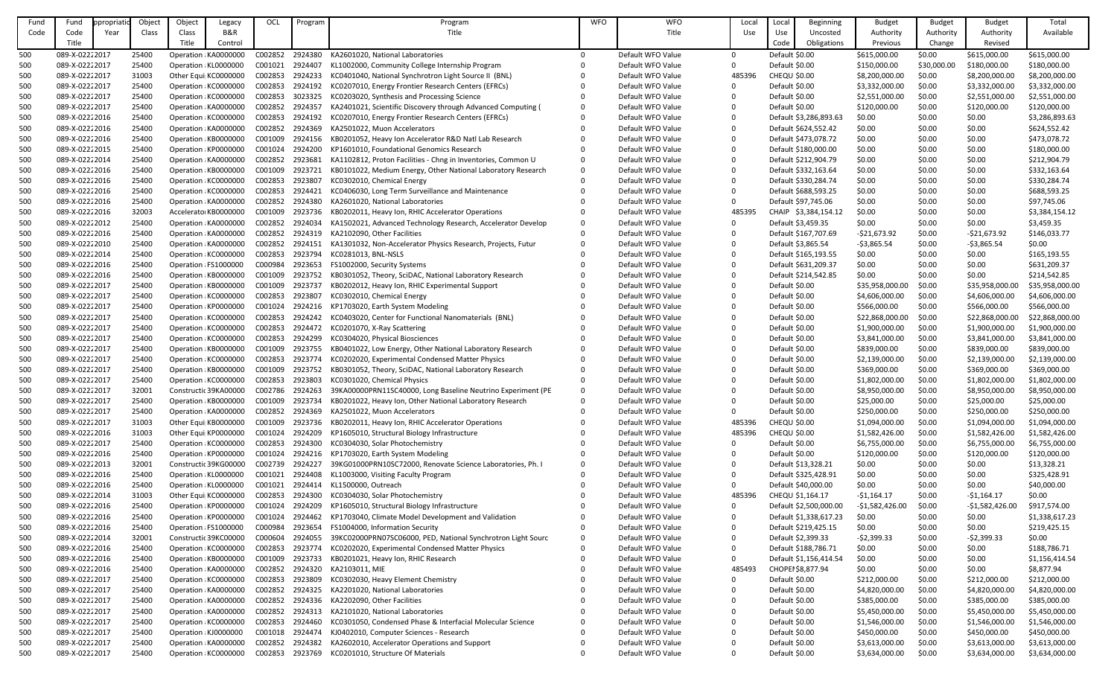| Fund | Fund           | propriatio | Object | Object | Legacy                | OCL     | Program | Program                                                           | <b>WFO</b> | <b>WFO</b>        | Local        | Local<br>Beginning     | <b>Budget</b>    | <b>Budget</b> | <b>Budget</b>    | Total           |
|------|----------------|------------|--------|--------|-----------------------|---------|---------|-------------------------------------------------------------------|------------|-------------------|--------------|------------------------|------------------|---------------|------------------|-----------------|
| Code | Code           | Year       | Class  | Class  | <b>B&amp;R</b>        |         |         | Title                                                             |            | Title             | Use          | Use<br>Uncosted        | Authority        | Authority     | Authority        | Available       |
|      | Title          |            |        | Title  | Control               |         |         |                                                                   |            |                   |              | Code<br>Obligations    | Previous         | Change        | Revised          |                 |
|      |                |            |        |        |                       |         |         |                                                                   |            |                   |              |                        |                  |               |                  |                 |
| 500  | 089-X-02222017 |            | 25400  |        | Operation KA0000000   | C002852 | 2924380 | KA2601020, National Laboratories                                  |            | Default WFO Value | $\mathbf{0}$ | Default \$0.00         | \$615,000.00     | \$0.00        | \$615,000.00     | \$615,000.00    |
| 500  | 089-X-02222017 |            | 25400  |        | Operation KL0000000   | C001021 | 2924407 | KL1002000, Community College Internship Program                   |            | Default WFO Value | $\Omega$     | Default \$0.00         | \$150,000.00     | \$30,000.00   | \$180,000.00     | \$180,000.00    |
| 500  | 089-X-02222017 |            | 31003  |        | Other Equi KC0000000  | C002853 | 2924233 | KC0401040, National Synchrotron Light Source II (BNL)             |            | Default WFO Value | 485396       | <b>CHEQU \$0.00</b>    | \$8,200,000.00   | \$0.00        | \$8,200,000.00   | \$8,200,000.00  |
| 500  | 089-X-02222017 |            | 25400  |        | Operation KC0000000   | C002853 | 2924192 | KC0207010, Energy Frontier Research Centers (EFRCs)               |            | Default WFO Value | $\mathbf{0}$ | Default \$0.00         | \$3,332,000.00   | \$0.00        | \$3,332,000.00   | \$3,332,000.00  |
| 500  | 089-X-02222017 |            | 25400  |        | Operation KC0000000   | C002853 | 3023325 | KC0203020, Synthesis and Processing Science                       |            | Default WFO Value | 0            | Default \$0.00         | \$2,551,000.00   | \$0.00        | \$2,551,000.00   | \$2,551,000.00  |
| 500  | 089-X-02222017 |            | 25400  |        | Operation KA0000000   | C002852 | 2924357 | KA2401021, Scientific Discovery through Advanced Computing (      |            | Default WFO Value | $\Omega$     | Default \$0.00         | \$120,000.00     | \$0.00        | \$120,000.00     | \$120,000.00    |
| 500  | 089-X-02222016 |            | 25400  |        | Operation KC0000000   | C002853 | 2924192 | KC0207010, Energy Frontier Research Centers (EFRCs)               |            | Default WFO Value | $\Omega$     | Default \$3,286,893.63 | \$0.00           | \$0.00        | \$0.00           | \$3,286,893.63  |
| 500  | 089-X-02222016 |            | 25400  |        | Operation KA0000000   | C002852 | 2924369 | KA2501022, Muon Accelerators                                      |            | Default WFO Value | $\Omega$     | Default \$624,552.42   | \$0.00           | \$0.00        | \$0.00           | \$624,552.42    |
| 500  | 089-X-02222016 |            | 25400  |        | Operation: KB0000000  | C001009 | 2924156 | KB0201052, Heavy Ion Accelerator R&D Natl Lab Research            |            | Default WFO Value | $\Omega$     | Default \$473,078.72   | \$0.00           | \$0.00        | \$0.00           | \$473,078.72    |
| 500  | 089-X-02222015 |            | 25400  |        | Operation KP0000000   | C001024 | 2924200 | KP1601010, Foundational Genomics Research                         |            | Default WFO Value |              | Default \$180,000.00   | \$0.00           | \$0.00        | \$0.00           | \$180,000.00    |
| 500  | 089-X-02222014 |            | 25400  |        | Operation KA0000000   | C002852 | 2923681 | KA1102812, Proton Facilities - Chng in Inventories, Common U      | $\Omega$   | Default WFO Value | $\Omega$     | Default \$212,904.79   | \$0.00           | \$0.00        | \$0.00           | \$212,904.79    |
| 500  | 089-X-02222016 |            | 25400  |        | Operation KB0000000   | C001009 | 2923721 | KB0101022, Medium Energy, Other National Laboratory Research      | 0          | Default WFO Value | $\Omega$     | Default \$332,163.64   | \$0.00           | \$0.00        | \$0.00           | \$332,163.64    |
| 500  | 089-X-02222016 |            | 25400  |        | Operation KC0000000   | C002853 | 2923807 | KC0302010, Chemical Energy                                        |            | Default WFO Value | $\Omega$     | Default \$330,284.74   | \$0.00           | \$0.00        | \$0.00           | \$330,284.74    |
|      | 089-X-02222016 |            | 25400  |        | Operation KC0000000   | C002853 | 2924421 | KC0406030, Long Term Surveillance and Maintenance                 |            | Default WFO Value | $\Omega$     | Default \$688,593.25   | \$0.00           | \$0.00        | \$0.00           | \$688,593.25    |
| 500  |                |            |        |        |                       |         |         |                                                                   |            |                   |              |                        |                  |               |                  |                 |
| 500  | 089-X-02222016 |            | 25400  |        | Operation KA0000000   | C002852 | 2924380 | KA2601020, National Laboratories                                  |            | Default WFO Value | $\Omega$     | Default \$97,745.06    | \$0.00           | \$0.00        | \$0.00           | \$97,745.06     |
| 500  | 089-X-02222016 |            | 32003  |        | Accelerato KB0000000  | C001009 | 2923736 | KB0202011, Heavy Ion, RHIC Accelerator Operations                 |            | Default WFO Value | 485395       | CHAIP \$3,384,154.12   | \$0.00           | \$0.00        | \$0.00           | \$3,384,154.12  |
| 500  | 089-X-02222012 |            | 25400  |        | Operation: KA0000000  | C002852 | 2924034 | KA1502021, Advanced Technology Research, Accelerator Develop      |            | Default WFO Value | $\mathbf{0}$ | Default \$3,459.35     | \$0.00           | \$0.00        | \$0.00           | \$3,459.35      |
| 500  | 089-X-02222016 |            | 25400  |        | Operation KA0000000   | C002852 | 2924319 | KA2102090, Other Facilities                                       |            | Default WFO Value | 0            | Default \$167,707.69   | $-521,673.92$    | \$0.00        | $-521,673.92$    | \$146,033.77    |
| 500  | 089-X-02222010 |            | 25400  |        | Operation KA0000000   | C002852 | 2924151 | KA1301032, Non-Accelerator Physics Research, Projects, Futur      |            | Default WFO Value | $\Omega$     | Default \$3,865.54     | $-53,865.54$     | \$0.00        | $-53,865.54$     | \$0.00          |
| 500  | 089-X-02222014 |            | 25400  |        | Operation KC0000000   | C002853 | 2923794 | KC0281013, BNL-NSLS                                               |            | Default WFO Value | $\Omega$     | Default \$165,193.55   | \$0.00           | \$0.00        | \$0.00           | \$165,193.55    |
| 500  | 089-X-02222016 |            | 25400  |        | Operation FS1000000   | C000984 | 2923653 | FS1002000, Security Systems                                       |            | Default WFO Value |              | Default \$631,209.37   | \$0.00           | \$0.00        | \$0.00           | \$631,209.37    |
| 500  | 089-X-02222016 |            | 25400  |        | Operation KB0000000   | C001009 | 2923752 | KB0301052, Theory, SciDAC, National Laboratory Research           |            | Default WFO Value | $\Omega$     | Default \$214,542.85   | \$0.00           | \$0.00        | \$0.00           | \$214,542.85    |
| 500  | 089-X-02222017 |            | 25400  |        | Operation KB0000000   | C001009 | 2923737 | KB0202012, Heavy Ion, RHIC Experimental Support                   |            | Default WFO Value | $\Omega$     | Default \$0.00         | \$35,958,000.00  | \$0.00        | \$35,958,000.00  | \$35,958,000.00 |
| 500  | 089-X-02222017 |            | 25400  |        | Operation KC0000000   | C002853 | 2923807 | KC0302010, Chemical Energy                                        |            | Default WFO Value |              | Default \$0.00         | \$4,606,000.00   | \$0.00        | \$4,606,000.00   | \$4,606,000.00  |
| 500  | 089-X-02222017 |            | 25400  |        | Operation KP0000000   | C001024 | 2924216 | KP1703020, Earth System Modeling                                  |            | Default WFO Value | $\Omega$     | Default \$0.00         | \$566,000.00     | \$0.00        | \$566,000.00     | \$566,000.00    |
| 500  | 089-X-02222017 |            | 25400  |        | Operation KC0000000   | C002853 | 2924242 | KC0403020, Center for Functional Nanomaterials (BNL)              |            | Default WFO Value |              | Default \$0.00         | \$22,868,000.00  | \$0.00        | \$22,868,000.00  | \$22,868,000.00 |
| 500  | 089-X-02222017 |            | 25400  |        | Operation KC0000000   | C002853 | 2924472 | KC0201070, X-Ray Scattering                                       |            | Default WFO Value |              | Default \$0.00         | \$1,900,000.00   | \$0.00        | \$1,900,000.00   | \$1,900,000.00  |
|      |                |            |        |        |                       |         |         |                                                                   |            |                   |              |                        |                  |               |                  |                 |
| 500  | 089-X-02222017 |            | 25400  |        | Operation KC0000000   | C002853 | 2924299 | KC0304020, Physical Biosciences                                   |            | Default WFO Value |              | Default \$0.00         | \$3,841,000.00   | \$0.00        | \$3,841,000.00   | \$3,841,000.00  |
| 500  | 089-X-02222017 |            | 25400  |        | Operation KB0000000   | C001009 |         | 2923755 KB0401022, Low Energy, Other National Laboratory Research |            | Default WFO Value |              | Default \$0.00         | \$839,000.00     | \$0.00        | \$839,000.00     | \$839,000.00    |
| 500  | 089-X-02222017 |            | 25400  |        | Operation KC0000000   | C002853 | 2923774 | KC0202020, Experimental Condensed Matter Physics                  |            | Default WFO Value |              | Default \$0.00         | \$2,139,000.00   | \$0.00        | \$2,139,000.00   | \$2,139,000.00  |
| 500  | 089-X-02222017 |            | 25400  |        | Operation: KB0000000  | C001009 | 2923752 | KB0301052, Theory, SciDAC, National Laboratory Research           |            | Default WFO Value | $\Omega$     | Default \$0.00         | \$369,000.00     | \$0.00        | \$369,000.00     | \$369,000.00    |
| 500  | 089-X-02222017 |            | 25400  |        | Operation KC0000000   | C002853 | 2923803 | KC0301020, Chemical Physics                                       | 0          | Default WFO Value | 0            | Default \$0.00         | \$1,802,000.00   | \$0.00        | \$1,802,000.00   | \$1,802,000.00  |
| 500  | 089-X-02222017 |            | 32001  |        | Constructic 39KA00000 | C002786 | 2924263 | 39KA00000PRN11SC40000, Long Baseline Neutrino Experiment (PE      | 0          | Default WFO Value | 0            | Default \$0.00         | \$8,950,000.00   | \$0.00        | \$8,950,000.00   | \$8,950,000.00  |
| 500  | 089-X-02222017 |            | 25400  |        | Operation: KB0000000  | C001009 | 2923734 | KB0201022, Heavy Ion, Other National Laboratory Research          |            | Default WFO Value | $\mathbf{0}$ | Default \$0.00         | \$25,000.00      | \$0.00        | \$25,000.00      | \$25,000.00     |
| 500  | 089-X-02222017 |            | 25400  |        | Operation KA0000000   | C002852 | 2924369 | KA2501022, Muon Accelerators                                      |            | Default WFO Value | $\mathbf{0}$ | Default \$0.00         | \$250,000.00     | \$0.00        | \$250,000.00     | \$250,000.00    |
| 500  | 089-X-02222017 |            | 31003  |        | Other Equi KB0000000  | C001009 | 2923736 | KB0202011, Heavy Ion, RHIC Accelerator Operations                 |            | Default WFO Value | 485396       | <b>CHEQU \$0.00</b>    | \$1,094,000.00   | \$0.00        | \$1,094,000.00   | \$1,094,000.00  |
| 500  | 089-X-02222016 |            | 31003  |        | Other Equi KP0000000  | C001024 | 2924209 | KP1605010, Structural Biology Infrastructure                      |            | Default WFO Value | 485396       | <b>CHEQU \$0.00</b>    | \$1,582,426.00   | \$0.00        | \$1,582,426.00   | \$1,582,426.00  |
| 500  | 089-X-02222017 |            | 25400  |        | Operation KC0000000   | C002853 | 2924300 | KC0304030, Solar Photochemistry                                   |            | Default WFO Value | $\mathbf{0}$ | Default \$0.00         | \$6,755,000.00   | \$0.00        | \$6,755,000.00   | \$6,755,000.00  |
| 500  | 089-X-02222016 |            | 25400  |        | Operation: KP0000000  | C001024 | 2924216 | KP1703020, Earth System Modeling                                  |            | Default WFO Value | $\mathbf{0}$ | Default \$0.00         | \$120,000.00     | \$0.00        | \$120,000.00     | \$120,000.00    |
| 500  | 089-X-02222013 |            | 32001  |        | Constructic 39KG00000 | C002739 | 2924227 | 39KG01000PRN10SC72000, Renovate Science Laboratories, Ph. I       |            | Default WFO Value | $\mathbf{0}$ | Default \$13,328.21    | \$0.00           | \$0.00        | \$0.00           | \$13,328.21     |
| 500  | 089-X-02222016 |            | 25400  |        | Operation KL0000000   | C001021 | 2924408 | KL1003000, Visiting Faculty Program                               |            | Default WFO Value | $\mathbf{0}$ | Default \$325,428.91   | \$0.00           | \$0.00        | \$0.00           | \$325,428.91    |
| 500  | 089-X-02222016 |            | 25400  |        | Operation KL0000000   | C001021 | 2924414 | KL1500000, Outreach                                               |            | Default WFO Value | $\mathbf{0}$ | Default \$40,000.00    | \$0.00           | \$0.00        | \$0.00           | \$40,000.00     |
|      |                |            |        |        |                       |         |         |                                                                   |            |                   |              |                        |                  |               |                  | \$0.00          |
| 500  | 089-X-02222014 |            | 31003  |        | Other Equi KC0000000  | C002853 | 2924300 | KC0304030, Solar Photochemistry                                   |            | Default WFO Value | 485396       | CHEQU \$1,164.17       | $-51,164.17$     | \$0.00        | $-51,164.17$     |                 |
| 500  | 089-X-02222016 |            | 25400  |        | Operation KP0000000   | C001024 | 2924209 | KP1605010, Structural Biology Infrastructure                      |            | Default WFO Value | $\mathbf{0}$ | Default \$2,500,000.00 | $-$1,582,426.00$ | \$0.00        | $-51,582,426.00$ | \$917,574.00    |
| 500  | 089-X-02222016 |            | 25400  |        | Operation: KP0000000  | C001024 | 2924462 | KP1703040, Climate Model Development and Validation               |            | Default WFO Value | $\mathbf{0}$ | Default \$1,338,617.23 | \$0.00           | \$0.00        | \$0.00           | \$1,338,617.23  |
| 500  | 089-X-02222016 |            | 25400  |        | Operation FS1000000   | C000984 | 2923654 | FS1004000, Information Security                                   | 0          | Default WFO Value | $\mathbf{0}$ | Default \$219,425.15   | \$0.00           | \$0.00        | \$0.00           | \$219,425.15    |
| 500  | 089-X-02222014 |            | 32001  |        | Constructic 39KC00000 | C000604 | 2924055 | 39KC02000PRN07SC06000, PED, National Synchrotron Light Sourc      | 0          | Default WFO Value | $\mathbf{0}$ | Default \$2,399.33     | $-52,399.33$     | \$0.00        | $-52,399.33$     | \$0.00          |
| 500  | 089-X-02222016 |            | 25400  |        | Operation KC0000000   | C002853 | 2923774 | KC0202020, Experimental Condensed Matter Physics                  |            | Default WFO Value | $\mathbf{0}$ | Default \$188,786.71   | \$0.00           | \$0.00        | \$0.00           | \$188,786.71    |
| 500  | 089-X-02222016 |            | 25400  |        | Operation KB0000000   | C001009 | 2923733 | KB0201021, Heavy Ion, RHIC Research                               |            | Default WFO Value | $\mathbf{0}$ | Default \$1,156,414.54 | \$0.00           | \$0.00        | \$0.00           | \$1,156,414.54  |
| 500  | 089-X-02222016 |            | 25400  |        | Operation KA0000000   | C002852 | 2924320 | KA2103011, MIE                                                    |            | Default WFO Value | 485493       | CHOPEI \$8,877.94      | \$0.00           | \$0.00        | \$0.00           | \$8,877.94      |
| 500  | 089-X-02222017 |            | 25400  |        | Operation KC0000000   | C002853 | 2923809 | KC0302030, Heavy Element Chemistry                                |            | Default WFO Value | $\mathbf{0}$ | Default \$0.00         | \$212,000.00     | \$0.00        | \$212,000.00     | \$212,000.00    |
| 500  | 089-X-02222017 |            | 25400  |        | Operation KA0000000   | C002852 | 2924325 | KA2201020, National Laboratories                                  |            | Default WFO Value | $\mathbf{0}$ | Default \$0.00         | \$4,820,000.00   | \$0.00        | \$4,820,000.00   | \$4,820,000.00  |
| 500  | 089-X-02222017 |            | 25400  |        | Operation KA0000000   | C002852 | 2924336 | KA2202090, Other Facilities                                       |            | Default WFO Value | $\mathbf{0}$ | Default \$0.00         | \$385,000.00     | \$0.00        | \$385,000.00     | \$385,000.00    |
| 500  | 089-X-02222017 |            | 25400  |        | Operation: KA0000000  | C002852 | 2924313 | KA2101020, National Laboratories                                  |            | Default WFO Value | $\mathbf{0}$ | Default \$0.00         | \$5,450,000.00   | \$0.00        | \$5,450,000.00   | \$5,450,000.00  |
| 500  | 089-X-02222017 |            | 25400  |        | Operation KC0000000   | C002853 | 2924460 | KC0301050, Condensed Phase & Interfacial Molecular Science        |            | Default WFO Value | $\Omega$     | Default \$0.00         | \$1,546,000.00   | \$0.00        | \$1,546,000.00   | \$1,546,000.00  |
| 500  | 089-X-02222017 |            | 25400  |        | Operation KJ0000000   | C001018 | 2924474 | KJ0402010, Computer Sciences - Research                           |            | Default WFO Value | $\Omega$     | Default \$0.00         | \$450,000.00     | \$0.00        | \$450,000.00     | \$450,000.00    |
| 500  | 089-X-02222017 |            | 25400  |        | Operation KA0000000   | C002852 | 2924382 | KA2602010, Accelerator Operations and Support                     |            | Default WFO Value | $\mathbf{0}$ | Default \$0.00         | \$3,613,000.00   | \$0.00        | \$3,613,000.00   | \$3,613,000.00  |
|      |                |            |        |        |                       |         |         |                                                                   |            |                   |              |                        |                  |               |                  |                 |
| 500  | 089-X-02222017 |            | 25400  |        | Operation KC0000000   | C002853 | 2923769 | KC0201010, Structure Of Materials                                 |            | Default WFO Value | $\Omega$     | Default \$0.00         | \$3,634,000.00   | \$0.00        | \$3,634,000.00   | \$3,634,000.00  |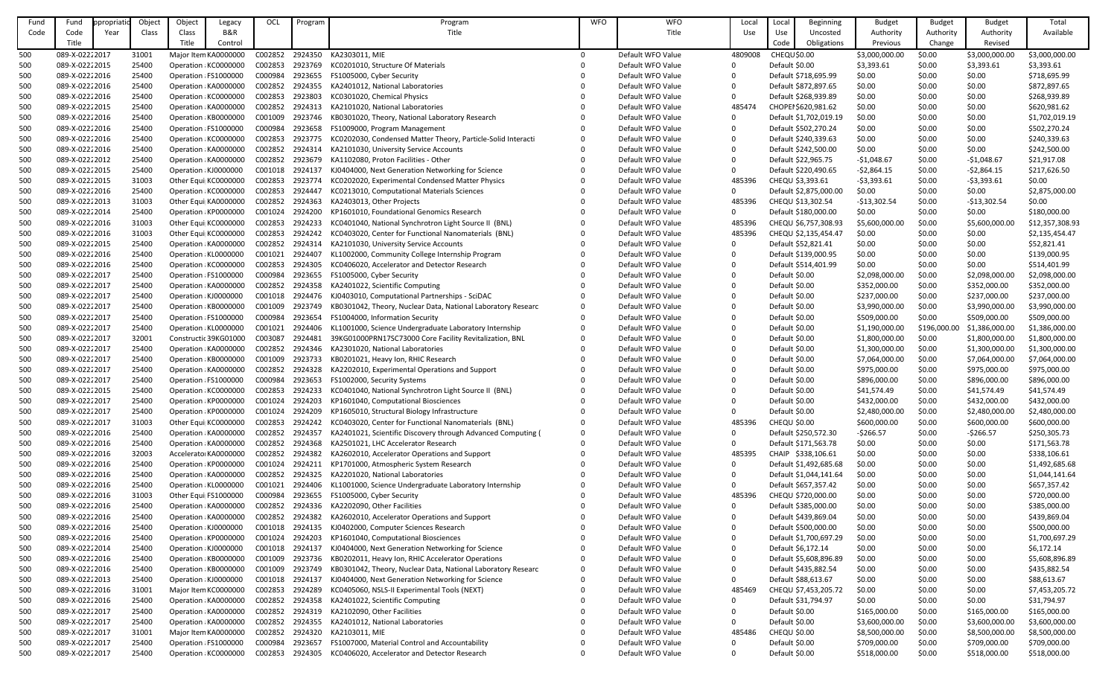| Fund | Fund           | opropriatio | Object | Object              | Legacy                | OCL     | Program | Program                                                      | <b>WFO</b> | <b>WFO</b>        | Local        | Loca                   | Beginning   | <b>Budget</b>  | <b>Budget</b> | <b>Budget</b>  | Total           |
|------|----------------|-------------|--------|---------------------|-----------------------|---------|---------|--------------------------------------------------------------|------------|-------------------|--------------|------------------------|-------------|----------------|---------------|----------------|-----------------|
| Code | Code           | Year        | Class  | Class               | <b>B&amp;R</b>        |         |         | Title                                                        |            | Title             | Use          | Use                    | Uncosted    | Authority      | Authority     | Authority      | Available       |
|      | Title          |             |        | Title               | Control               |         |         |                                                              |            |                   |              | Code                   | Obligations | Previous       | Change        | Revised        |                 |
|      | 089-X-02222017 |             |        |                     |                       |         |         |                                                              |            | Default WFO Value |              |                        |             |                |               |                |                 |
| 500  |                |             | 31001  |                     | Major Item KA0000000  | C002852 | 2924350 | KA2303011, MIE                                               | 0          |                   | 4809008      | CHEQU \$0.00           |             | \$3,000,000.00 | \$0.00        | \$3,000,000.00 | \$3,000,000.00  |
| 500  | 089-X-02222015 |             | 25400  |                     | Operation: KC0000000  | C002853 | 2923769 | KC0201010, Structure Of Materials                            |            | Default WFO Value | $\Omega$     | Default \$0.00         |             | \$3,393.61     | \$0.00        | \$3,393.61     | \$3,393.61      |
| 500  | 089-X-02222016 |             | 25400  |                     | Operation FS1000000   | C000984 | 2923655 | FS1005000, Cyber Security                                    |            | Default WFO Value | $\Omega$     | Default \$718,695.99   |             | \$0.00         | \$0.00        | \$0.00         | \$718,695.99    |
| 500  | 089-X-02222016 |             | 25400  |                     | Operation KA0000000   | C002852 | 2924355 | KA2401012, National Laboratories                             |            | Default WFO Value | $\mathbf{0}$ | Default \$872,897.65   |             | \$0.00         | \$0.00        | \$0.00         | \$872,897.65    |
| 500  | 089-X-02222016 |             | 25400  |                     | Operation: KC0000000  | C002853 | 2923803 | KC0301020, Chemical Physics                                  |            | Default WFO Value | $\Omega$     | Default \$268,939.89   |             | \$0.00         | \$0.00        | \$0.00         | \$268,939.89    |
| 500  | 089-X-02222015 |             | 25400  |                     | Operation KA0000000   | C002852 | 2924313 | KA2101020, National Laboratories                             |            | Default WFO Value | 485474       | CHOPEI \$620,981.62    |             | \$0.00         | \$0.00        | \$0.00         | \$620,981.62    |
| 500  | 089-X-02222016 |             | 25400  |                     | Operation KB0000000   | C001009 | 2923746 | KB0301020, Theory, National Laboratory Research              |            | Default WFO Value | $\mathbf{0}$ | Default \$1,702,019.19 |             | \$0.00         | \$0.00        | \$0.00         | \$1,702,019.19  |
| 500  | 089-X-02222016 |             | 25400  |                     | Operation FS1000000   | C000984 | 2923658 | FS1009000, Program Management                                |            | Default WFO Value | $\Omega$     | Default \$502,270.24   |             | \$0.00         | \$0.00        | \$0.00         | \$502,270.24    |
| 500  | 089-X-02222016 |             | 25400  |                     | Operation: KC0000000  | C002853 | 2923775 | KC0202030, Condensed Matter Theory, Particle-Solid Interacti |            | Default WFO Value | $\Omega$     | Default \$240,339.63   |             | \$0.00         | \$0.00        | \$0.00         | \$240,339.63    |
| 500  | 089-X-02222016 |             | 25400  |                     | Operation: KA0000000  | C002852 | 2924314 | KA2101030, University Service Accounts                       |            | Default WFO Value | $\Omega$     | Default \$242,500.00   |             | \$0.00         | \$0.00        | \$0.00         | \$242,500.00    |
| 500  | 089-X-02222012 |             | 25400  |                     | Operation KA0000000   | C002852 | 2923679 | KA1102080, Proton Facilities - Other                         |            | Default WFO Value | $\mathbf{0}$ | Default \$22,965.75    |             | $-51,048.67$   | \$0.00        | $-51,048.67$   | \$21,917.08     |
| 500  | 089-X-02222015 |             | 25400  | Operation KJ0000000 |                       | C001018 | 2924137 | KJ0404000, Next Generation Networking for Science            |            | Default WFO Value | $\Omega$     | Default \$220,490.65   |             | $-52,864.15$   | \$0.00        | $-52,864.15$   | \$217,626.50    |
| 500  | 089-X-02222015 |             | 31003  |                     | Other Equi KC0000000  | C002853 | 2923774 | KC0202020, Experimental Condensed Matter Physics             |            | Default WFO Value | 485396       | CHEQU \$3,393.61       |             | $-53,393.61$   | \$0.00        | $-53,393.61$   | \$0.00          |
|      |                |             |        |                     |                       |         | 2924447 |                                                              |            |                   |              |                        |             |                |               |                |                 |
| 500  | 089-X-02222016 |             | 25400  |                     | Operation: KC0000000  | C002853 |         | KC0213010, Computational Materials Sciences                  |            | Default WFO Value | $\mathbf{0}$ | Default \$2,875,000.00 |             | \$0.00         | \$0.00        | \$0.00         | \$2,875,000.00  |
| 500  | 089-X-02222013 |             | 31003  |                     | Other Equi KA0000000  | C002852 | 2924363 | KA2403013, Other Projects                                    |            | Default WFO Value | 485396       | CHEQU \$13,302.54      |             | $-$13,302.54$  | \$0.00        | $-$13,302.54$  | \$0.00          |
| 500  | 089-X-02222014 |             | 25400  |                     | Operation: KP0000000  | C001024 | 2924200 | KP1601010, Foundational Genomics Research                    |            | Default WFO Value | $\mathbf{0}$ | Default \$180,000.00   |             | \$0.00         | \$0.00        | \$0.00         | \$180,000.00    |
| 500  | 089-X-02222016 |             | 31003  |                     | Other Equi KC0000000  | C002853 | 2924233 | KC0401040, National Synchrotron Light Source II (BNL)        |            | Default WFO Value | 485396       | CHEQU \$6,757,308.93   |             | \$5,600,000.00 | \$0.00        | \$5,600,000.00 | \$12,357,308.93 |
| 500  | 089-X-02222016 |             | 31003  |                     | Other Equi KC0000000  | C002853 | 2924242 | KC0403020, Center for Functional Nanomaterials (BNL)         |            | Default WFO Value | 485396       | CHEQU \$2,135,454.47   |             | \$0.00         | \$0.00        | \$0.00         | \$2,135,454.47  |
| 500  | 089-X-02222015 |             | 25400  |                     | Operation KA0000000   | C002852 | 2924314 | KA2101030, University Service Accounts                       |            | Default WFO Value | $\Omega$     | Default \$52,821.41    |             | \$0.00         | \$0.00        | \$0.00         | \$52,821.41     |
| 500  | 089-X-02222016 |             | 25400  |                     | Operation: KL0000000  | C001021 | 2924407 | KL1002000, Community College Internship Program              |            | Default WFO Value | $\Omega$     | Default \$139,000.95   |             | \$0.00         | \$0.00        | \$0.00         | \$139,000.95    |
| 500  | 089-X-02222016 |             | 25400  |                     | Operation: KC0000000  | C002853 | 2924305 | KC0406020, Accelerator and Detector Research                 |            | Default WFO Value | $\Omega$     | Default \$514,401.99   |             | \$0.00         | \$0.00        | \$0.00         | \$514,401.99    |
| 500  | 089-X-02222017 |             | 25400  |                     | Operation FS1000000   | C000984 | 2923655 | FS1005000, Cyber Security                                    |            | Default WFO Value | $\Omega$     | Default \$0.00         |             | \$2,098,000.00 | \$0.00        | \$2,098,000.00 | \$2,098,000.00  |
| 500  | 089-X-02222017 |             | 25400  |                     | Operation: KA0000000  | C002852 | 2924358 | KA2401022, Scientific Computing                              |            | Default WFO Value | $\Omega$     | Default \$0.00         |             | \$352,000.00   | \$0.00        | \$352,000.00   | \$352,000.00    |
| 500  | 089-X-02222017 |             | 25400  | Operation KJ0000000 |                       | C001018 | 2924476 | KJ0403010, Computational Partnerships - SciDAC               |            | Default WFO Value | $\Omega$     | Default \$0.00         |             | \$237,000.00   | \$0.00        | \$237,000.00   | \$237,000.00    |
| 500  | 089-X-02222017 |             | 25400  |                     | Operation KB0000000   | C001009 | 2923749 | KB0301042, Theory, Nuclear Data, National Laboratory Researc |            | Default WFO Value | $\Omega$     | Default \$0.00         |             | \$3,990,000.00 | \$0.00        | \$3,990,000.00 | \$3,990,000.00  |
|      | 089-X-02222017 |             | 25400  |                     |                       | C000984 | 2923654 | FS1004000, Information Security                              |            | Default WFO Value | $\Omega$     | Default \$0.00         |             |                | \$0.00        | \$509,000.00   | \$509,000.00    |
| 500  |                |             |        |                     | Operation FS1000000   |         |         |                                                              |            |                   |              |                        |             | \$509,000.00   |               |                |                 |
| 500  | 089-X-02222017 |             | 25400  | Operation KL0000000 |                       | C001021 | 2924406 | KL1001000, Science Undergraduate Laboratory Internship       |            | Default WFO Value | $\Omega$     | Default \$0.00         |             | \$1,190,000.00 | \$196,000.00  | \$1,386,000.00 | \$1,386,000.00  |
| 500  | 089-X-02222017 |             | 32001  |                     | Constructic 39KG01000 | C003087 | 2924481 | 39KG01000PRN17SC73000 Core Facility Revitalization, BNL      |            | Default WFO Value |              | Default \$0.00         |             | \$1,800,000.00 | \$0.00        | \$1,800,000.00 | \$1,800,000.00  |
| 500  | 089-X-02222017 |             | 25400  |                     | Operation KA0000000   | C002852 | 2924346 | KA2301020, National Laboratories                             |            | Default WFO Value |              | Default \$0.00         |             | \$1,300,000.00 | \$0.00        | \$1,300,000.00 | \$1,300,000.00  |
| 500  | 089-X-02222017 |             | 25400  |                     | Operation: KB0000000  | C001009 | 2923733 | KB0201021, Heavy Ion, RHIC Research                          |            | Default WFO Value | $\Omega$     | Default \$0.00         |             | \$7,064,000.00 | \$0.00        | \$7,064,000.00 | \$7,064,000.00  |
| 500  | 089-X-02222017 |             | 25400  |                     | Operation KA0000000   | C002852 | 2924328 | KA2202010, Experimental Operations and Support               |            | Default WFO Value | $\mathbf{0}$ | Default \$0.00         |             | \$975,000.00   | \$0.00        | \$975,000.00   | \$975,000.00    |
| 500  | 089-X-02222017 |             | 25400  |                     | Operation FS1000000   | C000984 | 2923653 | FS1002000, Security Systems                                  |            | Default WFO Value | $\mathbf{0}$ | Default \$0.00         |             | \$896,000.00   | \$0.00        | \$896,000.00   | \$896,000.00    |
| 500  | 089-X-02222015 |             | 25400  |                     | Operation: KC0000000  | C002853 | 2924233 | KC0401040, National Synchrotron Light Source II (BNL)        |            | Default WFO Value | $\Omega$     | Default \$0.00         |             | \$41,574.49    | \$0.00        | \$41,574.49    | \$41,574.49     |
| 500  | 089-X-02222017 |             | 25400  |                     | Operation: KP0000000  | C001024 | 2924203 | KP1601040, Computational Biosciences                         |            | Default WFO Value | $\mathbf{0}$ | Default \$0.00         |             | \$432,000.00   | \$0.00        | \$432,000.00   | \$432,000.00    |
| 500  | 089-X-02222017 |             | 25400  |                     | Operation: KP0000000  | C001024 | 2924209 | KP1605010, Structural Biology Infrastructure                 |            | Default WFO Value | $\mathbf{0}$ | Default \$0.00         |             | \$2,480,000.00 | \$0.00        | \$2,480,000.00 | \$2,480,000.00  |
| 500  | 089-X-02222017 |             | 31003  |                     | Other Equi KC0000000  | C002853 | 2924242 | KC0403020, Center for Functional Nanomaterials (BNL)         |            | Default WFO Value | 485396       | <b>CHEQU \$0.00</b>    |             | \$600,000.00   | \$0.00        | \$600,000.00   | \$600,000.00    |
| 500  | 089-X-02222016 |             | 25400  |                     | Operation KA0000000   | C002852 | 2924357 | KA2401021, Scientific Discovery through Advanced Computing ( | 0          | Default WFO Value | $\mathbf{0}$ | Default \$250,572.30   |             | $-5266.57$     | \$0.00        | $-5266.57$     | \$250,305.73    |
| 500  | 089-X-02222016 |             | 25400  |                     | Operation KA0000000   | C002852 | 2924368 | KA2501021, LHC Accelerator Research                          |            | Default WFO Value | $\Omega$     | Default \$171,563.78   |             | \$0.00         | \$0.00        | \$0.00         | \$171,563.78    |
| 500  | 089-X-02222016 |             | 32003  |                     | Accelerato KA0000000  | C002852 | 2924382 | KA2602010, Accelerator Operations and Support                |            | Default WFO Value | 485395       | CHAIP \$338,106.61     |             | \$0.00         | \$0.00        | \$0.00         | \$338,106.61    |
|      | 089-X-02222016 |             | 25400  |                     | Operation KP0000000   | C001024 | 2924211 | KP1701000, Atmospheric System Research                       |            | Default WFO Value | $\mathbf{0}$ |                        |             | \$0.00         |               | \$0.00         |                 |
| 500  |                |             |        |                     |                       |         |         |                                                              |            |                   |              | Default \$1,492,685.68 |             |                | \$0.00        |                | \$1,492,685.68  |
| 500  | 089-X-02222016 |             | 25400  |                     | Operation KA0000000   | C002852 | 2924325 | KA2201020, National Laboratories                             |            | Default WFO Value | $\mathbf{0}$ | Default \$1,044,141.64 |             | \$0.00         | \$0.00        | \$0.00         | \$1,044,141.64  |
| 500  | 089-X-02222016 |             | 25400  |                     | Operation: KL0000000  | C001021 | 2924406 | KL1001000, Science Undergraduate Laboratory Internship       |            | Default WFO Value | $\Omega$     | Default \$657,357.42   |             | \$0.00         | \$0.00        | \$0.00         | \$657,357.42    |
| 500  | 089-X-02222016 |             | 31003  |                     | Other Equi FS1000000  | C000984 | 2923655 | FS1005000, Cyber Security                                    |            | Default WFO Value | 485396       | CHEQU \$720,000.00     |             | \$0.00         | \$0.00        | \$0.00         | \$720,000.00    |
| 500  | 089-X-02222016 |             | 25400  |                     | Operation KA0000000   | C002852 | 2924336 | KA2202090, Other Facilities                                  |            | Default WFO Value | $\mathbf{0}$ | Default \$385,000.00   |             | \$0.00         | \$0.00        | \$0.00         | \$385,000.00    |
| 500  | 089-X-02222016 |             | 25400  |                     | Operation KA0000000   | C002852 | 2924382 | KA2602010, Accelerator Operations and Support                |            | Default WFO Value | $\Omega$     | Default \$439,869.04   |             | \$0.00         | \$0.00        | \$0.00         | \$439,869.04    |
| 500  | 089-X-02222016 |             | 25400  |                     | Operation: KJ0000000  | C001018 | 2924135 | KJ0402000, Computer Sciences Research                        |            | Default WFO Value | $\mathbf{0}$ | Default \$500,000.00   |             | \$0.00         | \$0.00        | \$0.00         | \$500,000.00    |
| 500  | 089-X-02222016 |             | 25400  |                     | Operation KP0000000   | C001024 | 2924203 | KP1601040, Computational Biosciences                         |            | Default WFO Value | $\mathbf{0}$ | Default \$1,700,697.29 |             | \$0.00         | \$0.00        | \$0.00         | \$1,700,697.29  |
| 500  | 089-X-02222014 |             | 25400  | Operation KJ0000000 |                       | C001018 | 2924137 | KJ0404000, Next Generation Networking for Science            |            | Default WFO Value | $\mathbf{0}$ | Default \$6,172.14     |             | \$0.00         | \$0.00        | \$0.00         | \$6,172.14      |
| 500  | 089-X-02222016 |             | 25400  |                     | Operation: KB0000000  | C001009 | 2923736 | KB0202011, Heavy Ion, RHIC Accelerator Operations            |            | Default WFO Value | $\mathbf{0}$ | Default \$5,608,896.89 |             | \$0.00         | \$0.00        | \$0.00         | \$5,608,896.89  |
| 500  | 089-X-02222016 |             | 25400  |                     | Operation: KB0000000  | C001009 | 2923749 | KB0301042, Theory, Nuclear Data, National Laboratory Researc | $\Omega$   | Default WFO Value | 0            | Default \$435,882.54   |             | \$0.00         | \$0.00        | \$0.00         | \$435,882.54    |
| 500  | 089-X-02222013 |             | 25400  | Operation KJ0000000 |                       | C001018 | 2924137 | KJ0404000, Next Generation Networking for Science            |            | Default WFO Value | $\mathbf{0}$ | Default \$88,613.67    |             | \$0.00         | \$0.00        | \$0.00         | \$88,613.67     |
| 500  | 089-X-02222016 |             | 31001  |                     | Major Item KC0000000  | C002853 | 2924289 | KC0405060, NSLS-II Experimental Tools (NEXT)                 |            | Default WFO Value | 485469       | CHEQU \$7,453,205.72   |             | \$0.00         | \$0.00        | \$0.00         | \$7,453,205.72  |
| 500  | 089-X-02222016 |             | 25400  |                     | Operation KA0000000   | C002852 | 2924358 | KA2401022, Scientific Computing                              |            | Default WFO Value | $\mathbf{0}$ | Default \$31,794.97    |             | \$0.00         | \$0.00        | \$0.00         | \$31,794.97     |
|      | 089-X-02222017 |             |        |                     |                       |         | 2924319 |                                                              |            | Default WFO Value |              |                        |             |                |               |                |                 |
| 500  |                |             | 25400  |                     | Operation KA0000000   | C002852 |         | KA2102090, Other Facilities                                  |            |                   | $\mathbf{0}$ | Default \$0.00         |             | \$165,000.00   | \$0.00        | \$165,000.00   | \$165,000.00    |
| 500  | 089-X-02222017 |             | 25400  |                     | Operation KA0000000   | C002852 | 2924355 | KA2401012, National Laboratories                             |            | Default WFO Value | $\Omega$     | Default \$0.00         |             | \$3,600,000.00 | \$0.00        | \$3,600,000.00 | \$3,600,000.00  |
| 500  | 089-X-02222017 |             | 31001  |                     | Major Item KA0000000  | C002852 | 2924320 | KA2103011, MIE                                               |            | Default WFO Value | 485486       | <b>CHEQU \$0.00</b>    |             | \$8,500,000.00 | \$0.00        | \$8,500,000.00 | \$8,500,000.00  |
| 500  | 089-X-02222017 |             | 25400  |                     | Operation FS1000000   | C000984 | 2923657 | FS1007000, Material Control and Accountability               |            | Default WFO Value | $\mathbf 0$  | Default \$0.00         |             | \$709,000.00   | \$0.00        | \$709,000.00   | \$709,000.00    |
| 500  | 089-X-02222017 |             | 25400  |                     | Operation: KC0000000  | C002853 | 2924305 | KC0406020, Accelerator and Detector Research                 |            | Default WFO Value | $\mathbf{0}$ | Default \$0.00         |             | \$518,000.00   | \$0.00        | \$518,000.00   | \$518,000.00    |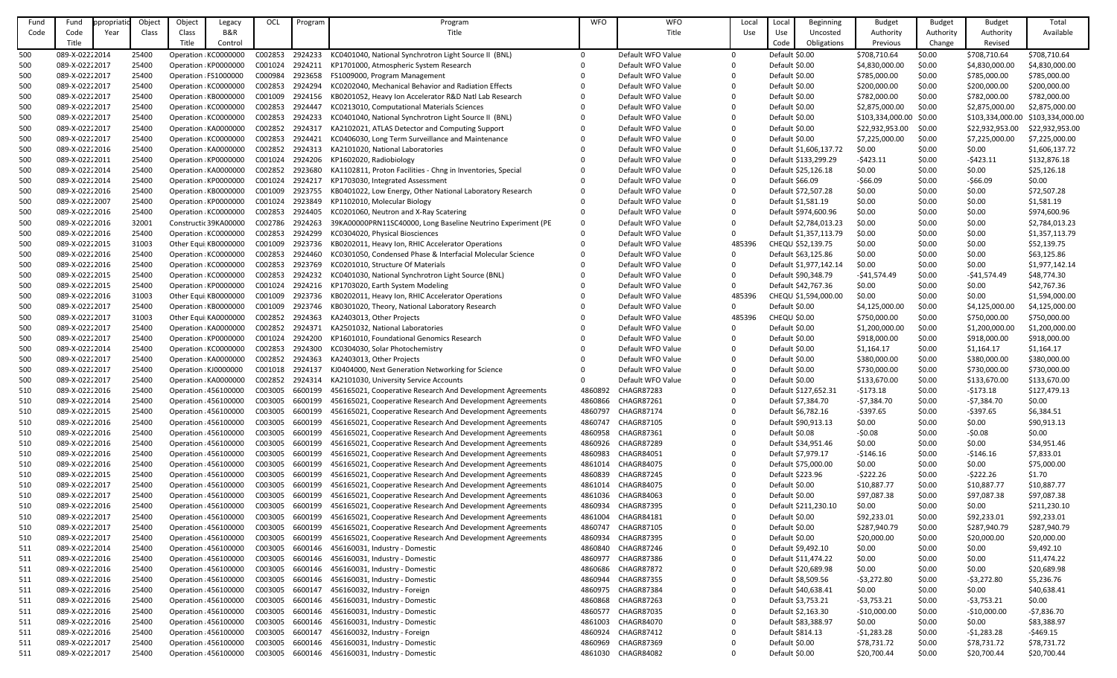| Fund | Fund           | propriatio | Object | Object | Legacy                | OCL     | Program | Program                                                      | <b>WFO</b> | <b>WFO</b>        | Local        | Loca                | Beginning              | <b>Budget</b>           | <b>Budget</b> | <b>Budget</b>    | Total            |
|------|----------------|------------|--------|--------|-----------------------|---------|---------|--------------------------------------------------------------|------------|-------------------|--------------|---------------------|------------------------|-------------------------|---------------|------------------|------------------|
| Code | Code           | Year       | Class  | Class  | <b>B&amp;R</b>        |         |         | Title                                                        |            | Title             | Use          | Use                 | Uncosted               | Authority               | Authority     | Authority        | Available        |
|      | Title          |            |        | Title  | Control               |         |         |                                                              |            |                   |              | Code                | Obligations            | Previous                | Change        | Revised          |                  |
|      |                |            |        |        |                       |         |         |                                                              |            |                   |              |                     |                        |                         |               |                  |                  |
| 500  | 089-X-02222014 |            | 25400  |        | Operation KC0000000   | C002853 | 2924233 | KC0401040, National Synchrotron Light Source II (BNL)        | $\Omega$   | Default WFO Value | $\Omega$     | Default \$0.00      |                        | \$708,710.64            | \$0.00        | \$708,710.64     | \$708,710.64     |
| 500  | 089-X-02222017 |            | 25400  |        | Operation KP0000000   | C001024 | 2924211 | KP1701000, Atmospheric System Research                       |            | Default WFO Value | $\Omega$     | Default \$0.00      |                        | \$4,830,000.00          | \$0.00        | \$4,830,000.00   | \$4,830,000.00   |
| 500  | 089-X-02222017 |            | 25400  |        | Operation FS1000000   | C000984 | 2923658 | FS1009000, Program Management                                |            | Default WFO Value | $\Omega$     | Default \$0.00      |                        | \$785,000.00            | \$0.00        | \$785,000.00     | \$785,000.00     |
| 500  | 089-X-02222017 |            | 25400  |        | Operation KC0000000   | C002853 | 2924294 | KC0202040, Mechanical Behavior and Radiation Effects         |            | Default WFO Value | $\Omega$     | Default \$0.00      |                        | \$200,000.00            | \$0.00        | \$200,000.00     | \$200,000.00     |
| 500  | 089-X-02222017 |            | 25400  |        | Operation KB0000000   | C001009 | 2924156 | KB0201052, Heavy Ion Accelerator R&D Natl Lab Research       |            | Default WFO Value | $\Omega$     | Default \$0.00      |                        | \$782,000.00            | \$0.00        | \$782,000.00     | \$782,000.00     |
| 500  | 089-X-02222017 |            | 25400  |        | Operation KC0000000   | C002853 | 2924447 | KC0213010, Computational Materials Sciences                  |            | Default WFO Value | $\Omega$     | Default \$0.00      |                        | \$2,875,000.00          | \$0.00        | \$2,875,000.00   | \$2,875,000.00   |
| 500  | 089-X-02222017 |            | 25400  |        | Operation KC0000000   | C002853 | 2924233 | KC0401040, National Synchrotron Light Source II (BNL)        |            | Default WFO Value | $\Omega$     | Default \$0.00      |                        | \$103,334,000.00 \$0.00 |               | \$103,334,000.00 | \$103,334,000.00 |
| 500  | 089-X-02222017 |            | 25400  |        | Operation KA0000000   | C002852 | 2924317 | KA2102021, ATLAS Detector and Computing Support              |            | Default WFO Value | $\Omega$     | Default \$0.00      |                        | \$22,932,953.00         | \$0.00        | \$22,932,953.00  | \$22,932,953.00  |
| 500  | 089-X-02222017 |            | 25400  |        | Operation KC0000000   | C002853 | 2924421 | KC0406030, Long Term Surveillance and Maintenance            |            | Default WFO Value | $\Omega$     | Default \$0.00      |                        | \$7,225,000.00          | \$0.00        | \$7,225,000.00   | \$7,225,000.00   |
| 500  | 089-X-02222016 |            | 25400  |        | Operation KA0000000   | C002852 | 2924313 | KA2101020, National Laboratories                             |            | Default WFO Value | $\Omega$     |                     | Default \$1,606,137.72 | \$0.00                  | \$0.00        | \$0.00           | \$1,606,137.72   |
| 500  | 089-X-02222011 |            | 25400  |        | Operation KP0000000   | C001024 | 2924206 | KP1602020, Radiobiology                                      |            | Default WFO Value | $\Omega$     |                     | Default \$133,299.29   | $-5423.11$              | \$0.00        | $-5423.11$       | \$132,876.18     |
| 500  | 089-X-02222014 |            | 25400  |        | Operation KA0000000   | C002852 | 2923680 | KA1102811, Proton Facilities - Chng in Inventories, Special  |            | Default WFO Value | $\mathbf{0}$ |                     | Default \$25,126.18    | \$0.00                  | \$0.00        | \$0.00           | \$25,126.18      |
|      |                |            |        |        |                       |         |         |                                                              |            |                   |              |                     |                        |                         |               |                  |                  |
| 500  | 089-X-02222014 |            | 25400  |        | Operation KP0000000   | C001024 | 2924217 | KP1703030, Integrated Assessment                             |            | Default WFO Value | $\Omega$     | Default \$66.09     |                        | $-566.09$               | \$0.00        | $-566.09$        | \$0.00           |
| 500  | 089-X-02222016 |            | 25400  |        | Operation KB0000000   | C001009 | 2923755 | KB0401022, Low Energy, Other National Laboratory Research    |            | Default WFO Value | $\Omega$     |                     | Default \$72,507.28    | \$0.00                  | \$0.00        | \$0.00           | \$72,507.28      |
| 500  | 089-X-02222007 |            | 25400  |        | Operation KP0000000   | C001024 | 2923849 | KP1102010, Molecular Biology                                 |            | Default WFO Value | $\mathbf{0}$ |                     | Default \$1,581.19     | \$0.00                  | \$0.00        | \$0.00           | \$1,581.19       |
| 500  | 089-X-02222016 |            | 25400  |        | Operation KC0000000   | C002853 | 2924405 | KC0201060, Neutron and X-Ray Scatering                       |            | Default WFO Value | $\Omega$     |                     | Default \$974,600.96   | \$0.00                  | \$0.00        | \$0.00           | \$974,600.96     |
| 500  | 089-X-02222016 |            | 32001  |        | Constructic 39KA00000 | C002786 | 2924263 | 39KA00000PRN11SC40000, Long Baseline Neutrino Experiment (PE |            | Default WFO Value | $\mathbf{0}$ |                     | Default \$2,784,013.23 | \$0.00                  | \$0.00        | \$0.00           | \$2,784,013.23   |
| 500  | 089-X-02222016 |            | 25400  |        | Operation KC0000000   | C002853 | 2924299 | KC0304020, Physical Biosciences                              |            | Default WFO Value | $\mathbf{0}$ |                     | Default \$1,357,113.79 | \$0.00                  | \$0.00        | \$0.00           | \$1,357,113.79   |
| 500  | 089-X-02222015 |            | 31003  |        | Other Equi KB0000000  | C001009 | 2923736 | KB0202011, Heavy Ion, RHIC Accelerator Operations            |            | Default WFO Value | 485396       |                     | CHEQU \$52,139.75      | \$0.00                  | \$0.00        | \$0.00           | \$52,139.75      |
| 500  | 089-X-02222016 |            | 25400  |        | Operation KC0000000   | C002853 | 2924460 | KC0301050, Condensed Phase & Interfacial Molecular Science   |            | Default WFO Value | $\mathbf{0}$ |                     | Default \$63,125.86    | \$0.00                  | \$0.00        | \$0.00           | \$63,125.86      |
| 500  | 089-X-02222016 |            | 25400  |        | Operation KC0000000   | C002853 | 2923769 | KC0201010, Structure Of Materials                            |            | Default WFO Value | $\mathbf{0}$ |                     | Default \$1,977,142.14 | \$0.00                  | \$0.00        | \$0.00           | \$1,977,142.14   |
| 500  | 089-X-02222015 |            | 25400  |        | Operation KC0000000   | C002853 | 2924232 | KC0401030, National Synchrotron Light Source (BNL)           |            | Default WFO Value | $\mathbf{0}$ |                     | Default \$90,348.79    | -\$41,574.49            | \$0.00        | $-541,574.49$    | \$48,774.30      |
| 500  | 089-X-02222015 |            | 25400  |        | Operation KP0000000   | C001024 | 2924216 | KP1703020, Earth System Modeling                             |            | Default WFO Value | $\Omega$     |                     | Default \$42,767.36    | \$0.00                  | \$0.00        | \$0.00           | \$42,767.36      |
| 500  | 089-X-02222016 |            | 31003  |        | Other Equi KB0000000  | C001009 | 2923736 | KB0202011, Heavy Ion, RHIC Accelerator Operations            |            | Default WFO Value | 485396       |                     | CHEQU \$1,594,000.00   | \$0.00                  | \$0.00        | \$0.00           | \$1,594,000.00   |
|      | 089-X-02222017 |            | 25400  |        |                       | C001009 | 2923746 |                                                              |            | Default WFO Value | $\mathbf{0}$ | Default \$0.00      |                        |                         | \$0.00        | \$4,125,000.00   |                  |
| 500  |                |            |        |        | Operation KB0000000   |         |         | KB0301020, Theory, National Laboratory Research              |            |                   |              |                     |                        | \$4,125,000.00          |               |                  | \$4,125,000.00   |
| 500  | 089-X-02222017 |            | 31003  |        | Other Equi KA0000000  | C002852 | 2924363 | KA2403013, Other Projects                                    |            | Default WFO Value | 485396       | <b>CHEQU \$0.00</b> |                        | \$750,000.00            | \$0.00        | \$750,000.00     | \$750,000.00     |
| 500  | 089-X-02222017 |            | 25400  |        | Operation KA0000000   | C002852 | 2924371 | KA2501032, National Laboratories                             |            | Default WFO Value | $\Omega$     | Default \$0.00      |                        | \$1,200,000.00          | \$0.00        | \$1,200,000.00   | \$1,200,000.00   |
| 500  | 089-X-02222017 |            | 25400  |        | Operation : KP0000000 | C001024 | 2924200 | KP1601010, Foundational Genomics Research                    |            | Default WFO Value | $\Omega$     | Default \$0.00      |                        | \$918,000.00            | \$0.00        | \$918,000.00     | \$918,000.00     |
| 500  | 089-X-02222014 |            | 25400  |        | Operation KC0000000   | C002853 | 2924300 | KC0304030, Solar Photochemistry                              |            | Default WFO Value | $\mathbf{0}$ | Default \$0.00      |                        | \$1,164.17              | \$0.00        | \$1,164.17       | \$1,164.17       |
| 500  | 089-X-02222017 |            | 25400  |        | Operation KA0000000   | C002852 | 2924363 | KA2403013, Other Projects                                    |            | Default WFO Value | $\Omega$     | Default \$0.00      |                        | \$380,000.00            | \$0.00        | \$380,000.00     | \$380,000.00     |
| 500  | 089-X-02222017 |            | 25400  |        | Operation KJ0000000   | C001018 | 2924137 | KJ0404000, Next Generation Networking for Science            |            | Default WFO Value | 0            | Default \$0.00      |                        | \$730,000.00            | \$0.00        | \$730,000.00     | \$730,000.00     |
| 500  | 089-X-02222017 |            | 25400  |        | Operation KA0000000   | C002852 | 2924314 | KA2101030, University Service Accounts                       | 0          | Default WFO Value | 0            | Default \$0.00      |                        | \$133,670.00            | \$0.00        | \$133,670.00     | \$133,670.00     |
| 510  | 089-X-02222016 |            | 25400  |        | Operation 456100000   | C003005 | 6600199 | 456165021, Cooperative Research And Development Agreements   | 4860892    | <b>CHAGR87283</b> | $\Omega$     |                     | Default \$127,652.31   | $-5173.18$              | \$0.00        | -\$173.18        | \$127,479.13     |
| 510  | 089-X-02222014 |            | 25400  |        | Operation 456100000   | C003005 | 6600199 | 456165021, Cooperative Research And Development Agreements   | 4860866    | <b>CHAGR87261</b> | 0            |                     | Default \$7,384.70     | $-57,384.70$            | \$0.00        | $-57,384.70$     | \$0.00           |
| 510  | 089-X-02222015 |            | 25400  |        | Operation 456100000   | C003005 | 6600199 | 456165021, Cooperative Research And Development Agreements   | 4860797    | <b>CHAGR87174</b> | $\Omega$     |                     | Default \$6,782.16     | $-5397.65$              | \$0.00        | $-5397.65$       | \$6,384.51       |
| 510  | 089-X-02222016 |            | 25400  |        | Operation 456100000   | C003005 | 6600199 | 456165021, Cooperative Research And Development Agreements   | 4860747    | CHAGR87105        | 0            |                     | Default \$90,913.13    | \$0.00                  | \$0.00        | \$0.00           | \$90,913.13      |
| 510  | 089-X-02222016 |            | 25400  |        | Operation : 456100000 | C003005 | 6600199 | 456165021, Cooperative Research And Development Agreements   | 4860958    | CHAGR87361        | 0            | Default \$0.08      |                        | $-50.08$                | \$0.00        | $-50.08$         | \$0.00           |
| 510  | 089-X-02222016 |            | 25400  |        | Operation 456100000   | C003005 | 6600199 | 456165021, Cooperative Research And Development Agreements   | 4860926    | <b>CHAGR87289</b> | $\Omega$     |                     | Default \$34,951.46    | \$0.00                  | \$0.00        | \$0.00           | \$34,951.46      |
|      |                |            |        |        |                       | C003005 | 6600199 |                                                              |            | CHAGR84051        |              |                     | Default \$7,979.17     |                         |               |                  |                  |
| 510  | 089-X-02222016 |            | 25400  |        | Operation 456100000   |         |         | 456165021, Cooperative Research And Development Agreements   | 4860983    |                   | $\Omega$     |                     |                        | $-5146.16$              | \$0.00        | -\$146.16        | \$7,833.01       |
| 510  | 089-X-02222016 |            | 25400  |        | Operation 456100000   | C003005 | 6600199 | 456165021, Cooperative Research And Development Agreements   | 4861014    | <b>CHAGR84075</b> |              |                     | Default \$75,000.00    | \$0.00                  | \$0.00        | \$0.00           | \$75,000.00      |
| 510  | 089-X-02222015 |            | 25400  |        | Operation 456100000   | C003005 | 6600199 | 456165021, Cooperative Research And Development Agreements   | 4860839    | <b>CHAGR87245</b> | 0            | Default \$223.96    |                        | $-5222.26$              | \$0.00        | $-$ \$222.26     | \$1.70           |
| 510  | 089-X-02222017 |            | 25400  |        | Operation 456100000   | C003005 | 6600199 | 456165021, Cooperative Research And Development Agreements   | 4861014    | CHAGR84075        | $\Omega$     | Default \$0.00      |                        | \$10,887.77             | \$0.00        | \$10,887.77      | \$10,887.77      |
| 510  | 089-X-02222017 |            | 25400  |        | Operation 456100000   | C003005 | 6600199 | 456165021, Cooperative Research And Development Agreements   | 4861036    | CHAGR84063        |              | Default \$0.00      |                        | \$97,087.38             | \$0.00        | \$97,087.38      | \$97,087.38      |
| 510  | 089-X-02222016 |            | 25400  |        | Operation 456100000   | C003005 | 6600199 | 456165021, Cooperative Research And Development Agreements   | 4860934    | <b>CHAGR87395</b> | $\Omega$     |                     | Default \$211,230.10   | \$0.00                  | \$0.00        | \$0.00           | \$211,230.10     |
| 510  | 089-X-02222017 |            | 25400  |        | Operation 456100000   | C003005 | 6600199 | 456165021, Cooperative Research And Development Agreements   | 4861004    | <b>CHAGR84181</b> | 0            | Default \$0.00      |                        | \$92,233.01             | \$0.00        | \$92,233.01      | \$92,233.01      |
| 510  | 089-X-02222017 |            | 25400  |        | Operation 456100000   | C003005 | 6600199 | 456165021, Cooperative Research And Development Agreements   | 4860747    | CHAGR87105        |              | Default \$0.00      |                        | \$287,940.79            | \$0.00        | \$287,940.79     | \$287,940.79     |
| 510  | 089-X-02222017 |            | 25400  |        | Operation 456100000   | C003005 | 6600199 | 456165021, Cooperative Research And Development Agreements   | 4860934    | <b>CHAGR87395</b> | $\Omega$     | Default \$0.00      |                        | \$20,000.00             | \$0.00        | \$20,000.00      | \$20,000.00      |
| 511  | 089-X-02222014 |            | 25400  |        | Operation 456100000   | C003005 | 6600146 | 456160031, Industry - Domestic                               | 4860840    | CHAGR87246        | 0            |                     | Default \$9,492.10     | \$0.00                  | \$0.00        | \$0.00           | \$9,492.10       |
| 511  | 089-X-02222016 |            | 25400  |        | Operation 456100000   | C003005 | 6600146 | 456160031, Industry - Domestic                               | 4860977    | <b>CHAGR87386</b> | 0            |                     | Default \$11,474.22    | \$0.00                  | \$0.00        | \$0.00           | \$11,474.22      |
| 511  | 089-X-02222016 |            | 25400  |        | Operation : 456100000 | C003005 | 6600146 | 456160031, Industry - Domestic                               | 4860686    | <b>CHAGR87872</b> | $\Omega$     |                     | Default \$20,689.98    | \$0.00                  | \$0.00        | \$0.00           | \$20,689.98      |
| 511  | 089-X-02222016 |            | 25400  |        | Operation 456100000   | C003005 | 6600146 | 456160031, Industry - Domestic                               | 4860944    | <b>CHAGR87355</b> |              |                     | Default \$8,509.56     | $-53,272.80$            | \$0.00        | $-53,272.80$     | \$5,236.76       |
| 511  | 089-X-02222016 |            | 25400  |        | Operation 456100000   | C003005 | 6600147 | 456160032, Industry - Foreign                                | 4860975    | CHAGR87384        | 0            |                     | Default \$40,638.41    | \$0.00                  | \$0.00        | \$0.00           | \$40,638.41      |
|      | 089-X-02222016 |            | 25400  |        | Operation : 456100000 | C003005 | 6600146 | 456160031, Industry - Domestic                               | 4860868    | <b>CHAGR87263</b> | $\Omega$     |                     | Default \$3,753.21     | $-53,753.21$            | \$0.00        | $-53,753.21$     | \$0.00           |
| 511  |                |            |        |        |                       |         |         |                                                              |            |                   |              |                     |                        |                         |               |                  |                  |
| 511  | 089-X-02222016 |            | 25400  |        | Operation 456100000   | C003005 | 6600146 | 456160031, Industry - Domestic                               | 4860577    | <b>CHAGR87035</b> |              |                     | Default \$2,163.30     | $-$10,000.00$           | \$0.00        | $-$10,000.00$    | $-57,836.70$     |
| 511  | 089-X-02222016 |            | 25400  |        | Operation 456100000   | C003005 | 6600146 | 456160031, Industry - Domestic                               | 4861003    | CHAGR84070        | 0            |                     | Default \$83,388.97    | \$0.00                  | \$0.00        | \$0.00           | \$83,388.97      |
| 511  | 089-X-02222016 |            | 25400  |        | Operation 456100000   | C003005 | 6600147 | 456160032, Industry - Foreign                                | 4860924    | <b>CHAGR87412</b> | 0            | Default \$814.13    |                        | $-51,283.28$            | \$0.00        | $-51,283.28$     | $-5469.15$       |
| 511  | 089-X-02222017 |            | 25400  |        | Operation 456100000   | C003005 | 6600146 | 456160031, Industry - Domestic                               | 4860969    | <b>CHAGR87369</b> | 0            | Default \$0.00      |                        | \$78,731.72             | \$0.00        | \$78,731.72      | \$78,731.72      |
| 511  | 089-X-02222017 |            | 25400  |        | Operation 456100000   | C003005 | 6600146 | 456160031, Industry - Domestic                               | 4861030    | <b>CHAGR84082</b> | 0            | Default \$0.00      |                        | \$20,700.44             | \$0.00        | \$20,700.44      | \$20,700.44      |
|      |                |            |        |        |                       |         |         |                                                              |            |                   |              |                     |                        |                         |               |                  |                  |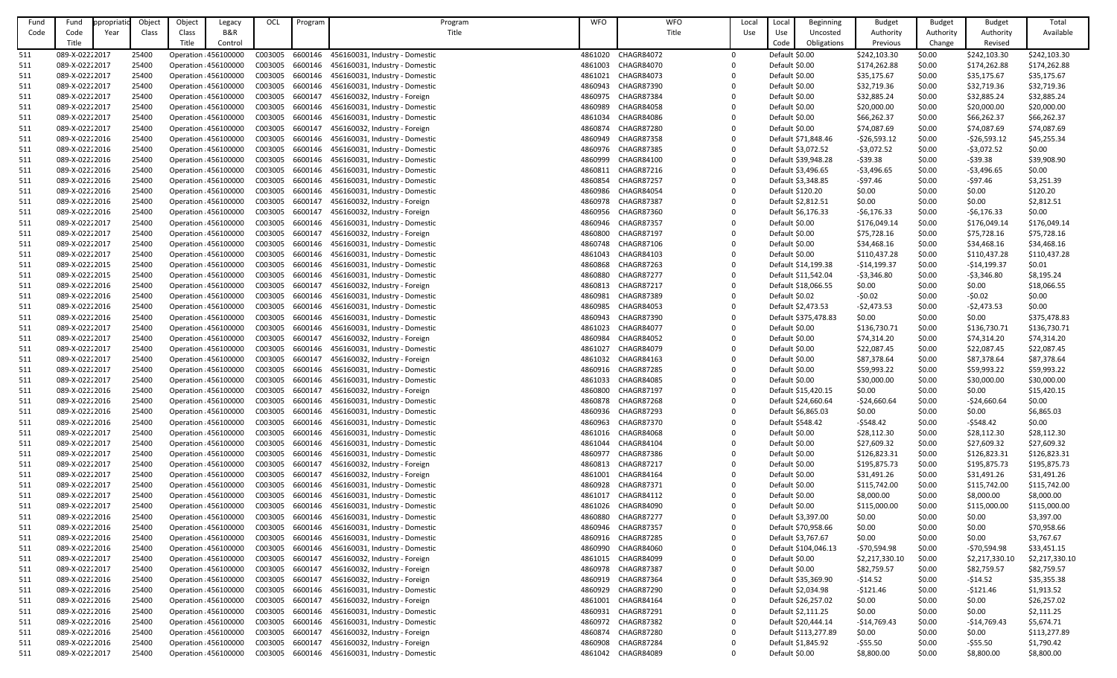| Fund              | Fund           | opropriatio | Object | Object | Legacy                | OCL     | Program | Program                                | <b>WFO</b> | <b>WFO</b>        | Local | Local              | Beginning            | <b>Budget</b>  | <b>Budget</b> | <b>Budget</b>  | Total          |
|-------------------|----------------|-------------|--------|--------|-----------------------|---------|---------|----------------------------------------|------------|-------------------|-------|--------------------|----------------------|----------------|---------------|----------------|----------------|
| Code              | Code           | Year        | Class  | Class  | B&R                   |         |         | Title                                  |            | Title             | Use   | Use                | Uncosted             | Authority      | Authority     | Authority      | Available      |
|                   | Title          |             |        | Title  | Control               |         |         |                                        |            |                   |       | Code               | Obligations          | Previous       | Change        | Revised        |                |
| 511               | 089-X-02222017 |             | 25400  |        | Operation : 456100000 | C003005 | 6600146 | 456160031, Industry - Domestic         | 4861020    | <b>CHAGR84072</b> |       | Default \$0.00     |                      | \$242,103.30   | \$0.00        | \$242,103.30   | \$242,103.30   |
| 511               | 089-X-02222017 |             | 25400  |        | Operation : 456100000 | C003005 | 6600146 | 456160031, Industry - Domestic         | 4861003    | <b>CHAGR84070</b> |       | Default \$0.00     |                      | \$174,262.88   | \$0.00        | \$174,262.88   | \$174,262.88   |
| <u>511</u>        | 089-X-02222017 |             | 25400  |        | Operation : 456100000 | C003005 | 6600146 | 456160031, Industry - Domestic         | 4861021    | CHAGR84073        |       | Default \$0.00     |                      | \$35,175.67    | \$0.00        | \$35,175.67    | \$35,175.67    |
| 511               | 089-X-02222017 |             | 25400  |        | Operation : 456100000 | C003005 | 6600146 | 456160031, Industry - Domestic         | 4860943    | <b>CHAGR87390</b> |       | Default \$0.00     |                      | \$32,719.36    | \$0.00        | \$32,719.36    | \$32,719.36    |
| 511               | 089-X-02222017 |             | 25400  |        | Operation : 456100000 | C003005 | 6600147 | 456160032, Industry - Foreign          | 4860975    | <b>CHAGR87384</b> |       | Default \$0.00     |                      | \$32,885.24    | \$0.00        | \$32,885.24    | \$32,885.24    |
| 511               | 089-X-02222017 |             | 25400  |        | Operation : 456100000 | C003005 | 6600146 | 456160031, Industry - Domestic         | 4860989    | <b>CHAGR84058</b> |       | Default \$0.00     |                      | \$20,000.00    | \$0.00        | \$20,000.00    | \$20,000.00    |
| 511               | 089-X-02222017 |             | 25400  |        | Operation : 456100000 | C003005 | 6600146 | 456160031, Industry - Domestic         | 4861034    | CHAGR84086        |       | Default \$0.00     |                      | \$66,262.37    | \$0.00        | \$66,262.37    | \$66,262.37    |
| 511               | 089-X-02222017 |             | 25400  |        | Operation : 456100000 | C003005 | 6600147 | 456160032, Industry - Foreign          | 4860874    | <b>CHAGR87280</b> |       | Default \$0.00     |                      | \$74,087.69    | \$0.00        | \$74,087.69    | \$74,087.69    |
| 511               | 089-X-02222016 |             | 25400  |        | Operation : 456100000 | C003005 | 6600146 | 456160031, Industry - Domestic         | 4860949    | <b>CHAGR87358</b> |       |                    | Default \$71,848.46  | $-526,593.12$  | \$0.00        | $-526,593.12$  | \$45,255.34    |
| 511               | 089-X-02222016 |             | 25400  |        | Operation 456100000   | C003005 | 6600146 | 456160031, Industry - Domestic         | 4860976    | <b>CHAGR87385</b> |       | Default \$3,072.52 |                      | $-53,072.52$   | \$0.00        | $-53,072.52$   | \$0.00         |
| 511               | 089-X-02222016 |             | 25400  |        | Operation : 456100000 | C003005 | 6600146 | 456160031, Industry - Domestic         | 4860999    | CHAGR84100        |       |                    | Default \$39,948.28  | $-539.38$      | \$0.00        | $-$ \$39.38    | \$39,908.90    |
| 511               | 089-X-02222016 |             | 25400  |        | Operation : 456100000 | C003005 | 6600146 | 456160031, Industry - Domestic         | 4860811    | <b>CHAGR87216</b> |       | Default \$3,496.65 |                      | $-53,496.65$   | \$0.00        | $-53,496.65$   | \$0.00         |
| 511               | 089-X-02222016 |             | 25400  |        | Operation : 456100000 | C003005 | 6600146 | 456160031, Industry - Domestic         | 4860854    | <b>CHAGR87257</b> |       | Default \$3,348.85 |                      | $-597.46$      | \$0.00        | $-597.46$      | \$3,251.39     |
| <u>511</u>        | 089-X-02222016 |             | 25400  |        | Operation : 456100000 | C003005 | 6600146 | 456160031, Industry - Domestic         | 4860986    | <b>CHAGR84054</b> |       | Default \$120.20   |                      | \$0.00         | \$0.00        | \$0.00         | \$120.20       |
| 511               | 089-X-02222016 |             | 25400  |        | Operation : 456100000 | C003005 | 6600147 | 456160032, Industry - Foreign          | 4860978    | <b>CHAGR87387</b> |       | Default \$2,812.51 |                      | \$0.00         | \$0.00        | \$0.00         | \$2,812.51     |
| 511               | 089-X-02222016 |             | 25400  |        | Operation : 456100000 | C003005 | 6600147 | 456160032, Industry - Foreign          | 4860956    | <b>CHAGR87360</b> |       | Default \$6,176.33 |                      | $-56,176.33$   | \$0.00        | $-56,176.33$   | \$0.00         |
| 511               | 089-X-02222017 |             | 25400  |        | Operation : 456100000 | C003005 | 6600146 | 456160031, Industry - Domestic         | 4860946    | <b>CHAGR87357</b> |       | Default \$0.00     |                      | \$176,049.14   | \$0.00        | \$176,049.14   | \$176,049.14   |
| 511               | 089-X-02222017 |             | 25400  |        | Operation : 456100000 | C003005 | 6600147 | 456160032, Industry - Foreign          | 4860800    | <b>CHAGR87197</b> |       | Default \$0.00     |                      | \$75,728.16    | \$0.00        | \$75,728.16    | \$75,728.16    |
| 511               | 089-X-02222017 |             | 25400  |        | Operation : 456100000 | C003005 | 6600146 | 456160031, Industry - Domestic         | 4860748    | <b>CHAGR87106</b> |       | Default \$0.00     |                      | \$34,468.16    | \$0.00        | \$34,468.16    | \$34,468.16    |
| 511               | 089-X-02222017 |             | 25400  |        | Operation : 456100000 | C003005 | 6600146 | 456160031, Industry - Domestic         | 4861043    | <b>CHAGR84103</b> |       | Default \$0.00     |                      | \$110,437.28   | \$0.00        | \$110,437.28   | \$110,437.28   |
| 511               | 089-X-02222015 |             | 25400  |        | Operation : 456100000 | C003005 | 6600146 | 456160031, Industry - Domestic         | 4860868    | <b>CHAGR87263</b> |       |                    | Default \$14,199.38  | $-514,199.37$  | \$0.00        | $-$14,199.37$  | \$0.01         |
| 511               | 089-X-02222015 |             | 25400  |        | Operation 456100000   | C003005 | 6600146 | 456160031, Industry - Domestic         | 4860880    | <b>CHAGR87277</b> |       |                    | Default \$11,542.04  | $-53,346.80$   | \$0.00        | $-53,346.80$   | \$8,195.24     |
| 511               | 089-X-02222016 |             | 25400  |        | Operation : 456100000 | C003005 | 6600147 | 456160032, Industry - Foreign          | 4860813    | <b>CHAGR87217</b> |       |                    | Default \$18,066.55  | \$0.00         | \$0.00        | \$0.00         | \$18,066.55    |
| 511               | 089-X-02222016 |             | 25400  |        | Operation : 456100000 | C003005 | 6600146 | 456160031, Industry - Domestic         | 4860981    | <b>CHAGR87389</b> |       | Default \$0.02     |                      | $-50.02$       | \$0.00        | $-50.02$       | \$0.00         |
| <u>511</u>        | 089-X-02222016 |             | 25400  |        | Operation : 456100000 | C003005 | 6600146 | 456160031, Industry - Domestic         | 4860985    | <b>CHAGR84053</b> |       | Default \$2,473.53 |                      | $-52,473.53$   | \$0.00        | $-52,473.53$   | \$0.00         |
| 511               | 089-X-02222016 |             | 25400  |        | Operation : 456100000 | C003005 | 6600146 | 456160031, Industry - Domestic         | 4860943    | <b>CHAGR87390</b> |       |                    | Default \$375,478.83 | \$0.00         | \$0.00        | \$0.00         | \$375,478.83   |
| 511               | 089-X-02222017 |             | 25400  |        | Operation 456100000   | C003005 | 6600146 | 456160031, Industry - Domestic         | 4861023    | <b>CHAGR84077</b> |       | Default \$0.00     |                      | \$136,730.71   | \$0.00        | \$136,730.71   | \$136,730.71   |
|                   | 089-X-02222017 |             | 25400  |        | Operation : 456100000 | C003005 | 6600147 | 456160032, Industry - Foreign          | 4860984    | <b>CHAGR84052</b> |       | Default \$0.00     |                      | \$74,314.20    | \$0.00        | \$74,314.20    | \$74,314.20    |
| <u>511</u><br>511 | 089-X-02222017 |             | 25400  |        | Operation 456100000   | C003005 |         | 6600146 456160031, Industry - Domestic | 4861027    | <b>CHAGR84079</b> |       | Default \$0.00     |                      | \$22,087.45    | \$0.00        | \$22,087.45    | \$22,087.45    |
| 511               | 089-X-02222017 |             | 25400  |        | Operation : 456100000 | C003005 | 6600147 | 456160032, Industry - Foreign          | 4861032    | CHAGR84163        |       | Default \$0.00     |                      | \$87,378.64    | \$0.00        | \$87,378.64    | \$87,378.64    |
| 511               | 089-X-02222017 |             | 25400  |        | Operation : 456100000 | C003005 | 6600146 | 456160031, Industry - Domestic         | 4860916    | <b>CHAGR87285</b> |       | Default \$0.00     |                      | \$59,993.22    | \$0.00        | \$59,993.22    | \$59,993.22    |
| 511               | 089-X-02222017 |             | 25400  |        | Operation : 456100000 | C003005 | 6600146 | 456160031, Industry - Domestic         | 4861033    | <b>CHAGR84085</b> |       | Default \$0.00     |                      | \$30,000.00    | \$0.00        | \$30,000.00    | \$30,000.00    |
| 511               | 089-X-02222016 |             | 25400  |        | Operation 456100000   | C003005 | 6600147 | 456160032, Industry - Foreign          | 4860800    | <b>CHAGR87197</b> |       |                    | Default \$15,420.15  | \$0.00         | \$0.00        | \$0.00         | \$15,420.15    |
| 511               | 089-X-02222016 |             | 25400  |        | Operation : 456100000 | C003005 | 6600146 | 456160031, Industry - Domestic         | 4860878    | <b>CHAGR87268</b> |       |                    | Default \$24,660.64  | $-524,660.64$  | \$0.00        | $-$24,660.64$  | \$0.00         |
| 511               | 089-X-02222016 |             | 25400  |        | Operation 456100000   | C003005 | 6600146 | 456160031, Industry - Domestic         | 4860936    | <b>CHAGR87293</b> |       | Default \$6,865.03 |                      | \$0.00         | \$0.00        | \$0.00         | \$6,865.03     |
| 511               | 089-X-02222016 |             | 25400  |        | Operation : 456100000 | C003005 | 6600146 | 456160031, Industry - Domestic         | 4860963    | <b>CHAGR87370</b> |       | Default \$548.42   |                      | $-5548.42$     | \$0.00        | $-$548.42$     | \$0.00         |
| 511               | 089-X-02222017 |             | 25400  |        | Operation : 456100000 | C003005 | 6600146 | 456160031, Industry - Domestic         | 4861016    | CHAGR84068        |       | Default \$0.00     |                      | \$28,112.30    | \$0.00        | \$28,112.30    | \$28,112.30    |
| 511               | 089-X-02222017 |             | 25400  |        | Operation 456100000   | C003005 | 6600146 | 456160031, Industry - Domestic         | 4861044    | <b>CHAGR84104</b> |       | Default \$0.00     |                      | \$27,609.32    | \$0.00        | \$27,609.32    | \$27,609.32    |
| 511               | 089-X-02222017 |             | 25400  |        | Operation : 456100000 | C003005 | 6600146 | 456160031, Industry - Domestic         | 4860977    | CHAGR87386        |       | Default \$0.00     |                      | \$126,823.31   | \$0.00        | \$126,823.31   | \$126,823.31   |
| 511               | 089-X-02222017 |             | 25400  |        | Operation 456100000   | C003005 | 6600147 | 456160032, Industry - Foreign          | 4860813    | <b>CHAGR87217</b> |       | Default \$0.00     |                      | \$195,875.73   | \$0.00        | \$195,875.73   | \$195,875.73   |
| 511               | 089-X-02222017 |             | 25400  |        | Operation : 456100000 | C003005 | 6600147 | 456160032, Industry - Foreign          | 4861001    | CHAGR84164        |       | Default \$0.00     |                      | \$31,491.26    | \$0.00        | \$31,491.26    | \$31,491.26    |
| 511               | 089-X-02222017 |             | 25400  |        | Operation : 456100000 | C003005 | 6600146 | 456160031, Industry - Domestic         | 4860928    | <b>CHAGR87371</b> |       | Default \$0.00     |                      | \$115,742.00   | \$0.00        | \$115,742.00   | \$115,742.00   |
| 511               | 089-X-02222017 |             | 25400  |        | Operation : 456100000 | C003005 | 6600146 | 456160031, Industry - Domestic         | 4861017    | <b>CHAGR84112</b> |       | Default \$0.00     |                      | \$8,000.00     | \$0.00        | \$8,000.00     | \$8,000.00     |
| 511               | 089-X-02222017 |             | 25400  |        | Operation : 456100000 | C003005 | 6600146 | 456160031, Industry - Domestic         | 4861026    | <b>CHAGR84090</b> |       | Default \$0.00     |                      | \$115,000.00   | \$0.00        | \$115,000.00   | \$115,000.00   |
| 511               | 089-X-02222016 |             | 25400  |        | Operation : 456100000 | C003005 | 6600146 | 456160031, Industry - Domestic         | 4860880    | <b>CHAGR87277</b> |       | Default \$3,397.00 |                      | \$0.00         | \$0.00        | \$0.00         | \$3,397.00     |
| 511               | 089-X-02222016 |             | 25400  |        | Operation : 456100000 | C003005 | 6600146 | 456160031, Industry - Domestic         | 4860946    | <b>CHAGR87357</b> |       |                    | Default \$70,958.66  | \$0.00         | \$0.00        | \$0.00         | \$70,958.66    |
| 511               | 089-X-02222016 |             | 25400  |        | Operation : 456100000 | C003005 | 6600146 | 456160031, Industry - Domestic         | 4860916    | <b>CHAGR87285</b> |       | Default \$3,767.67 |                      | \$0.00         | \$0.00        | \$0.00         | \$3,767.67     |
| 511               | 089-X-02222016 |             | 25400  |        | Operation : 456100000 | C003005 | 6600146 | 456160031, Industry - Domestic         | 4860990    | <b>CHAGR84060</b> |       |                    | Default \$104,046.13 | $-570,594.98$  | \$0.00        | $-570,594.98$  | \$33,451.15    |
| 511               | 089-X-02222017 |             | 25400  |        | Operation : 456100000 | C003005 | 6600147 | 456160032, Industry - Foreign          | 4861015    | <b>CHAGR84099</b> |       | Default \$0.00     |                      | \$2,217,330.10 | \$0.00        | \$2,217,330.10 | \$2,217,330.10 |
| 511               | 089-X-02222017 |             | 25400  |        | Operation : 456100000 | C003005 | 6600147 | 456160032, Industry - Foreign          | 4860978    | <b>CHAGR87387</b> |       | Default \$0.00     |                      | \$82,759.57    | \$0.00        | \$82,759.57    | \$82,759.57    |
| 511               | 089-X-02222016 |             | 25400  |        | Operation : 456100000 | C003005 | 6600147 | 456160032, Industry - Foreign          | 4860919    | CHAGR87364        |       |                    | Default \$35,369.90  | $-514.52$      | \$0.00        | $-514.52$      | \$35,355.38    |
| 511               | 089-X-02222016 |             | 25400  |        | Operation 456100000   | C003005 | 6600146 | 456160031, Industry - Domestic         | 4860929    | <b>CHAGR87290</b> |       | Default \$2,034.98 |                      | $-5121.46$     | \$0.00        | $-5121.46$     | \$1,913.52     |
| 511               | 089-X-02222016 |             | 25400  |        | Operation : 456100000 | C003005 | 6600147 | 456160032, Industry - Foreign          | 4861001    | CHAGR84164        |       |                    | Default \$26,257.02  | \$0.00         | \$0.00        | \$0.00         | \$26,257.02    |
| 511               | 089-X-02222016 |             | 25400  |        | Operation : 456100000 | C003005 | 6600146 | 456160031, Industry - Domestic         | 4860931    | <b>CHAGR87291</b> |       | Default \$2,111.25 |                      | \$0.00         | \$0.00        | \$0.00         | \$2,111.25     |
| 511               | 089-X-02222016 |             | 25400  |        | Operation 456100000   | C003005 | 6600146 | 456160031, Industry - Domestic         | 4860972    | <b>CHAGR87382</b> |       |                    | Default \$20,444.14  | $-$14,769.43$  | \$0.00        | $-$14,769.43$  | \$5,674.71     |
| 511               | 089-X-02222016 |             | 25400  |        | Operation : 456100000 | C003005 | 6600147 | 456160032, Industry - Foreign          | 4860874    | <b>CHAGR87280</b> |       |                    | Default \$113,277.89 | \$0.00         | \$0.00        | \$0.00         | \$113,277.89   |
| 511               | 089-X-02222016 |             | 25400  |        | Operation : 456100000 | C003005 | 6600147 | 456160032, Industry - Foreign          | 4860908    | <b>CHAGR87284</b> |       | Default \$1,845.92 |                      | $-555.50$      | \$0.00        | $-555.50$      | \$1,790.42     |
| 511               | 089-X-02222017 |             | 25400  |        | Operation : 456100000 | C003005 | 6600146 | 456160031, Industry - Domestic         | 4861042    | <b>CHAGR84089</b> |       | Default \$0.00     |                      | \$8,800.00     | \$0.00        | \$8,800.00     | \$8,800.00     |
|                   |                |             |        |        |                       |         |         |                                        |            |                   |       |                    |                      |                |               |                |                |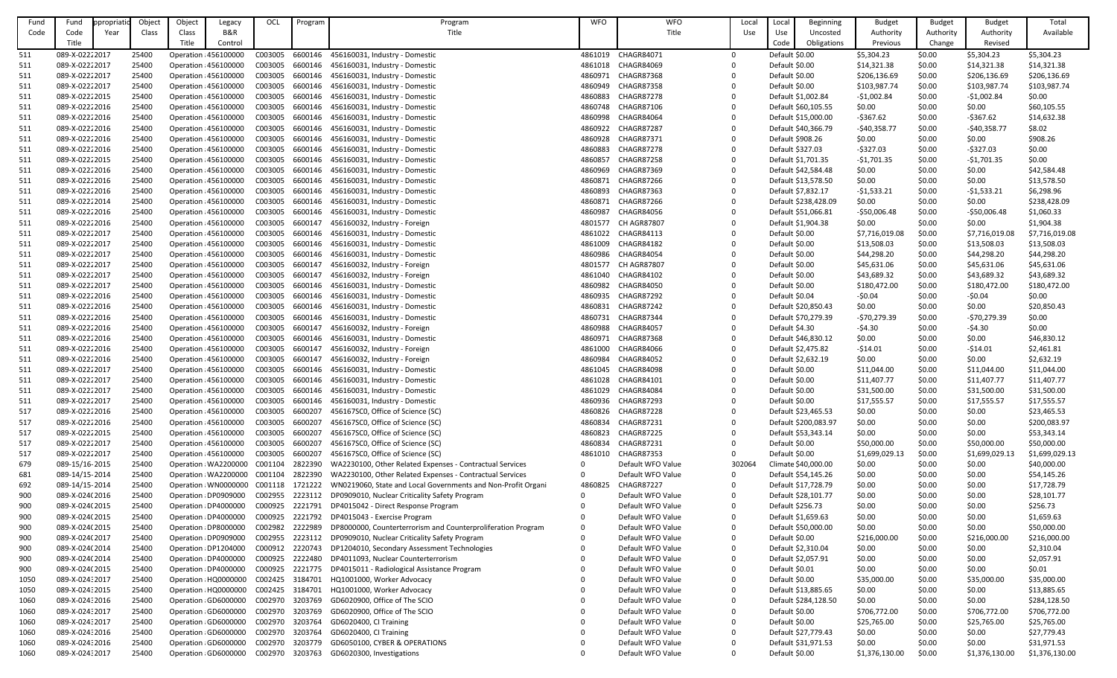| Fund       | Fund                             | propriatio | Object         | Object | Legacy                                         | OCL                | Program            | Program                                                                | <b>WFO</b>         | <b>WFO</b>                             | Local  | Local            | Beginning                                  | <b>Budget</b>            | <b>Budget</b>    | <b>Budget</b>            | Total                         |
|------------|----------------------------------|------------|----------------|--------|------------------------------------------------|--------------------|--------------------|------------------------------------------------------------------------|--------------------|----------------------------------------|--------|------------------|--------------------------------------------|--------------------------|------------------|--------------------------|-------------------------------|
| Code       | Code                             | Year       | Class          | Class  | B&R                                            |                    |                    | Title                                                                  |                    | Title                                  | Use    | Use              | Uncosted                                   | Authority                | Authority        | Authority                | Available                     |
|            | Title                            |            |                | Title  | Control                                        |                    |                    |                                                                        |                    |                                        |        | Code             | Obligations                                | Previous                 | Change           | Revised                  |                               |
| 511        | 089-X-02222017                   |            | 25400          |        | Operation : 456100000                          | C003005            | 6600146            | 456160031, Industry - Domestic                                         | 4861019            | CHAGR84071                             |        | Default \$0.00   |                                            | \$5,304.23               | \$0.00           | \$5,304.23               | \$5,304.23                    |
| 511        | 089-X-02222017                   |            | 25400          |        | Operation 456100000                            | C003005            | 6600146            | 456160031, Industry - Domestic                                         | 4861018            | CHAGR84069                             |        | Default \$0.00   |                                            | \$14,321.38              | \$0.00           | \$14,321.38              | \$14,321.38                   |
| 511        | 089-X-02222017                   |            | 25400          |        | Operation : 456100000                          | C003005            | 6600146            | 456160031, Industry - Domestic                                         | 4860971            | <b>CHAGR87368</b>                      |        | Default \$0.00   |                                            | \$206,136.69             | \$0.00           | \$206,136.69             | \$206,136.69                  |
| 511        | 089-X-02222017                   |            | 25400          |        | Operation : 456100000                          | C003005            | 6600146            | 456160031, Industry - Domestic                                         | 4860949            | <b>CHAGR87358</b>                      |        | Default \$0.00   |                                            | \$103,987.74             | \$0.00           | \$103,987.74             | \$103,987.74                  |
| 511        | 089-X-02222015                   |            | 25400          |        | Operation : 456100000                          | C003005<br>C003005 | 6600146<br>6600146 | 456160031, Industry - Domestic                                         | 4860883<br>4860748 | <b>CHAGR87278</b><br>CHAGR87106        |        |                  | Default \$1,002.84                         | $-51,002.84$             | \$0.00           | $-51,002.84$             | \$0.00                        |
| 511<br>511 | 089-X-02222016<br>089-X-02222016 |            | 25400<br>25400 |        | Operation : 456100000<br>Operation : 456100000 | C003005            | 6600146            | 456160031, Industry - Domestic<br>456160031, Industry - Domestic       | 4860998            | CHAGR84064                             |        |                  | Default \$60,105.55<br>Default \$15,000.00 | \$0.00<br>$-5367.62$     | \$0.00<br>\$0.00 | \$0.00<br>$-5367.62$     | \$60,105.55<br>\$14,632.38    |
| 511        | 089-X-02222016                   |            | 25400          |        | Operation : 456100000                          | C003005            | 6600146            | 456160031, Industry - Domestic                                         | 4860922            | <b>CHAGR87287</b>                      |        |                  | Default \$40,366.79                        | -\$40,358.77             | \$0.00           | $-$40,358.77$            | \$8.02                        |
| 511        | 089-X-02222016                   |            | 25400          |        | Operation 456100000                            | C003005            | 6600146            | 456160031, Industry - Domestic                                         | 4860928            | <b>CHAGR87371</b>                      |        | Default \$908.26 |                                            | \$0.00                   | \$0.00           | \$0.00                   | \$908.26                      |
| 511        | 089-X-02222016                   |            | 25400          |        | Operation 456100000                            | C003005            | 6600146            | 456160031, Industry - Domestic                                         | 4860883            | <b>CHAGR87278</b>                      |        | Default \$327.03 |                                            | $-5327.03$               | \$0.00           | $-5327.03$               | \$0.00                        |
| 511        | 089-X-02222015                   |            | 25400          |        | Operation 456100000                            | C003005            | 6600146            | 456160031, Industry - Domestic                                         | 4860857            | <b>CHAGR87258</b>                      |        |                  | Default \$1,701.35                         | $-51,701.35$             | \$0.00           | $-$1,701.35$             | \$0.00                        |
| 511        | 089-X-02222016                   |            | 25400          |        | Operation : 456100000                          | C003005            | 6600146            | 456160031, Industry - Domestic                                         | 4860969            | <b>CHAGR87369</b>                      |        |                  | Default \$42,584.48                        | \$0.00                   | \$0.00           | \$0.00                   | \$42,584.48                   |
| <u>511</u> | 089-X-02222016                   |            | 25400          |        | Operation : 456100000                          | C003005            | 6600146            | 456160031, Industry - Domestic                                         | 4860871            | CHAGR87266                             |        |                  | Default \$13,578.50                        | \$0.00                   | \$0.00           | \$0.00                   | \$13,578.50                   |
| 511        | 089-X-02222016                   |            | 25400          |        | Operation : 456100000                          | C003005            | 6600146            | 456160031, Industry - Domestic                                         | 4860893            | <b>CHAGR87363</b>                      |        |                  | Default \$7,832.17                         | $-51,533.21$             | \$0.00           | $-51,533.21$             | \$6,298.96                    |
| 511        | 089-X-02222014                   |            | 25400          |        | Operation : 456100000                          | C003005            | 6600146            | 456160031, Industry - Domestic                                         | 4860871            | CHAGR87266                             |        |                  | Default \$238,428.09                       | \$0.00                   | \$0.00           | \$0.00                   | \$238,428.09                  |
| 511        | 089-X-02222016                   |            | 25400          |        | Operation : 456100000                          | C003005            | 6600146            | 456160031, Industry - Domestic                                         | 4860987            | CHAGR84056                             |        |                  | Default \$51,066.81                        | $-550,006.48$            | \$0.00           | $-$50,006.48$            | \$1,060.33                    |
| 511        | 089-X-02222016                   |            | 25400          |        | Operation 456100000                            | C003005            | 6600147            | 456160032, Industry - Foreign                                          | 4801577            | <b>CH AGR87807</b>                     |        |                  | Default \$1,904.38                         | \$0.00                   | \$0.00           | \$0.00                   | \$1,904.38                    |
| 511        | 089-X-02222017                   |            | 25400          |        | Operation : 456100000                          | C003005            | 6600146            | 456160031, Industry - Domestic                                         | 4861022            | <b>CHAGR84113</b>                      |        | Default \$0.00   |                                            | \$7,716,019.08           | \$0.00           | \$7,716,019.08           | \$7,716,019.08                |
| 511        | 089-X-02222017                   |            | 25400          |        | Operation : 456100000                          | C003005            | 6600146            | 456160031, Industry - Domestic                                         | 4861009            | <b>CHAGR84182</b>                      |        | Default \$0.00   |                                            | \$13,508.03              | \$0.00           | \$13,508.03              | \$13,508.03                   |
| 511        | 089-X-02222017                   |            | 25400          |        | Operation : 456100000                          | C003005            | 6600146            | 456160031, Industry - Domestic                                         | 4860986            | CHAGR84054                             |        | Default \$0.00   |                                            | \$44,298.20              | \$0.00           | \$44,298.20              | \$44,298.20                   |
| 511        | 089-X-02222017                   |            | 25400          |        | Operation 456100000                            | C003005            | 6600147            | 456160032, Industry - Foreign                                          | 4801577            | <b>CH AGR87807</b>                     |        | Default \$0.00   |                                            | \$45,631.06              | \$0.00           | \$45,631.06              | \$45,631.06                   |
| 511        | 089-X-02222017                   |            | 25400          |        | Operation : 456100000                          | C003005            | 6600147            | 456160032, Industry - Foreign                                          | 4861040            | <b>CHAGR84102</b>                      |        | Default \$0.00   |                                            | \$43,689.32              | \$0.00           | \$43,689.32              | \$43,689.32                   |
| 511        | 089-X-02222017                   |            | 25400          |        | Operation : 456100000                          | C003005            | 6600146            | 456160031, Industry - Domestic                                         | 4860982            | <b>CHAGR84050</b>                      |        | Default \$0.00   |                                            | \$180,472.00             | \$0.00           | \$180,472.00             | \$180,472.00                  |
| 511        | 089-X-02222016                   |            | 25400          |        | Operation : 456100000                          | C003005            | 6600146            | 456160031, Industry - Domestic                                         | 4860935            | <b>CHAGR87292</b>                      |        | Default \$0.04   |                                            | $-50.04$                 | \$0.00           | $-50.04$                 | \$0.00                        |
| 511        | 089-X-02222016                   |            | 25400          |        | Operation : 456100000                          | C003005            | 6600146            | 456160031, Industry - Domestic                                         | 4860831            | CHAGR87242                             |        |                  | Default \$20,850.43                        | \$0.00                   | \$0.00           | \$0.00                   | \$20,850.43                   |
| 511        | 089-X-02222016                   |            | 25400          |        | Operation 456100000                            | C003005            | 6600146            | 456160031, Industry - Domestic                                         | 4860731            | CHAGR87344                             |        |                  | Default \$70,279.39                        | -\$70,279.39             | \$0.00           | $-570,279.39$            | \$0.00                        |
| 511        | 089-X-02222016                   |            | 25400          |        | Operation : 456100000                          | C003005            | 6600147            | 456160032, Industry - Foreign                                          | 4860988            | <b>CHAGR84057</b>                      |        | Default \$4.30   |                                            | $-54.30$                 | \$0.00           | $-54.30$                 | \$0.00                        |
| 511        | 089-X-02222016                   |            | 25400          |        | Operation : 456100000                          | C003005            |                    | 6600146 456160031, Industry - Domestic                                 | 4860971            | CHAGR87368                             |        |                  | Default \$46,830.12                        | \$0.00                   | \$0.00           | \$0.00                   | \$46,830.12                   |
| 511        | 089-X-02222016                   |            | 25400          |        | Operation : 456100000                          | C003005            | 6600147            | 456160032, Industry - Foreign                                          | 4861000            | <b>CHAGR84066</b>                      |        |                  | Default \$2,475.82                         | $-514.01$                | \$0.00           | $-514.01$                | \$2,461.81                    |
| 511        | 089-X-02222016                   |            | 25400          |        | Operation : 456100000                          | C003005            | 6600147            | 456160032, Industry - Foreign                                          | 4860984            | <b>CHAGR84052</b>                      |        |                  | Default \$2,632.19                         | \$0.00                   | \$0.00           | \$0.00                   | \$2,632.19                    |
| 511        | 089-X-02222017                   |            | 25400          |        | Operation : 456100000                          | C003005            | 6600146            | 456160031, Industry - Domestic                                         | 4861045            | <b>CHAGR84098</b>                      |        | Default \$0.00   |                                            | \$11,044.00              | \$0.00           | \$11,044.00              | \$11,044.00                   |
| 511        | 089-X-02222017                   |            | 25400          |        | Operation : 456100000                          | C003005            | 6600146            | 456160031, Industry - Domestic                                         | 4861028            | CHAGR84101                             |        | Default \$0.00   |                                            | \$11,407.77              | \$0.00           | \$11,407.77              | \$11,407.77                   |
| 511        | 089-X-02222017                   |            | 25400          |        | Operation : 456100000                          | C003005            | 6600146            | 456160031, Industry - Domestic                                         | 4861029            | CHAGR84084                             |        | Default \$0.00   |                                            | \$31,500.00              | \$0.00           | \$31,500.00              | \$31,500.00                   |
| 511        | 089-X-02222017                   |            | 25400          |        | Operation 456100000                            | C003005            | 6600146            | 456160031, Industry - Domestic                                         | 4860936            | <b>CHAGR87293</b>                      |        | Default \$0.00   |                                            | \$17,555.57              | \$0.00           | \$17,555.57              | \$17,555.57                   |
| 517        | 089-X-02222016                   |            | 25400          |        | Operation : 456100000                          | C003005            | 6600207            | 456167SC0, Office of Science (SC)                                      | 4860826            | <b>CHAGR87228</b>                      |        |                  | Default \$23,465.53                        | \$0.00                   | \$0.00           | \$0.00                   | \$23,465.53                   |
| 517        | 089-X-02222016                   |            | 25400          |        | Operation : 456100000                          | C003005            | 6600207            | 456167SC0, Office of Science (SC)                                      | 4860834            | <b>CHAGR87231</b>                      |        |                  | Default \$200,083.97                       | \$0.00                   | \$0.00           | \$0.00                   | \$200,083.97                  |
| 517        | 089-X-02222015                   |            | 25400          |        | Operation 456100000                            | C003005            | 6600207            | 456167SC0, Office of Science (SC)                                      | 4860823            | <b>CHAGR87225</b>                      |        |                  | Default \$53,343.14                        | \$0.00                   | \$0.00           | \$0.00                   | \$53,343.14                   |
| 517        | 089-X-02222017<br>089-X-02222017 |            | 25400          |        | Operation : 456100000                          | C003005            | 6600207<br>6600207 | 456167SC0, Office of Science (SC)<br>456167SC0, Office of Science (SC) | 4860834            | <b>CHAGR87231</b><br><b>CHAGR87353</b> |        | Default \$0.00   |                                            | \$50,000.00              | \$0.00           | \$50,000.00              | \$50,000.00                   |
| 517        | 089-15/16-2015                   |            | 25400<br>25400 |        | Operation : 456100000<br>Operation WA2200000   | C003005<br>C001104 | 2822390            | WA2230100, Other Related Expenses - Contractual Services               | 4861010            | Default WFO Value                      | 302064 | Default \$0.00   | Climate \$40,000.00                        | \$1,699,029.13<br>\$0.00 | \$0.00<br>\$0.00 | \$1,699,029.13<br>\$0.00 | \$1,699,029.13<br>\$40,000.00 |
| 679<br>681 | 089-14/15-2014                   |            | 25400          |        | Operation WA2200000                            | C001104            | 2822390            | WA2230100, Other Related Expenses - Contractual Services               | $\Omega$           | Default WFO Value                      |        |                  | Default \$54,145.26                        | \$0.00                   | \$0.00           | \$0.00                   | \$54,145.26                   |
| 692        | 089-14/15-2014                   |            | 25400          |        | Operation : WN0000000                          | C001118            | 1721222            | WN0219060, State and Local Governments and Non-Profit Organi           | 4860825            | <b>CHAGR87227</b>                      |        |                  | Default \$17,728.79                        | \$0.00                   | \$0.00           | \$0.00                   | \$17,728.79                   |
| 900        | 089-X-024(2016                   |            | 25400          |        | Operation : DP0909000                          | C002955            | 2223112            | DP0909010, Nuclear Criticality Safety Program                          |                    | Default WFO Value                      |        |                  | Default \$28,101.77                        | \$0.00                   | \$0.00           | \$0.00                   | \$28,101.77                   |
| 900        | 089-X-024(2015                   |            | 25400          |        | Operation : DP4000000                          | C000925            | 2221791            | DP4015042 - Direct Response Program                                    |                    | Default WFO Value                      |        | Default \$256.73 |                                            | \$0.00                   | \$0.00           | \$0.00                   | \$256.73                      |
| 900        | 089-X-024(2015                   |            | 25400          |        | Operation : DP4000000                          | C000925            | 2221792            | DP4015043 - Exercise Program                                           |                    | Default WFO Value                      |        |                  | Default \$1,659.63                         | \$0.00                   | \$0.00           | \$0.00                   | \$1,659.63                    |
| 900        | 089-X-024(2015                   |            | 25400          |        | Operation : DP8000000                          | C002982            | 2222989            | DP8000000, Counterterrorism and Counterproliferation Program           | $\Omega$           | Default WFO Value                      |        |                  | Default \$50,000.00                        | \$0.00                   | \$0.00           | \$0.00                   | \$50,000.00                   |
| 900        | 089-X-024(2017                   |            | 25400          |        | Operation : DP0909000                          | C002955            | 2223112            | DP0909010, Nuclear Criticality Safety Program                          |                    | Default WFO Value                      |        | Default \$0.00   |                                            | \$216,000.00             | \$0.00           | \$216,000.00             | \$216,000.00                  |
| 900        | 089-X-024(2014                   |            | 25400          |        | Operation : DP1204000                          | C000912            | 2220743            | DP1204010, Secondary Assessment Technologies                           |                    | Default WFO Value                      |        |                  | Default \$2,310.04                         | \$0.00                   | \$0.00           | \$0.00                   | \$2,310.04                    |
| 900        | 089-X-024(2014                   |            | 25400          |        | Operation : DP4000000                          | C000925            | 2222480            | DP4011093, Nuclear Counterterrorism                                    |                    | Default WFO Value                      |        |                  | Default \$2,057.91                         | \$0.00                   | \$0.00           | \$0.00                   | \$2,057.91                    |
| 900        | 089-X-024(2015                   |            | 25400          |        | Operation : DP4000000                          | C000925            | 2221775            | DP4015011 - Radiological Assistance Program                            |                    | Default WFO Value                      |        | Default \$0.01   |                                            | \$0.00                   | \$0.00           | \$0.00                   | \$0.01                        |
| 1050       | 089-X-02432017                   |            | 25400          |        | Operation : HQ0000000                          | C002425            | 3184701            | HQ1001000, Worker Advocacy                                             |                    | Default WFO Value                      |        | Default \$0.00   |                                            | \$35,000.00              | \$0.00           | \$35,000.00              | \$35,000.00                   |
| 1050       | 089-X-024:2015                   |            | 25400          |        | Operation HQ0000000                            | C002425            | 3184701            | HQ1001000, Worker Advocacy                                             |                    | Default WFO Value                      |        |                  | Default \$13,885.65                        | \$0.00                   | \$0.00           | \$0.00                   | \$13,885.65                   |
| 1060       | 089-X-02432016                   |            | 25400          |        | Operation GD6000000                            | C002970            | 3203769            | GD6020900, Office of The SCIO                                          |                    | Default WFO Value                      |        |                  | Default \$284,128.50                       | \$0.00                   | \$0.00           | \$0.00                   | \$284,128.50                  |
| 1060       | 089-X-02432017                   |            | 25400          |        | Operation : GD6000000                          | C002970            | 3203769            | GD6020900, Office of The SCIO                                          |                    | Default WFO Value                      |        | Default \$0.00   |                                            | \$706,772.00             | \$0.00           | \$706,772.00             | \$706,772.00                  |
| 1060       | 089-X-02432017                   |            | 25400          |        | Operation : GD6000000                          | C002970            | 3203764            | GD6020400, CI Training                                                 |                    | Default WFO Value                      |        | Default \$0.00   |                                            | \$25,765.00              | \$0.00           | \$25,765.00              | \$25,765.00                   |
| 1060       | 089-X-024:2016                   |            | 25400          |        | Operation GD6000000                            | C002970            | 3203764            | GD6020400, CI Training                                                 |                    | Default WFO Value                      |        |                  | Default \$27,779.43                        | \$0.00                   | \$0.00           | \$0.00                   | \$27,779.43                   |
| 1060       | 089-X-024:2016                   |            | 25400          |        | Operation GD6000000                            | C002970            | 3203779            | GD6050100, CYBER & OPERATIONS                                          |                    | Default WFO Value                      |        |                  | Default \$31,971.53                        | \$0.00                   | \$0.00           | \$0.00                   | \$31,971.53                   |
| 1060       | 089-X-024:2017                   |            | 25400          |        | Operation GD6000000                            | C002970            | 3203763            | GD6020300, Investigations                                              |                    | Default WFO Value                      |        | Default \$0.00   |                                            | \$1,376,130.00           | \$0.00           | \$1,376,130.00           | \$1,376,130.00                |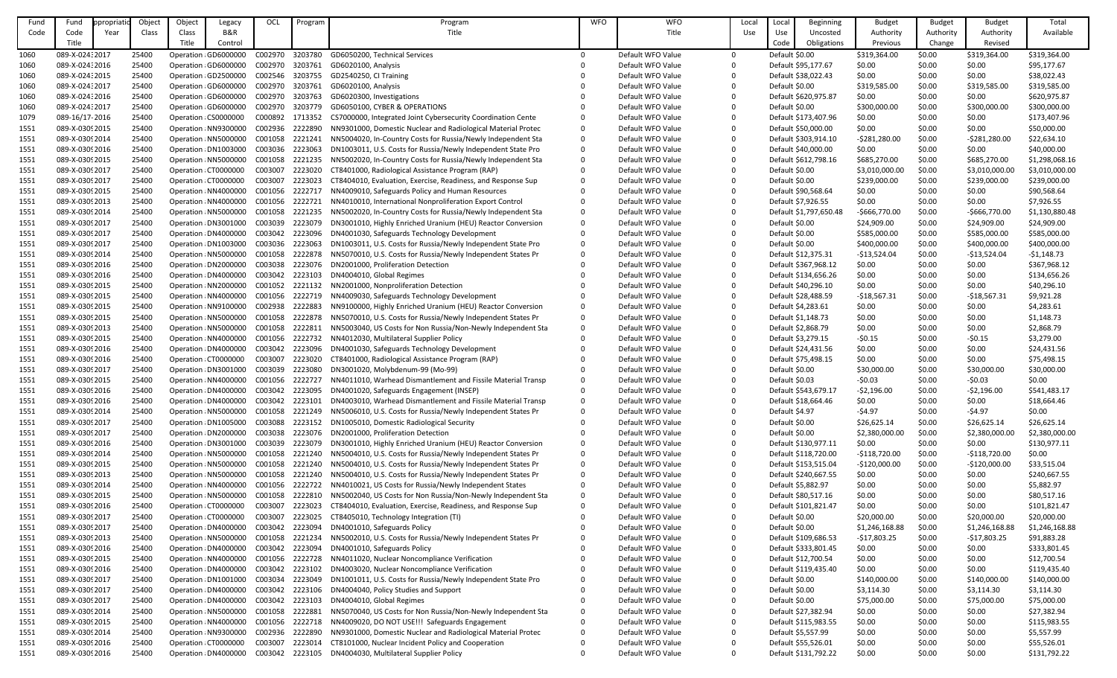| Fund | Fund            | propriati | Object | Object | Legacy                | OCL             | Program | Program                                                      | <b>WFO</b>   | <b>WFO</b>        | Local      | Local          | <b>Beginning</b>       | <b>Budget</b>  | <b>Budget</b> | <b>Budget</b>  | Total          |
|------|-----------------|-----------|--------|--------|-----------------------|-----------------|---------|--------------------------------------------------------------|--------------|-------------------|------------|----------------|------------------------|----------------|---------------|----------------|----------------|
| Code | Code            | Year      | Class  | Class  | B&R                   |                 |         | Title                                                        |              | Title             | <b>Use</b> | Use            | Uncosted               | Authority      | Authority     | Authority      | Available      |
|      | Title           |           |        | Title  | Control               |                 |         |                                                              |              |                   |            | Code           | Obligations            | Previous       | Change        | Revised        |                |
|      |                 |           |        |        |                       |                 |         | GD6050200, Technical Services                                | $\Omega$     | Default WFO Value |            |                |                        |                |               |                |                |
| 1060 | 089-X-024:2017  |           | 25400  |        | Operation: GD6000000  | C002970         | 3203780 |                                                              |              |                   |            | Default \$0.00 |                        | \$319,364.00   | \$0.00        | \$319,364.00   | \$319,364.00   |
| 1060 | 089-X-024:2016  |           | 25400  |        | Operation GD6000000   | C002970 3203761 |         | GD6020100, Analysis                                          |              | Default WFO Value |            |                | Default \$95,177.67    | \$0.00         | \$0.00        | \$0.00         | \$95,177.67    |
| 1060 | 089-X-024: 2015 |           | 25400  |        | Operation GD2500000   | C002546         | 3203755 | GD2540250, CI Training                                       |              | Default WFO Value |            |                | Default \$38,022.43    | \$0.00         | \$0.00        | \$0.00         | \$38,022.43    |
| 1060 | 089-X-02432017  |           | 25400  |        | Operation: GD6000000  | C002970         | 3203761 | GD6020100, Analysis                                          |              | Default WFO Value |            | Default \$0.00 |                        | \$319,585.00   | \$0.00        | \$319,585.00   | \$319,585.00   |
| 1060 | 089-X-024:2016  |           | 25400  |        | Operation GD6000000   | C002970         | 3203763 | GD6020300, Investigations                                    |              | Default WFO Value |            |                | Default \$620,975.87   | \$0.00         | \$0.00        | \$0.00         | \$620,975.87   |
| 1060 | 089-X-024:2017  |           | 25400  |        | Operation GD6000000   | C002970         | 3203779 | GD6050100, CYBER & OPERATIONS                                |              | Default WFO Value |            | Default \$0.00 |                        | \$300,000.00   | \$0.00        | \$300,000.00   | \$300,000.00   |
| 1079 | 089-16/17-2016  |           | 25400  |        | Operation CS0000000   | C000892         | 1713352 | CS7000000, Integrated Joint Cybersecurity Coordination Cente |              | Default WFO Value |            |                | Default \$173,407.96   | \$0.00         | \$0.00        | \$0.00         | \$173,407.96   |
| 1551 | 089-X-03092015  |           | 25400  |        | Operation NN9300000   | C002936         | 2222890 | NN9301000, Domestic Nuclear and Radiological Material Protec | 0            | Default WFO Value |            |                | Default \$50,000.00    | \$0.00         | \$0.00        | \$0.00         | \$50,000.00    |
| 1551 | 089-X-03092014  |           | 25400  |        | Operation : NN5000000 | C001058         | 2221241 | NN5004020, In-Country Costs for Russia/Newly Independent Sta |              | Default WFO Value |            |                | Default \$303,914.10   | $-5281,280.00$ | \$0.00        | $-5281,280.00$ | \$22,634.10    |
| 1551 | 089-X-03092016  |           | 25400  |        | Operation DN1003000   | C003036         | 2223063 | DN1003011, U.S. Costs for Russia/Newly Independent State Pro |              | Default WFO Value |            |                | Default \$40,000.00    | \$0.00         | \$0.00        | \$0.00         | \$40,000.00    |
| 1551 | 089-X-03092015  |           | 25400  |        | Operation : NN5000000 | C001058         | 2221235 | NN5002020, In-Country Costs for Russia/Newly Independent Sta | 0            | Default WFO Value |            |                | Default \$612,798.16   | \$685,270.00   | \$0.00        | \$685,270.00   | \$1,298,068.16 |
| 1551 | 089-X-03092017  |           | 25400  |        | Operation CT0000000   | C003007         | 2223020 | CT8401000, Radiological Assistance Program (RAP)             |              | Default WFO Value |            | Default \$0.00 |                        | \$3,010,000.00 | \$0.00        | \$3,010,000.00 | \$3,010,000.00 |
| 1551 | 089-X-03092017  |           | 25400  |        | Operation : CT0000000 | C003007         | 2223023 | CT8404010, Evaluation, Exercise, Readiness, and Response Sup |              | Default WFO Value |            | Default \$0.00 |                        | \$239,000.00   | \$0.00        | \$239,000.00   | \$239,000.00   |
| 1551 | 089-X-03092015  |           | 25400  |        | Operation : NN4000000 | C001056         | 2222717 | NN4009010, Safeguards Policy and Human Resources             |              | Default WFO Value |            |                | Default \$90,568.64    | \$0.00         | \$0.00        | \$0.00         | \$90,568.64    |
| 1551 | 089-X-03092013  |           | 25400  |        | Operation: NN4000000  | C001056         | 2222721 | NN4010010, International Nonproliferation Export Control     |              | Default WFO Value |            |                | Default \$7,926.55     | \$0.00         | \$0.00        | \$0.00         | \$7,926.55     |
| 1551 | 089-X-03092014  |           | 25400  |        | Operation: NN5000000  | C001058         | 2221235 | NN5002020, In-Country Costs for Russia/Newly Independent Sta | $\Omega$     | Default WFO Value |            |                | Default \$1,797,650.48 | $-$666,770.00$ | \$0.00        | $-$666,770.00$ | \$1,130,880.48 |
| 1551 | 089-X-03092017  |           | 25400  |        | Operation DN3001000   | C003039         | 2223079 | DN3001010, Highly Enriched Uranium (HEU) Reactor Conversion  |              | Default WFO Value |            | Default \$0.00 |                        | \$24,909.00    | \$0.00        | \$24,909.00    | \$24,909.00    |
| 1551 | 089-X-03092017  |           | 25400  |        | Operation : DN4000000 | C003042         | 2223096 | DN4001030, Safeguards Technology Development                 |              | Default WFO Value |            | Default \$0.00 |                        | \$585,000.00   | \$0.00        | \$585,000.00   | \$585,000.00   |
|      |                 |           |        |        |                       |                 |         |                                                              |              |                   |            |                |                        |                |               |                |                |
| 1551 | 089-X-03092017  |           | 25400  |        | Operation DN1003000   | C003036         | 2223063 | DN1003011, U.S. Costs for Russia/Newly Independent State Pro |              | Default WFO Value |            | Default \$0.00 |                        | \$400,000.00   | \$0.00        | \$400,000.00   | \$400,000.00   |
| 1551 | 089-X-03092014  |           | 25400  |        | Operation NN5000000   | C001058         | 2222878 | NN5070010, U.S. Costs for Russia/Newly Independent States Pr |              | Default WFO Value |            |                | Default \$12,375.31    | $-$13,524.04$  | \$0.00        | $-$13,524.04$  | $-51,148.73$   |
| 1551 | 089-X-03092016  |           | 25400  |        | Operation DN2000000   | C003038         | 2223076 | DN2001000, Proliferation Detection                           |              | Default WFO Value |            |                | Default \$367,968.12   | \$0.00         | \$0.00        | \$0.00         | \$367,968.12   |
| 1551 | 089-X-03092016  |           | 25400  |        | Operation : DN4000000 | C003042         | 2223103 | DN4004010, Global Regimes                                    |              | Default WFO Value |            |                | Default \$134,656.26   | \$0.00         | \$0.00        | \$0.00         | \$134,656.26   |
| 1551 | 089-X-03092015  |           | 25400  |        | Operation NN2000000   | C001052         | 2221132 | NN2001000, Nonproliferation Detection                        |              | Default WFO Value |            |                | Default \$40,296.10    | \$0.00         | \$0.00        | \$0.00         | \$40,296.10    |
| 1551 | 089-X-03092015  |           | 25400  |        | Operation NN4000000   | C001056         | 2222719 | NN4009030, Safeguards Technology Development                 |              | Default WFO Value |            |                | Default \$28,488.59    | $-$18,567.31$  | \$0.00        | $-$18,567.31$  | \$9,921.28     |
| 1551 | 089-X-03092015  |           | 25400  |        | Operation NN9100000   | C002938         | 2222883 | NN9100000, Highly Enriched Uranium (HEU) Reactor Conversion  |              | Default WFO Value |            |                | Default \$4,283.61     | \$0.00         | \$0.00        | \$0.00         | \$4,283.61     |
| 1551 | 089-X-03092015  |           | 25400  |        | Operation NN5000000   | C001058         | 2222878 | NN5070010, U.S. Costs for Russia/Newly Independent States Pr |              | Default WFO Value |            |                | Default \$1,148.73     | \$0.00         | \$0.00        | \$0.00         | \$1,148.73     |
| 1551 | 089-X-03092013  |           | 25400  |        | Operation NN5000000   | C001058         | 2222811 | NN5003040, US Costs for Non Russia/Non-Newly Independent Sta | <sup>0</sup> | Default WFO Value |            |                | Default \$2,868.79     | \$0.00         | \$0.00        | \$0.00         | \$2,868.79     |
| 1551 | 089-X-0309 2015 |           | 25400  |        | Operation NN4000000   | C001056         | 2222732 | NN4012030, Multilateral Supplier Policy                      |              | Default WFO Value |            |                | Default \$3,279.15     | $-50.15$       | \$0.00        | $-50.15$       | \$3,279.00     |
| 1551 | 089-X-03092016  |           | 25400  |        | Operation DN4000000   | C003042         | 2223096 | DN4001030, Safeguards Technology Development                 |              | Default WFO Value |            |                | Default \$24,431.56    | \$0.00         | \$0.00        | \$0.00         | \$24,431.56    |
| 1551 | 089-X-0309 2016 |           | 25400  |        | Operation : CT0000000 | C003007         | 2223020 | CT8401000, Radiological Assistance Program (RAP)             |              | Default WFO Value |            |                | Default \$75,498.15    | \$0.00         | \$0.00        | \$0.00         | \$75,498.15    |
| 1551 | 089-X-03092017  |           | 25400  |        | Operation DN3001000   | C003039         | 2223080 | DN3001020, Molybdenum-99 (Mo-99)                             |              | Default WFO Value |            | Default \$0.00 |                        | \$30,000.00    | \$0.00        | \$30,000.00    | \$30,000.00    |
| 1551 | 089-X-03092015  |           | 25400  |        | Operation NN4000000   | C001056         | 2222727 | NN4011010, Warhead Dismantlement and Fissile Material Transp | $\Omega$     | Default WFO Value |            | Default \$0.03 |                        | $-50.03$       | \$0.00        | $-50.03$       | \$0.00         |
| 1551 | 089-X-0309 2016 |           | 25400  |        | Operation : DN4000000 | C003042         | 2223095 | DN4001020, Safeguards Engagement (INSEP)                     |              | Default WFO Value |            |                | Default \$543,679.17   | $-52,196.00$   | \$0.00        | $-52,196.00$   | \$541,483.17   |
| 1551 | 089-X-0309 2016 |           | 25400  |        | Operation: DN4000000  | C003042         | 2223101 | DN4003010, Warhead Dismantlement and Fissile Material Transp | $\Omega$     | Default WFO Value |            |                | Default \$18,664.46    | \$0.00         | \$0.00        | \$0.00         | \$18,664.46    |
| 1551 | 089-X-03092014  |           | 25400  |        | Operation NN5000000   | C001058         | 2221249 | NN5006010, U.S. Costs for Russia/Newly Independent States Pr | $\Omega$     | Default WFO Value |            | Default \$4.97 |                        | $-54.97$       | \$0.00        | $-54.97$       | \$0.00         |
| 1551 | 089-X-03092017  |           | 25400  |        | Operation : DN1005000 | C003088         | 2223152 | DN1005010, Domestic Radiological Security                    |              | Default WFO Value |            | Default \$0.00 |                        | \$26,625.14    | \$0.00        | \$26,625.14    | \$26,625.14    |
| 1551 | 089-X-03092017  |           | 25400  |        | Operation : DN2000000 | C003038         | 2223076 | DN2001000, Proliferation Detection                           |              | Default WFO Value |            | Default \$0.00 |                        | \$2,380,000.00 | \$0.00        | \$2,380,000.00 | \$2,380,000.00 |
| 1551 | 089-X-0309 2016 |           | 25400  |        | Operation DN3001000   | C003039         | 2223079 | DN3001010, Highly Enriched Uranium (HEU) Reactor Conversion  | $\Omega$     | Default WFO Value |            |                | Default \$130,977.11   | \$0.00         | \$0.00        | \$0.00         | \$130,977.11   |
|      |                 |           |        |        |                       |                 |         |                                                              |              | Default WFO Value |            |                |                        |                |               |                |                |
| 1551 | 089-X-03092014  |           | 25400  |        | Operation : NN5000000 | C001058         | 2221240 | NN5004010, U.S. Costs for Russia/Newly Independent States Pr |              |                   |            |                | Default \$118,720.00   | $-$118,720.00$ | \$0.00        | $-$118,720.00$ | \$0.00         |
| 1551 | 089-X-03092015  |           | 25400  |        | Operation: NN5000000  | C001058         | 2221240 | NN5004010, U.S. Costs for Russia/Newly Independent States Pr | 0            | Default WFO Value |            |                | Default \$153,515.04   | $-$120,000.00$ | \$0.00        | $-$120,000.00$ | \$33,515.04    |
| 1551 | 089-X-03092013  |           | 25400  |        | Operation NN5000000   | C001058         | 2221240 | NN5004010, U.S. Costs for Russia/Newly Independent States Pr | $\Omega$     | Default WFO Value |            |                | Default \$240,667.55   | \$0.00         | \$0.00        | \$0.00         | \$240,667.55   |
| 1551 | 089-X-03092014  |           | 25400  |        | Operation : NN4000000 | C001056         | 2222722 | NN4010021, US Costs for Russia/Newly Independent States      | $\Omega$     | Default WFO Value |            |                | Default \$5,882.97     | \$0.00         | \$0.00        | \$0.00         | \$5,882.97     |
| 1551 | 089-X-03092015  |           | 25400  |        | Operation: NN5000000  | C001058         | 2222810 | NN5002040, US Costs for Non Russia/Non-Newly Independent Sta | $\Omega$     | Default WFO Value |            |                | Default \$80,517.16    | \$0.00         | \$0.00        | \$0.00         | \$80,517.16    |
| 1551 | 089-X-03092016  |           | 25400  |        | Operation : CT0000000 | C003007         | 2223023 | CT8404010, Evaluation, Exercise, Readiness, and Response Sup | $\Omega$     | Default WFO Value |            |                | Default \$101,821.47   | \$0.00         | \$0.00        | \$0.00         | \$101,821.47   |
| 1551 | 089-X-03092017  |           | 25400  |        | Operation : CT0000000 | C003007         | 2223025 | CT8405010, Technology Integration (TI)                       |              | Default WFO Value |            | Default \$0.00 |                        | \$20,000.00    | \$0.00        | \$20,000.00    | \$20,000.00    |
| 1551 | 089-X-03092017  |           | 25400  |        | Operation: DN4000000  | C003042         | 2223094 | DN4001010, Safeguards Policy                                 |              | Default WFO Value |            | Default \$0.00 |                        | \$1,246,168.88 | \$0.00        | \$1,246,168.88 | \$1,246,168.88 |
| 1551 | 089-X-03092013  |           | 25400  |        | Operation : NN5000000 | C001058         | 2221234 | NN5002010, U.S. Costs for Russia/Newly Independent States Pr |              | Default WFO Value |            |                | Default \$109,686.53   | $-$17,803.25$  | \$0.00        | $-$17,803.25$  | \$91,883.28    |
| 1551 | 089-X-03092016  |           | 25400  |        | Operation : DN4000000 | C003042         | 2223094 | DN4001010, Safeguards Policy                                 | <sup>0</sup> | Default WFO Value |            |                | Default \$333,801.45   | \$0.00         | \$0.00        | \$0.00         | \$333,801.45   |
| 1551 | 089-X-0309 2015 |           | 25400  |        | Operation NN4000000   | C001056         | 2222728 | NN4011020, Nuclear Noncompliance Verification                |              | Default WFO Value |            |                | Default \$12,700.54    | \$0.00         | \$0.00        | \$0.00         | \$12,700.54    |
| 1551 | 089-X-0309 2016 |           | 25400  |        | Operation : DN4000000 | C003042         | 2223102 | DN4003020, Nuclear Noncompliance Verification                |              | Default WFO Value |            |                | Default \$119,435.40   | \$0.00         | \$0.00        | \$0.00         | \$119,435.40   |
| 1551 | 089-X-03092017  |           | 25400  |        | Operation : DN1001000 | C003034         | 2223049 | DN1001011, U.S. Costs for Russia/Newly Independent State Pro |              | Default WFO Value |            | Default \$0.00 |                        | \$140,000.00   | \$0.00        | \$140,000.00   | \$140,000.00   |
| 1551 | 089-X-03092017  |           | 25400  |        | Operation : DN4000000 | C003042         | 2223106 | DN4004040, Policy Studies and Support                        |              | Default WFO Value |            | Default \$0.00 |                        | \$3,114.30     | \$0.00        | \$3,114.30     | \$3,114.30     |
| 1551 | 089-X-03092017  |           | 25400  |        | Operation DN4000000   | C003042         | 2223103 | DN4004010, Global Regimes                                    |              | Default WFO Value |            | Default \$0.00 |                        | \$75,000.00    | \$0.00        | \$75,000.00    | \$75,000.00    |
| 1551 | 089-X-03092014  |           | 25400  |        | Operation: NN5000000  | C001058         | 2222881 | NN5070040, US Costs for Non Russia/Non-Newly Independent Sta | 0            | Default WFO Value |            |                | Default \$27,382.94    | \$0.00         | \$0.00        | \$0.00         | \$27,382.94    |
| 1551 | 089-X-03092015  |           | 25400  |        | Operation: NN4000000  | C001056         | 2222718 | NN4009020, DO NOT USE!!! Safeguards Engagement               | $\Omega$     | Default WFO Value |            |                | Default \$115,983.55   | \$0.00         | \$0.00        | \$0.00         | \$115,983.55   |
| 1551 | 089-X-03092014  |           | 25400  |        | Operation NN9300000   | C002936         | 2222890 | NN9301000, Domestic Nuclear and Radiological Material Protec |              | Default WFO Value |            |                | Default \$5,557.99     | \$0.00         | \$0.00        | \$0.00         | \$5,557.99     |
| 1551 | 089-X-03092016  |           | 25400  |        | Operation : CT0000000 | C003007         | 2223014 | CT8101000, Nuclear Incident Policy and Cooperation           |              | Default WFO Value |            |                | Default \$55,526.01    | \$0.00         | \$0.00        | \$0.00         | \$55,526.01    |
| 1551 | 089-X-03092016  |           | 25400  |        | Operation: DN4000000  | C003042         | 2223105 | DN4004030, Multilateral Supplier Policy                      | $\Omega$     | Default WFO Value |            |                | Default \$131,792.22   | \$0.00         | \$0.00        | \$0.00         | \$131,792.22   |
|      |                 |           |        |        |                       |                 |         |                                                              |              |                   |            |                |                        |                |               |                |                |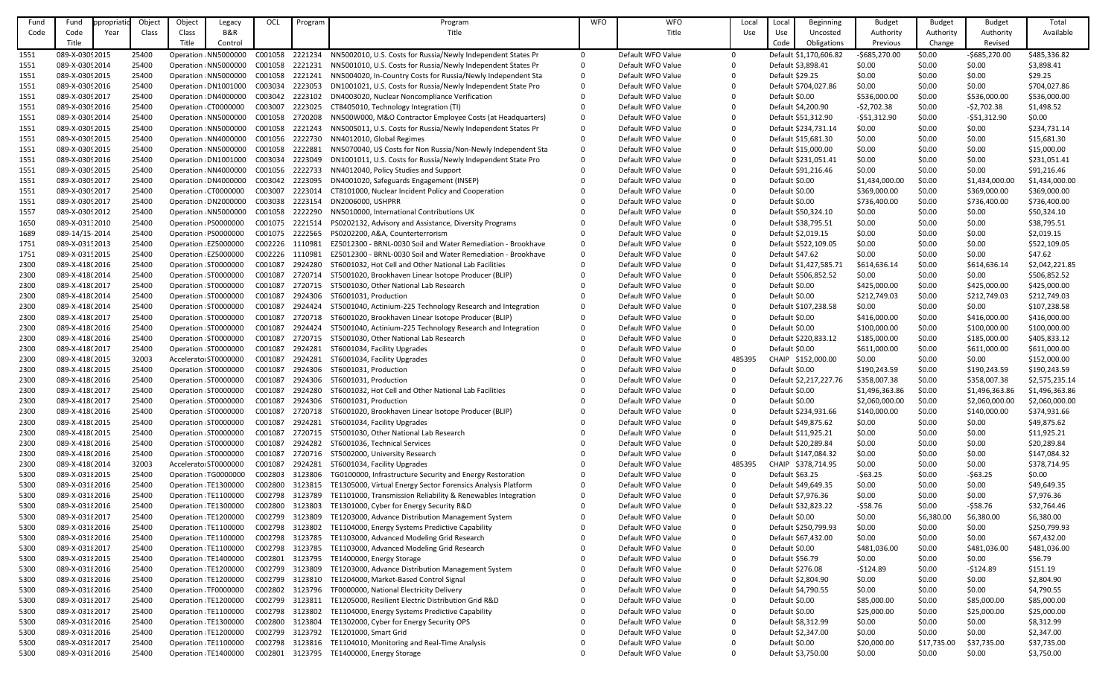| Fund | Fund            | propriati | Object | Object | Legacy                | OCL     | Program         | Program                                                      | <b>WFO</b> | <b>WFO</b>        | Local        | Loca                | Beginning              | <b>Budget</b>  | <b>Budget</b> | <b>Budget</b>  | Total          |
|------|-----------------|-----------|--------|--------|-----------------------|---------|-----------------|--------------------------------------------------------------|------------|-------------------|--------------|---------------------|------------------------|----------------|---------------|----------------|----------------|
| Code | Code            | Year      | Class  | Class  | B&R                   |         |                 | Title                                                        |            | Title             | Use          | Use                 | Uncosted               | Authority      | Authority     | Authority      | Available      |
|      | Title           |           |        | Title  | Control               |         |                 |                                                              |            |                   |              | Code                | Obligations            | Previous       | Change        | Revised        |                |
| 1551 | 089-X-03092015  |           | 25400  |        | Operation NN5000000   | C001058 | 2221234         | NN5002010, U.S. Costs for Russia/Newly Independent States Pr |            | Default WFO Value | $\Omega$     |                     | Default \$1,170,606.82 | $-$685,270.00$ | \$0.00        | $-$685,270.00$ | \$485,336.82   |
| 1551 | 089-X-03092014  |           | 25400  |        | Operation: NN5000000  |         | C001058 2221231 | NN5001010, U.S. Costs for Russia/Newly Independent States Pr |            | Default WFO Value | 0            | Default \$3,898.41  |                        | \$0.00         | \$0.00        | \$0.00         | \$3,898.41     |
| 1551 | 089-X-03092015  |           | 25400  |        | Operation : NN5000000 | C001058 | 2221241         | NN5004020, In-Country Costs for Russia/Newly Independent Sta |            | Default WFO Value |              | Default \$29.25     |                        | \$0.00         | \$0.00        | \$0.00         | \$29.25        |
| 1551 | 089-X-03092016  |           | 25400  |        | Operation : DN1001000 | C003034 | 2223053         | DN1001021, U.S. Costs for Russia/Newly Independent State Pro |            | Default WFO Value |              |                     | Default \$704,027.86   | \$0.00         | \$0.00        | \$0.00         | \$704,027.86   |
| 1551 | 089-X-03092017  |           | 25400  |        | Operation : DN4000000 | C003042 | 2223102         | DN4003020, Nuclear Noncompliance Verification                |            | Default WFO Value | 0            | Default \$0.00      |                        | \$536,000.00   | \$0.00        | \$536,000.00   | \$536,000.00   |
|      |                 |           |        |        |                       |         |                 |                                                              |            | Default WFO Value |              |                     |                        |                |               |                |                |
| 1551 | 089-X-0309 2016 |           | 25400  |        | Operation CT0000000   | C003007 | 2223025         | CT8405010, Technology Integration (TI)                       |            |                   | $\Omega$     | Default \$4,200.90  |                        | $-52,702.38$   | \$0.00        | $-52,702.38$   | \$1,498.52     |
| 1551 | 089-X-03092014  |           | 25400  |        | Operation NN5000000   | C001058 | 2720208         | NN500W000, M&O Contractor Employee Costs (at Headquarters)   |            | Default WFO Value | 0            | Default \$51,312.90 |                        | $-551,312.90$  | \$0.00        | $-551,312.90$  | \$0.00         |
| 1551 | 089-X-03092015  |           | 25400  |        | Operation: NN5000000  | C001058 | 2221243         | NN5005011, U.S. Costs for Russia/Newly Independent States Pr |            | Default WFO Value | $\Omega$     |                     | Default \$234,731.14   | \$0.00         | \$0.00        | \$0.00         | \$234,731.14   |
| 1551 | 089-X-03092015  |           | 25400  |        | Operation : NN4000000 | C001056 | 2222730         | NN4012010, Global Regimes                                    |            | Default WFO Value |              | Default \$15,681.30 |                        | \$0.00         | \$0.00        | \$0.00         | \$15,681.30    |
| 1551 | 089-X-03092015  |           | 25400  |        | Operation NN5000000   | C001058 | 2222881         | NN5070040, US Costs for Non Russia/Non-Newly Independent Sta |            | Default WFO Value | 0            | Default \$15,000.00 |                        | \$0.00         | \$0.00        | \$0.00         | \$15,000.00    |
| 1551 | 089-X-03092016  |           | 25400  |        | Operation : DN1001000 | C003034 | 2223049         | DN1001011, U.S. Costs for Russia/Newly Independent State Pro |            | Default WFO Value |              |                     | Default \$231,051.41   | \$0.00         | \$0.00        | \$0.00         | \$231,051.41   |
| 1551 | 089-X-03092015  |           | 25400  |        | Operation NN4000000   | C001056 | 2222733         | NN4012040, Policy Studies and Support                        |            | Default WFO Value |              | Default \$91,216.46 |                        | \$0.00         | \$0.00        | \$0.00         | \$91,216.46    |
| 1551 | 089-X-03092017  |           | 25400  |        | Operation : DN4000000 | C003042 | 2223095         | DN4001020, Safeguards Engagement (INSEP)                     |            | Default WFO Value |              | Default \$0.00      |                        | \$1,434,000.00 | \$0.00        | \$1,434,000.00 | \$1,434,000.00 |
| 1551 | 089-X-03092017  |           | 25400  |        | Operation CT0000000   | C003007 | 2223014         | CT8101000, Nuclear Incident Policy and Cooperation           |            | Default WFO Value | $\Omega$     | Default \$0.00      |                        | \$369,000.00   | \$0.00        | \$369,000.00   | \$369,000.00   |
| 1551 | 089-X-03092017  |           | 25400  |        | Operation : DN2000000 | C003038 | 2223154         | DN2006000, USHPRR                                            |            | Default WFO Value |              | Default \$0.00      |                        | \$736,400.00   | \$0.00        | \$736,400.00   | \$736,400.00   |
| 1557 | 089-X-03092012  |           | 25400  |        | Operation : NN5000000 | C001058 | 2222290         | NN5010000, International Contributions UK                    |            | Default WFO Value |              | Default \$50,324.10 |                        | \$0.00         | \$0.00        | \$0.00         | \$50,324.10    |
| 1650 | 089-X-031:2010  |           | 25400  |        | Operation PS0000000   | C001075 | 2221514         | PS0202132, Advisory and Assistance, Diversity Programs       |            | Default WFO Value | $\Omega$     | Default \$38,795.51 |                        | \$0.00         | \$0.00        | \$0.00         | \$38,795.51    |
| 1689 | 089-14/15-2014  |           | 25400  |        | Operation PS0000000   | C001075 | 2222565         | PS0202200, A&A, Counterterrorism                             |            | Default WFO Value | 0            | Default \$2,019.15  |                        | \$0.00         | \$0.00        | \$0.00         | \$2,019.15     |
| 1751 | 089-X-031!2013  |           | 25400  |        | Operation EZ5000000   | C002226 | 1110981         | EZ5012300 - BRNL-0030 Soil and Water Remediation - Brookhave |            | Default WFO Value | $\Omega$     |                     | Default \$522,109.05   | \$0.00         | \$0.00        | \$0.00         | \$522,109.05   |
| 1751 | 089-X-031! 2015 |           | 25400  |        | Operation EZ5000000   | C002226 | 1110981         | EZ5012300 - BRNL-0030 Soil and Water Remediation - Brookhave |            | Default WFO Value |              | Default \$47.62     |                        | \$0.00         | \$0.00        | \$0.00         | \$47.62        |
| 2300 | 089-X-418(2016  |           | 25400  |        | Operation ST0000000   | C001087 | 2924280         | ST6001032, Hot Cell and Other National Lab Facilities        |            | Default WFO Value |              |                     | Default \$1,427,585.71 | \$614,636.14   | \$0.00        | \$614,636.14   | \$2,042,221.85 |
| 2300 | 089-X-418(2014  |           | 25400  |        | Operation ST0000000   | C001087 | 2720714         | ST5001020, Brookhaven Linear Isotope Producer (BLIP)         |            | Default WFO Value | 0            |                     | Default \$506,852.52   | \$0.00         | \$0.00        | \$0.00         | \$506,852.52   |
| 2300 | 089-X-418(2017  |           | 25400  |        | Operation ST0000000   | C001087 | 2720715         | ST5001030, Other National Lab Research                       |            | Default WFO Value |              | Default \$0.00      |                        | \$425,000.00   | \$0.00        | \$425,000.00   | \$425,000.00   |
| 2300 | 089-X-418(2014  |           | 25400  |        | Operation ST0000000   | C001087 | 2924306         | ST6001031, Production                                        |            | Default WFO Value | <sup>0</sup> | Default \$0.00      |                        | \$212,749.03   | \$0.00        | \$212,749.03   | \$212,749.03   |
| 2300 | 089-X-418(2014  |           | 25400  |        | Operation ST0000000   | C001087 | 2924424         | ST5001040, Actinium-225 Technology Research and Integration  |            | Default WFO Value | 0            |                     | Default \$107,238.58   | \$0.00         | \$0.00        | \$0.00         | \$107,238.58   |
| 2300 | 089-X-418(2017  |           | 25400  |        | Operation ST0000000   | C001087 | 2720718         | ST6001020, Brookhaven Linear Isotope Producer (BLIP)         |            | Default WFO Value |              | Default \$0.00      |                        | \$416,000.00   | \$0.00        | \$416,000.00   | \$416,000.00   |
| 2300 | 089-X-418(2016  |           | 25400  |        | Operation ST0000000   | C001087 | 2924424         | ST5001040, Actinium-225 Technology Research and Integration  |            | Default WFO Value |              | Default \$0.00      |                        | \$100,000.00   | \$0.00        | \$100,000.00   | \$100,000.00   |
|      |                 |           | 25400  |        |                       | C001087 | 2720715         | ST5001030, Other National Lab Research                       |            | Default WFO Value |              |                     |                        | \$185,000.00   | \$0.00        |                |                |
| 2300 | 089-X-418(2016  |           |        |        | Operation ST0000000   | C001087 | 2924281         |                                                              |            | Default WFO Value |              |                     | Default \$220,833.12   |                |               | \$185,000.00   | \$405,833.12   |
| 2300 | 089-X-418(2017  |           | 25400  |        | Operation : ST0000000 |         |                 | ST6001034, Facility Upgrades                                 |            |                   | 0            | Default \$0.00      |                        | \$611,000.00   | \$0.00        | \$611,000.00   | \$611,000.00   |
| 2300 | 089-X-418(2015  |           | 32003  |        | Accelerator ST0000000 | C001087 | 2924281         | ST6001034, Facility Upgrades                                 |            | Default WFO Value | 485395       |                     | CHAIP \$152,000.00     | \$0.00         | \$0.00        | \$0.00         | \$152,000.00   |
| 2300 | 089-X-418(2015  |           | 25400  |        | Operation ST0000000   | C001087 | 2924306         | ST6001031, Production                                        |            | Default WFO Value | 0            | Default \$0.00      |                        | \$190,243.59   | \$0.00        | \$190,243.59   | \$190,243.59   |
| 2300 | 089-X-418(2016  |           | 25400  |        | Operation ST0000000   | C001087 | 2924306         | ST6001031, Production                                        |            | Default WFO Value | 0            |                     | Default \$2,217,227.76 | \$358,007.38   | \$0.00        | \$358,007.38   | \$2,575,235.14 |
| 2300 | 089-X-418(2017  |           | 25400  |        | Operation ST0000000   | C001087 | 2924280         | ST6001032, Hot Cell and Other National Lab Facilities        |            | Default WFO Value | $\Omega$     | Default \$0.00      |                        | \$1,496,363.86 | \$0.00        | \$1,496,363.86 | \$1,496,363.86 |
| 2300 | 089-X-418(2017  |           | 25400  |        | Operation ST0000000   | C001087 | 2924306         | ST6001031, Production                                        |            | Default WFO Value | 0            | Default \$0.00      |                        | \$2,060,000.00 | \$0.00        | \$2,060,000.00 | \$2,060,000.00 |
| 2300 | 089-X-418(2016  |           | 25400  |        | Operation ST0000000   | C001087 | 2720718         | ST6001020, Brookhaven Linear Isotope Producer (BLIP)         |            | Default WFO Value | 0            |                     | Default \$234,931.66   | \$140,000.00   | \$0.00        | \$140,000.00   | \$374,931.66   |
| 2300 | 089-X-418(2015  |           | 25400  |        | Operation ST0000000   | C001087 | 2924281         | ST6001034, Facility Upgrades                                 |            | Default WFO Value | 0            | Default \$49,875.62 |                        | \$0.00         | \$0.00        | \$0.00         | \$49,875.62    |
| 2300 | 089-X-418(2015  |           | 25400  |        | Operation ST0000000   | C001087 | 2720715         | ST5001030, Other National Lab Research                       |            | Default WFO Value | 0            | Default \$11,925.21 |                        | \$0.00         | \$0.00        | \$0.00         | \$11,925.21    |
| 2300 | 089-X-418(2016  |           | 25400  |        | Operation ST0000000   | C001087 | 2924282         | ST6001036, Technical Services                                |            | Default WFO Value | $\Omega$     | Default \$20,289.84 |                        | \$0.00         | \$0.00        | \$0.00         | \$20,289.84    |
| 2300 | 089-X-418(2016  |           | 25400  |        | Operation ST0000000   | C001087 | 2720716         | ST5002000, University Research                               |            | Default WFO Value | $\Omega$     |                     | Default \$147,084.32   | \$0.00         | \$0.00        | \$0.00         | \$147,084.32   |
| 2300 | 089-X-418(2014  |           | 32003  |        | Accelerato ST0000000  | C001087 | 2924281         | ST6001034, Facility Upgrades                                 |            | Default WFO Value | 485395       |                     | CHAIP \$378,714.95     | \$0.00         | \$0.00        | \$0.00         | \$378,714.95   |
| 5300 | 089-X-031 {2015 |           | 25400  |        | Operation TG0000000   | C002803 | 3123806         | TG0100000, Infrastructure Security and Energy Restoration    |            | Default WFO Value | 0            | Default \$63.25     |                        | $-563.25$      | \$0.00        | $-563.25$      | \$0.00         |
| 5300 | 089-X-031 {2016 |           | 25400  |        | Operation TE1300000   | C002800 | 3123815         | TE1305000, Virtual Energy Sector Forensics Analysis Platform |            | Default WFO Value | 0            | Default \$49,649.35 |                        | \$0.00         | \$0.00        | \$0.00         | \$49,649.35    |
| 5300 | 089-X-031 {2016 |           | 25400  |        | Operation TE1100000   | C002798 | 3123789         | TE1101000, Transmission Reliability & Renewables Integration |            | Default WFO Value | 0            | Default \$7,976.36  |                        | \$0.00         | \$0.00        | \$0.00         | \$7,976.36     |
| 5300 | 089-X-031 {2016 |           | 25400  |        | Operation TE1300000   | C002800 | 3123803         | TE1301000, Cyber for Energy Security R&D                     |            | Default WFO Value | 0            | Default \$32,823.22 |                        | $-558.76$      | \$0.00        | $-558.76$      | \$32,764.46    |
| 5300 | 089-X-03182017  |           | 25400  |        | Operation TE1200000   | C002799 | 3123809         | TE1203000, Advance Distribution Management System            |            | Default WFO Value | 0            | Default \$0.00      |                        | \$0.00         | \$6,380.00    | \$6,380.00     | \$6,380.00     |
| 5300 | 089-X-031 {2016 |           | 25400  |        | Operation TE1100000   | C002798 | 3123802         | TE1104000, Energy Systems Predictive Capability              |            | Default WFO Value | 0            |                     | Default \$250,799.93   | \$0.00         | \$0.00        | \$0.00         | \$250,799.93   |
| 5300 | 089-X-031 {2016 |           | 25400  |        | Operation TE1100000   | C002798 | 3123785         | TE1103000, Advanced Modeling Grid Research                   |            | Default WFO Value | 0            | Default \$67,432.00 |                        | \$0.00         | \$0.00        | \$0.00         | \$67,432.00    |
| 5300 | 089-X-031 {2017 |           | 25400  |        | Operation TE1100000   | C002798 | 3123785         | TE1103000, Advanced Modeling Grid Research                   |            | Default WFO Value | 0            | Default \$0.00      |                        | \$481,036.00   | \$0.00        | \$481,036.00   | \$481,036.00   |
| 5300 | 089-X-031 {2015 |           | 25400  |        | Operation TE1400000   | C002801 | 3123795         | TE1400000, Energy Storage                                    |            | Default WFO Value | 0            | Default \$56.79     |                        | \$0.00         | \$0.00        | \$0.00         | \$56.79        |
| 5300 | 089-X-031 {2016 |           | 25400  |        | Operation TE1200000   | C002799 | 3123809         | TE1203000, Advance Distribution Management System            |            | Default WFO Value | $\Omega$     | Default \$276.08    |                        | $-5124.89$     | \$0.00        | $-5124.89$     | \$151.19       |
| 5300 | 089-X-031 {2016 |           | 25400  |        | Operation TE1200000   | C002799 | 3123810         | TE1204000, Market-Based Control Signal                       |            | Default WFO Value | 0            | Default \$2,804.90  |                        | \$0.00         | \$0.00        | \$0.00         | \$2,804.90     |
| 5300 | 089-X-031 {2016 |           | 25400  |        | Operation TF0000000   | C002802 | 3123796         | TF0000000, National Electricity Delivery                     |            | Default WFO Value | 0            | Default \$4,790.55  |                        | \$0.00         | \$0.00        | \$0.00         | \$4,790.55     |
| 5300 | 089-X-03182017  |           | 25400  |        | Operation TE1200000   | C002799 | 3123811         | TE1205000, Resilient Electric Distribution Grid R&D          |            | Default WFO Value | 0            | Default \$0.00      |                        | \$85,000.00    | \$0.00        | \$85,000.00    | \$85,000.00    |
| 5300 | 089-X-03182017  |           | 25400  |        | Operation TE1100000   | C002798 | 3123802         |                                                              |            | Default WFO Value | 0            | Default \$0.00      |                        | \$25,000.00    | \$0.00        |                | \$25,000.00    |
|      |                 |           | 25400  |        |                       | C002800 | 3123804         | TE1104000, Energy Systems Predictive Capability              |            | Default WFO Value | 0            |                     |                        |                | \$0.00        | \$25,000.00    | \$8,312.99     |
| 5300 | 089-X-031 {2016 |           |        |        | Operation TE1300000   |         |                 | TE1302000, Cyber for Energy Security OPS                     |            |                   |              | Default \$8,312.99  |                        | \$0.00         |               | \$0.00         |                |
| 5300 | 089-X-031 2016  |           | 25400  |        | Operation TE1200000   | C002799 | 3123792         | TE1201000, Smart Grid                                        |            | Default WFO Value | 0            | Default \$2,347.00  |                        | \$0.00         | \$0.00        | \$0.00         | \$2,347.00     |
| 5300 | 089-X-03182017  |           | 25400  |        | Operation TE1100000   | C002798 | 3123816         | TE1104010, Monitoring and Real-Time Analysis                 |            | Default WFO Value | 0            | Default \$0.00      |                        | \$20,000.00    | \$17,735.00   | \$37,735.00    | \$37,735.00    |
| 5300 | 089-X-031 {2016 |           | 25400  |        | Operation TE1400000   | C002801 |                 | 3123795 TE1400000, Energy Storage                            |            | Default WFO Value | 0            | Default \$3,750.00  |                        | \$0.00         | \$0.00        | \$0.00         | \$3,750.00     |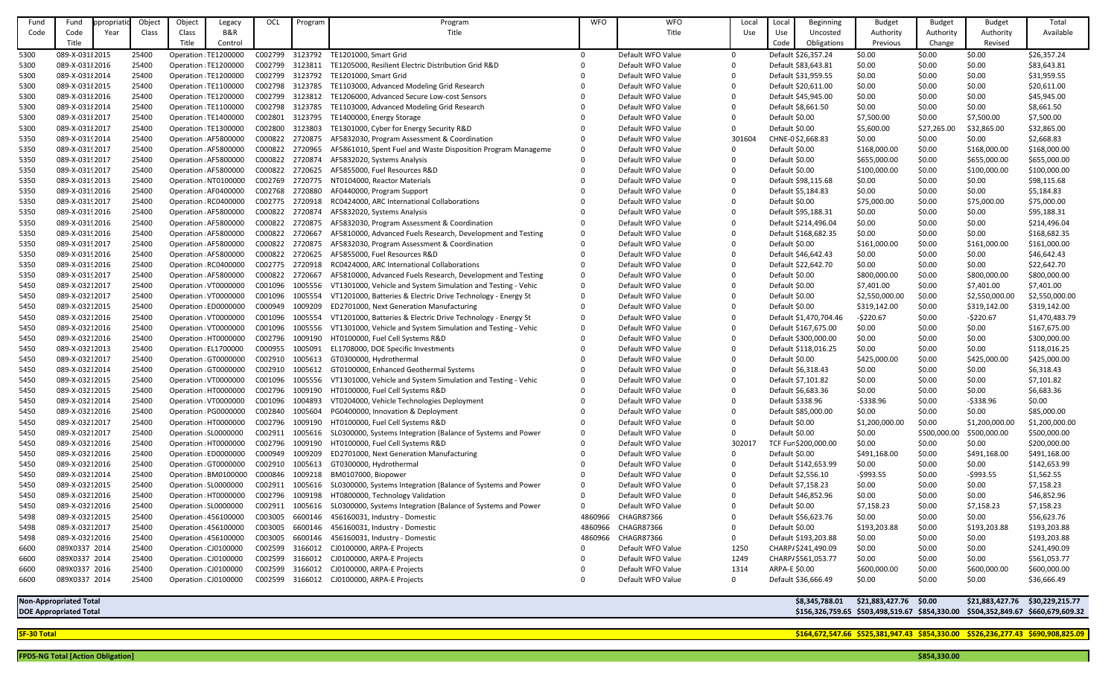| Fund | Fund                          | ppropriatio | Object | Object                | Legacy                | OCI             | Program            | Program                                                                                                     | <b>WFO</b> | <b>WFO</b>                             | Local    | Local            | Beginning              | <b>Budget</b>                                  | <b>Budget</b> | <b>Budget</b>    | Total                             |
|------|-------------------------------|-------------|--------|-----------------------|-----------------------|-----------------|--------------------|-------------------------------------------------------------------------------------------------------------|------------|----------------------------------------|----------|------------------|------------------------|------------------------------------------------|---------------|------------------|-----------------------------------|
| Code | Code                          | Year        | Class  | Class                 | B&R                   |                 |                    | Title                                                                                                       |            | Title                                  | Use      | Use              | Uncosted               | Authority                                      | Authority     | Authority        | Available                         |
|      | Title                         |             |        | Title                 | Control               |                 |                    |                                                                                                             |            |                                        |          | Code             | Obligations            | Previous                                       | Change        | Revised          |                                   |
| 5300 | 089-X-031 {2015               |             | 25400  |                       | Operation TE1200000   | C002799         | 3123792            | TE1201000, Smart Grid                                                                                       | $\Omega$   | Default WFO Value                      | $\Omega$ |                  | Default \$26,357.24    | \$0.00                                         | \$0.00        | \$0.00           | \$26,357.24                       |
| 5300 | 089-X-03182016                |             | 25400  |                       | Operation TE1200000   | C002799 3123811 |                    | TE1205000, Resilient Electric Distribution Grid R&D                                                         |            | Default WFO Value                      |          |                  | Default \$83,643.81    | \$0.00                                         | \$0.00        | \$0.00           | \$83,643.81                       |
| 5300 | 089-X-031 {2014               |             | 25400  |                       | Operation TE1200000   | C002799         | 3123792            | TE1201000, Smart Grid                                                                                       |            | Default WFO Value                      |          |                  | Default \$31,959.55    | \$0.00                                         | \$0.00        | \$0.00           | \$31,959.55                       |
| 5300 | 089-X-031 {2015               |             | 25400  |                       | Operation TE1100000   | C002798         | 3123785            | TE1103000, Advanced Modeling Grid Research                                                                  |            | Default WFO Value                      |          |                  | Default \$20,611.00    | \$0.00                                         | \$0.00        | \$0.00           | \$20,611.00                       |
| 5300 | 089-X-031 2016                |             | 25400  |                       | Operation TE1200000   | C002799         | 3123812            | TE1206000, Advanced Secure Low-cost Sensors                                                                 |            | Default WFO Value                      |          |                  | Default \$45,945.00    | \$0.00                                         | \$0.00        | \$0.00           | \$45,945.00                       |
| 5300 | 089-X-031 {2014               |             | 25400  |                       | Operation TE1100000   | C002798         | 3123785            | TE1103000, Advanced Modeling Grid Research                                                                  |            | Default WFO Value                      |          |                  | Default \$8,661.50     | \$0.00                                         | \$0.00        | \$0.00           | \$8,661.50                        |
| 5300 | 089-X-031 {2017               |             | 25400  |                       | Operation TE1400000   | C002801         | 3123795            | TE1400000, Energy Storage                                                                                   |            | Default WFO Value                      |          | Default \$0.00   |                        | \$7,500.00                                     | \$0.00        | \$7,500.00       | \$7,500.00                        |
| 5300 | 089-X-03182017                |             | 25400  |                       | Operation TE1300000   | C002800         | 3123803            | TE1301000, Cyber for Energy Security R&D                                                                    |            | Default WFO Value                      | $\Omega$ | Default \$0.00   |                        | \$5,600.00                                     | \$27,265.00   | \$32,865.00      | \$32,865.00                       |
| 5350 | 089-X-03192014                |             | 25400  |                       | Operation AF5800000   | C000822         | 2720875            | AF5832030, Program Assessment & Coordination                                                                |            | Default WFO Value                      | 301604   |                  | CHNE-0\$2,668.83       | \$0.00                                         | \$0.00        | \$0.00           | \$2,668.83                        |
| 5350 | 089-X-03192017                |             | 25400  |                       | Operation AF5800000   | C000822         | 2720965            | AF5861010, Spent Fuel and Waste Disposition Program Manageme                                                |            | Default WFO Value                      |          | Default \$0.00   |                        | \$168,000.00                                   | \$0.00        | \$168,000.00     | \$168,000.00                      |
| 5350 | 089-X-03192017                |             | 25400  |                       | Operation AF5800000   | C000822         | 2720874            | AF5832020, Systems Analysis                                                                                 |            | Default WFO Value                      |          | Default \$0.00   |                        | \$655,000.00                                   | \$0.00        | \$655,000.00     | \$655,000.00                      |
| 5350 | 089-X-03192017                |             | 25400  |                       | Operation AF5800000   | C000822         | 2720625            | AF5855000, Fuel Resources R&D                                                                               |            | Default WFO Value                      |          | Default \$0.00   |                        | \$100,000.00                                   | \$0.00        | \$100,000.00     | \$100,000.00                      |
| 5350 | 089-X-03192013                |             | 25400  |                       | Operation : NT0100000 | C002769         | 2720775            | NT0104000, Reactor Materials                                                                                |            | Default WFO Value                      |          |                  | Default \$98,115.68    | \$0.00                                         | \$0.00        | \$0.00           | \$98,115.68                       |
| 5350 | 089-X-03192016                |             | 25400  |                       | Operation AF0400000   | C002768         | 2720880            | AF0440000, Program Support                                                                                  |            | Default WFO Value                      |          |                  | Default \$5,184.83     | \$0.00                                         | \$0.00        | \$0.00           | \$5,184.83                        |
| 5350 | 089-X-03192017                |             | 25400  |                       | Operation RC0400000   | C002775         | 2720918            | RC0424000, ARC International Collaborations                                                                 |            | Default WFO Value                      |          | Default \$0.00   |                        | \$75,000.00                                    | \$0.00        | \$75,000.00      | \$75,000.00                       |
| 5350 | 089-X-03192016                |             | 25400  |                       | Operation AF5800000   | C000822         | 2720874            | AF5832020, Systems Analysis                                                                                 |            | Default WFO Value                      |          |                  | Default \$95,188.31    | \$0.00                                         | \$0.00        | \$0.00           | \$95,188.31                       |
|      | 089-X-03192016                |             | 25400  |                       |                       | C000822         |                    |                                                                                                             |            | Default WFO Value                      |          |                  |                        | \$0.00                                         | \$0.00        |                  |                                   |
| 5350 | 089-X-03192016                |             | 25400  |                       | Operation AF5800000   | C000822         | 2720875<br>2720667 | AF5832030, Program Assessment & Coordination<br>AF5810000, Advanced Fuels Research, Development and Testing |            | Default WFO Value                      |          |                  | Default \$214,496.04   | \$0.00                                         |               | \$0.00<br>\$0.00 | \$214,496.04<br>\$168,682.35      |
| 5350 |                               |             |        |                       | Operation AF5800000   | C000822         | 2720875            |                                                                                                             |            |                                        |          |                  | Default \$168,682.35   |                                                | \$0.00        |                  |                                   |
| 5350 | 089-X-03192017                |             | 25400  |                       | Operation AF5800000   |                 |                    | AF5832030, Program Assessment & Coordination                                                                |            | Default WFO Value                      |          | Default \$0.00   |                        | \$161,000.00                                   | \$0.00        | \$161,000.00     | \$161,000.00                      |
| 5350 | 089-X-03192016                |             | 25400  |                       | Operation AF5800000   | C000822         | 2720625            | AF5855000, Fuel Resources R&D                                                                               |            | Default WFO Value                      |          |                  | Default \$46,642.43    | \$0.00                                         | \$0.00        | \$0.00           | \$46,642.43                       |
| 5350 | 089-X-03192016                |             | 25400  |                       | Operation RC0400000   | C002775         | 2720918            | RC0424000, ARC International Collaborations                                                                 |            | Default WFO Value                      |          |                  | Default \$22,642.70    | \$0.00                                         | \$0.00        | \$0.00           | \$22,642.70                       |
| 5350 | 089-X-03192017                |             | 25400  |                       | Operation AF5800000   | C000822         | 2720667            | AF5810000, Advanced Fuels Research, Development and Testing                                                 |            | Default WFO Value                      |          | Default \$0.00   |                        | \$800,000.00                                   | \$0.00        | \$800,000.00     | \$800,000.00                      |
| 5450 | 089-X-03212017                |             | 25400  |                       | Operation VT0000000   | C001096         | 1005556            | VT1301000, Vehicle and System Simulation and Testing - Vehic                                                |            | Default WFO Value                      |          | Default \$0.00   |                        | \$7,401.00                                     | \$0.00        | \$7,401.00       | \$7,401.00                        |
| 5450 | 089-X-03212017                |             | 25400  |                       | Operation VT0000000   | C001096         | 1005554            | VT1201000, Batteries & Electric Drive Technology - Energy St                                                |            | Default WFO Value                      |          | Default \$0.00   |                        | \$2,550,000.00                                 | \$0.00        | \$2,550,000.00   | \$2,550,000.00                    |
| 5450 | 089-X-03212015                |             | 25400  |                       | Operation : ED0000000 | C000949         | 1009209            | ED2701000, Next Generation Manufacturing                                                                    |            | Default WFO Value                      |          | Default \$0.00   |                        | \$319,142.00                                   | \$0.00        | \$319,142.00     | \$319,142.00                      |
| 5450 | 089-X-03212016                |             | 25400  |                       | Operation VT0000000   | C001096         | 1005554            | VT1201000, Batteries & Electric Drive Technology - Energy St                                                |            | Default WFO Value                      |          |                  | Default \$1,470,704.46 | $-5220.67$                                     | \$0.00        | $-5220.67$       | \$1,470,483.79                    |
| 5450 | 089-X-03212016                |             | 25400  |                       | Operation VT0000000   | C001096         | 1005556            | VT1301000, Vehicle and System Simulation and Testing - Vehic                                                |            | Default WFO Value                      |          |                  | Default \$167,675.00   | \$0.00                                         | \$0.00        | \$0.00           | \$167,675.00                      |
| 5450 | 089-X-03212016                |             | 25400  |                       | Operation HT0000000   | C002796         | 1009190            | HT0100000, Fuel Cell Systems R&D                                                                            |            | Default WFO Value                      |          |                  | Default \$300,000.00   | \$0.00                                         | \$0.00        | \$0.00           | \$300,000.00                      |
| 5450 | 089-X-03212013                |             | 25400  |                       | Operation : EL1700000 |                 |                    | C000955 1005091 EL1708000, DOE Specific Investments                                                         |            | Default WFO Value                      |          |                  | Default \$118,016.25   | \$0.00                                         | \$0.00        | \$0.00           | \$118,016.25                      |
| 5450 | 089-X-03212017                |             | 25400  |                       | Operation GT0000000   | C002910         | 1005613            | GT0300000, Hydrothermal                                                                                     |            | Default WFO Value                      |          | Default \$0.00   |                        | \$425,000.00                                   | \$0.00        | \$425,000.00     | \$425,000.00                      |
| 5450 | 089-X-03212014                |             | 25400  |                       | Operation GT0000000   | C002910         | 1005612            | GT0100000, Enhanced Geothermal Systems                                                                      |            | Default WFO Value                      |          |                  | Default \$6,318.43     | \$0.00                                         | \$0.00        | \$0.00           | \$6,318.43                        |
| 5450 | 089-X-03212015                |             | 25400  |                       | Operation VT0000000   | C001096         | 1005556            | VT1301000, Vehicle and System Simulation and Testing - Vehic                                                |            | Default WFO Value                      |          |                  | Default \$7,101.82     | \$0.00                                         | \$0.00        | \$0.00           | \$7,101.82                        |
| 5450 | 089-X-03212015                |             | 25400  |                       | Operation HT0000000   | C002796         | 1009190            | HT0100000, Fuel Cell Systems R&D                                                                            |            | Default WFO Value                      |          |                  | Default \$6,683.36     | \$0.00                                         | \$0.00        | \$0.00           | \$6,683.36                        |
| 5450 | 089-X-03212014                |             | 25400  |                       | Operation VT0000000   | C001096         | 1004893            | VT0204000, Vehicle Technologies Deployment                                                                  |            | Default WFO Value                      |          | Default \$338.96 |                        | $-5338.96$                                     | \$0.00        | $-$ \$338.96     | \$0.00                            |
| 5450 | 089-X-03212016                |             | 25400  |                       | Operation PG0000000   | C002840         | 1005604            | PG0400000, Innovation & Deployment                                                                          |            | Default WFO Value                      |          |                  | Default \$85,000.00    | \$0.00                                         | \$0.00        | \$0.00           | \$85,000.00                       |
| 5450 | 089-X-03212017                |             | 25400  |                       | Operation HT0000000   | C002796         | 1009190            | HT0100000, Fuel Cell Systems R&D                                                                            |            | Default WFO Value                      |          | Default \$0.00   |                        | \$1,200,000.00                                 | \$0.00        | \$1,200,000.00   | \$1,200,000.00                    |
| 5450 | 089-X-03212017                |             | 25400  |                       | Operation SL0000000   | C002911         | 1005616            | SL0300000, Systems Integration (Balance of Systems and Power                                                |            | Default WFO Value                      |          | Default \$0.00   |                        | \$0.00                                         | \$500,000.00  | \$500,000.00     | \$500,000.00                      |
| 5450 | 089-X-03212016                |             | 25400  |                       | Operation HT0000000   | C002796         | 1009190            | HT0100000, Fuel Cell Systems R&D                                                                            |            | Default WFO Value<br>Default WFO Value | 302017   |                  | TCF Fur \$200,000.00   | \$0.00                                         | \$0.00        | \$0.00           | \$200,000.00                      |
| 5450 | 089-X-03212016                |             | 25400  |                       | Operation : ED0000000 | C000949         | 1009209            | ED2701000, Next Generation Manufacturing                                                                    |            |                                        |          | Default \$0.00   |                        | \$491,168.00                                   | \$0.00        | \$491,168.00     | \$491,168.00                      |
| 5450 | 089-X-03212016                |             | 25400  |                       | Operation GT0000000   | C002910         | 1005613            | GT0300000, Hydrothermal                                                                                     |            | Default WFO Value                      |          |                  | Default \$142,653.99   | \$0.00                                         | \$0.00        | \$0.00           | \$142,653.99                      |
| 5450 | 089-X-03212014                |             | 25400  |                       | Operation BM0100000   | C000846         | 1009218            | BM0107000, Biopower                                                                                         |            | Default WFO Value                      |          |                  | Default \$2,556.10     | $-5993.55$                                     | \$0.00        | $-5993.55$       | \$1,562.55                        |
| 5450 | 089-X-03212015                |             | 25400  |                       | Operation SL0000000   | C002911         | 1005616            | SL0300000, Systems Integration (Balance of Systems and Power                                                |            | Default WFO Value                      |          |                  | Default \$7,158.23     | \$0.00                                         | \$0.00        | \$0.00           | \$7,158.23                        |
| 5450 | 089-X-03212016                |             | 25400  |                       | Operation HT0000000   | C002796         | 1009198            | HT0800000, Technology Validation                                                                            | 0          | Default WFO Value                      |          |                  | Default \$46,852.96    | \$0.00                                         | \$0.00        | \$0.00           | \$46,852.96                       |
| 5450 | 089-X-03212016                |             | 25400  |                       | Operation SL0000000   | C002911         | 1005616            | SL0300000, Systems Integration (Balance of Systems and Power                                                |            | Default WFO Value                      |          | Default \$0.00   |                        | \$7,158.23                                     | \$0.00        | \$7,158.23       | \$7,158.23                        |
| 5498 | 089-X-03212015                |             | 25400  |                       | Operation 456100000   | C003005         | 6600146            | 456160031, Industry - Domestic                                                                              | 4860966    | CHAGR87366                             |          |                  | Default \$56,623.76    | \$0.00                                         | \$0.00        | \$0.00           | \$56,623.76                       |
| 5498 | 089-X-03212017                |             | 25400  |                       | Operation 456100000   | C003005         | 6600146            | 456160031, Industry - Domestic                                                                              | 4860966    | <b>CHAGR87366</b>                      |          | Default \$0.00   |                        | \$193,203.88                                   | \$0.00        | \$193,203.88     | \$193,203.88                      |
| 5498 | 089-X-03212016                |             | 25400  |                       | Operation 456100000   | C003005         | 6600146            | 456160031, Industry - Domestic                                                                              | 4860966    | CHAGR87366                             |          |                  | Default \$193,203.88   | \$0.00                                         | \$0.00        | \$0.00           | \$193,203.88                      |
| 6600 | 089X0337 2014                 |             | 25400  |                       | Operation : CJ0100000 | C002599         | 3166012            | CJ0100000, ARPA-E Projects                                                                                  |            | Default WFO Value                      | 1250     |                  | CHARP/\$241,490.09     | \$0.00                                         | \$0.00        | \$0.00           | \$241,490.09                      |
| 6600 | 089X0337 2014                 |             | 25400  | Operation : CJ0100000 |                       | C002599         | 3166012            | CJ0100000, ARPA-E Projects                                                                                  |            | Default WFO Value                      | 1249     |                  | CHARP/\$561,053.77     | \$0.00                                         | \$0.00        | \$0.00           | \$561,053.77                      |
| 6600 | 089X0337 2016                 |             | 25400  | Operation : CJ0100000 |                       | C002599         | 3166012            | CJ0100000, ARPA-E Projects                                                                                  |            | Default WFO Value                      | 1314     | ARPA-E \$0.00    |                        | \$600,000.00                                   | \$0.00        | \$600,000.00     | \$600,000.00                      |
| 6600 | 089X0337 2014                 |             | 25400  | Operation : CJ0100000 |                       | C002599         | 3166012            | CJ0100000, ARPA-E Projects                                                                                  |            | Default WFO Value                      | 0        |                  | Default \$36,666.49    | \$0.00                                         | \$0.00        | \$0.00           | \$36,666.49                       |
|      |                               |             |        |                       |                       |                 |                    |                                                                                                             |            |                                        |          |                  |                        |                                                |               |                  |                                   |
|      | <b>Non-Appropriated Total</b> |             |        |                       |                       |                 |                    |                                                                                                             |            |                                        |          |                  | \$8,345,788.01         | \$21,883,427.76                                | \$0.00        | \$21,883,427.76  | \$30,229,215.77                   |
|      | <b>DOE Appropriated Total</b> |             |        |                       |                       |                 |                    |                                                                                                             |            |                                        |          |                  |                        | \$156,326,759.65 \$503,498,519.67 \$854,330.00 |               |                  | \$504,352,849.67 \$660,679,609.32 |

**SF-30 Total \$164,672,547.66 \$525,381,947.43 \$854,330.00 \$526,236,277.43 \$690,908,825.09**